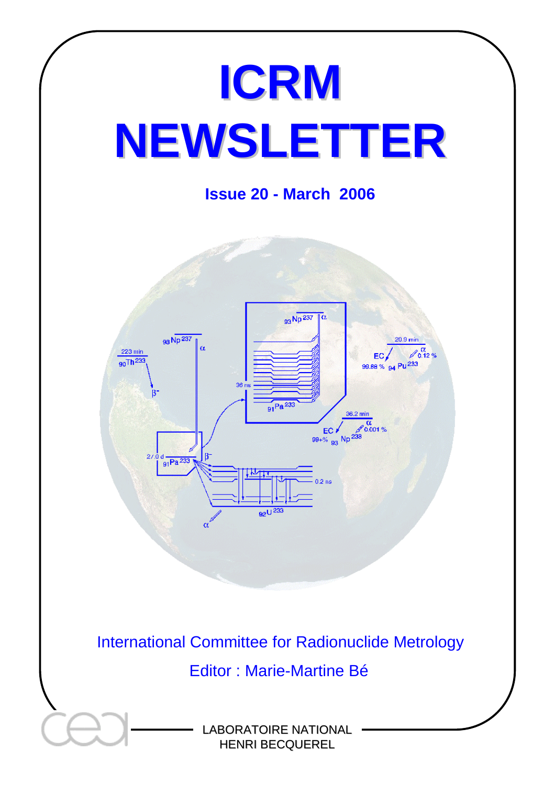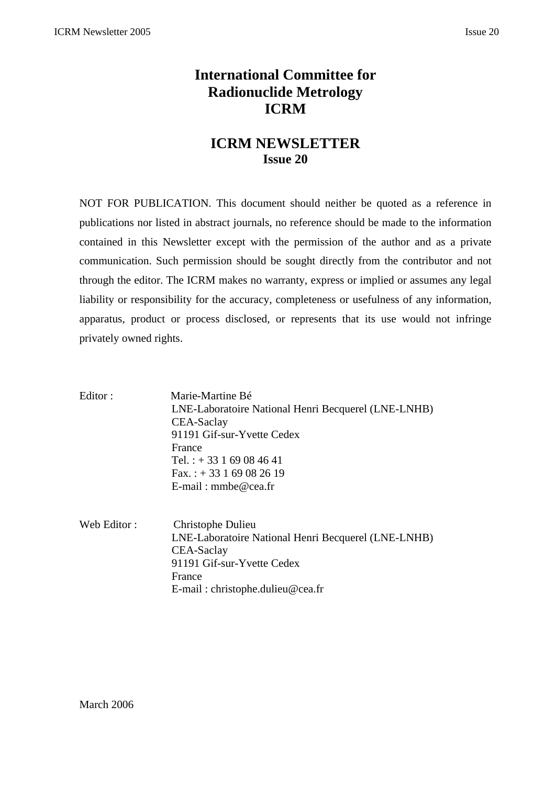# **International Committee for Radionuclide Metrology ICRM**

## **ICRM NEWSLETTER Issue 20**

NOT FOR PUBLICATION. This document should neither be quoted as a reference in publications nor listed in abstract journals, no reference should be made to the information contained in this Newsletter except with the permission of the author and as a private communication. Such permission should be sought directly from the contributor and not through the editor. The ICRM makes no warranty, express or implied or assumes any legal liability or responsibility for the accuracy, completeness or usefulness of any information, apparatus, product or process disclosed, or represents that its use would not infringe privately owned rights.

| Editor:     | Marie-Martine Bé<br>LNE-Laboratoire National Henri Becquerel (LNE-LNHB)<br>CEA-Saclay<br>91191 Gif-sur-Yvette Cedex<br>France<br>Tel.: $+33169084641$<br>Fax.: $+33169082619$<br>E-mail: mmbe@cea.fr |
|-------------|------------------------------------------------------------------------------------------------------------------------------------------------------------------------------------------------------|
| Web Editor: | Christophe Dulieu<br>LNE-Laboratoire National Henri Becquerel (LNE-LNHB)<br>CEA-Saclay<br>91191 Gif-sur-Yvette Cedex<br>France                                                                       |

E-mail : christophe.dulieu@cea.fr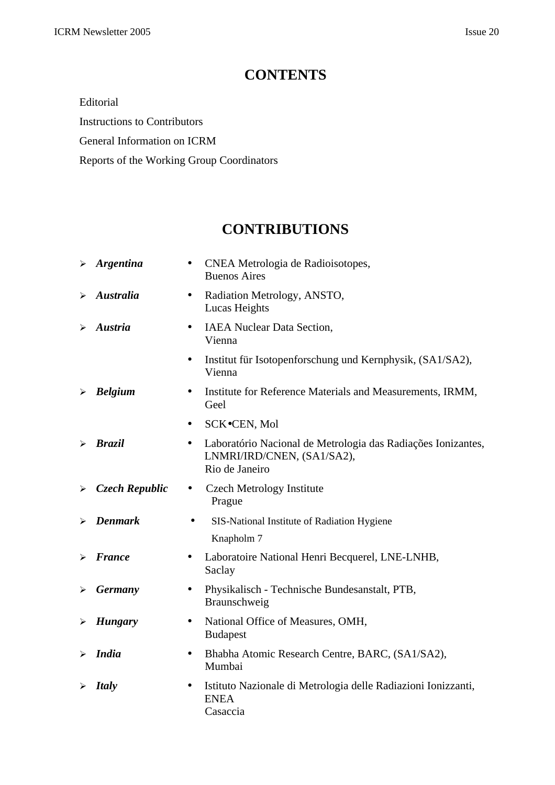# **CONTENTS**

Editorial

Instructions to Contributors

General Information on ICRM

Reports of the Working Group Coordinators

# **CONTRIBUTIONS**

|   | $\triangleright$ Argentina | CNEA Metrologia de Radioisotopes,<br>$\bullet$<br><b>Buenos Aires</b>                                                     |
|---|----------------------------|---------------------------------------------------------------------------------------------------------------------------|
| ➤ | <b>Australia</b>           | Radiation Metrology, ANSTO,<br>$\bullet$<br>Lucas Heights                                                                 |
| ⋗ | <b>Austria</b>             | <b>IAEA</b> Nuclear Data Section,<br>$\bullet$<br>Vienna                                                                  |
|   |                            | Institut für Isotopenforschung und Kernphysik, (SA1/SA2),<br>$\bullet$<br>Vienna                                          |
| ➤ | <b>Belgium</b>             | Institute for Reference Materials and Measurements, IRMM,<br>$\bullet$<br>Geel                                            |
|   |                            | SCK.CEN, Mol<br>$\bullet$                                                                                                 |
| ➤ | <b>Brazil</b>              | Laboratório Nacional de Metrologia das Radiações Ionizantes,<br>$\bullet$<br>LNMRI/IRD/CNEN, (SA1/SA2),<br>Rio de Janeiro |
| ≻ | <b>Czech Republic</b>      | <b>Czech Metrology Institute</b><br>$\bullet$<br>Prague                                                                   |
| ⋗ | <b>Denmark</b>             | SIS-National Institute of Radiation Hygiene                                                                               |
|   |                            | Knapholm 7                                                                                                                |
| ⋗ | <b>France</b>              | Laboratoire National Henri Becquerel, LNE-LNHB,<br>$\bullet$<br>Saclay                                                    |
| ⋗ | <b>Germany</b>             | Physikalisch - Technische Bundesanstalt, PTB,<br>$\bullet$<br>Braunschweig                                                |
| ➤ | <b>Hungary</b>             | National Office of Measures, OMH,<br>$\bullet$<br><b>Budapest</b>                                                         |
| ≻ | <b>India</b>               | Bhabha Atomic Research Centre, BARC, (SA1/SA2),<br>$\bullet$<br>Mumbai                                                    |
|   | <b>Italy</b>               | Istituto Nazionale di Metrologia delle Radiazioni Ionizzanti,<br>$\bullet$<br><b>ENEA</b><br>Casaccia                     |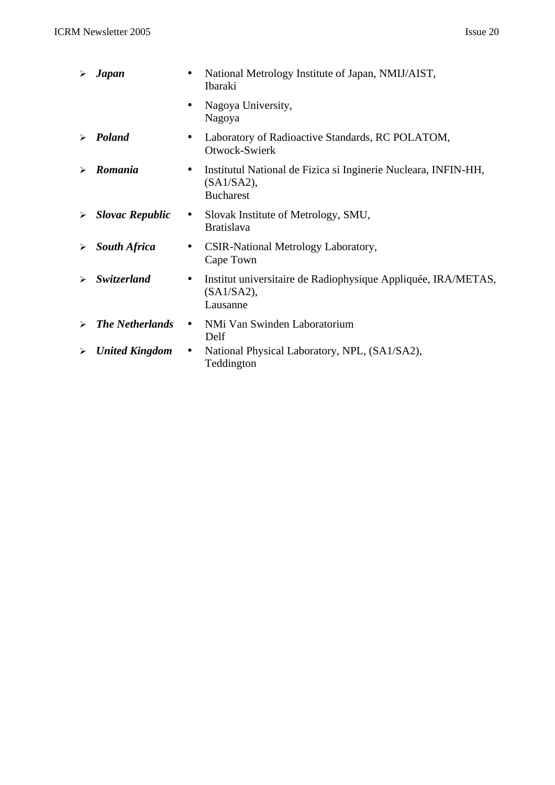| ➤ | <b>Japan</b>           | National Metrology Institute of Japan, NMIJ/AIST,<br>Ibaraki                                                  |
|---|------------------------|---------------------------------------------------------------------------------------------------------------|
|   |                        | Nagoya University,<br>$\bullet$<br>Nagoya                                                                     |
| ➤ | Poland                 | Laboratory of Radioactive Standards, RC POLATOM,<br>$\bullet$<br>Otwock-Swierk                                |
| ➤ | Romania                | Institutul National de Fizica si Inginerie Nucleara, INFIN-HH,<br>$\bullet$<br>(SA1/SA2),<br><b>Bucharest</b> |
| ➤ | <b>Slovac Republic</b> | Slovak Institute of Metrology, SMU,<br>$\bullet$<br><b>Bratislava</b>                                         |
| ≻ | <b>South Africa</b>    | CSIR-National Metrology Laboratory,<br>$\bullet$<br>Cape Town                                                 |
| ➤ | Switzerland            | Institut universitaire de Radiophysique Appliquée, IRA/METAS,<br>$\bullet$<br>(SA1/SA2),<br>Lausanne          |
| ➤ | <b>The Netherlands</b> | NMi Van Swinden Laboratorium<br>$\bullet$<br>Delf                                                             |
| ≻ | <b>United Kingdom</b>  | National Physical Laboratory, NPL, (SA1/SA2),<br>$\bullet$<br>Teddington                                      |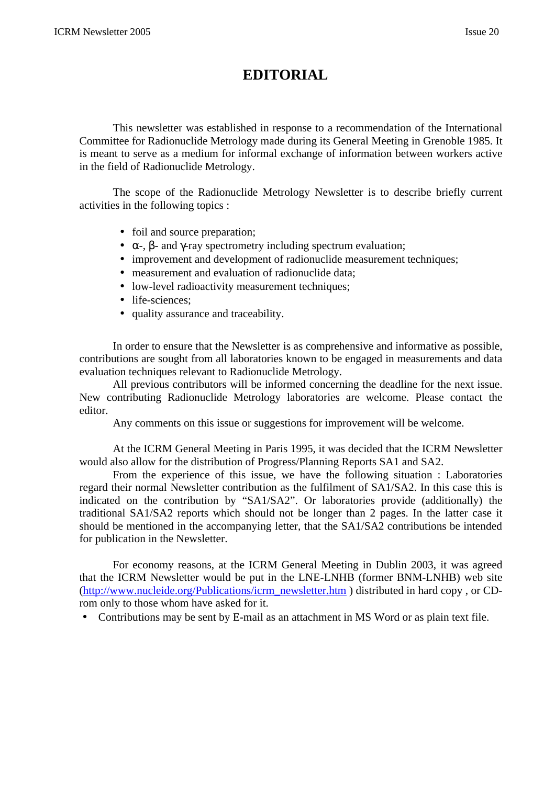# **EDITORIAL**

This newsletter was established in response to a recommendation of the International Committee for Radionuclide Metrology made during its General Meeting in Grenoble 1985. It is meant to serve as a medium for informal exchange of information between workers active in the field of Radionuclide Metrology.

The scope of the Radionuclide Metrology Newsletter is to describe briefly current activities in the following topics :

- foil and source preparation;
- $\alpha$ -, β- and γ-ray spectrometry including spectrum evaluation;
- improvement and development of radionuclide measurement techniques;
- measurement and evaluation of radionuclide data;
- low-level radioactivity measurement techniques;
- life-sciences;
- quality assurance and traceability.

In order to ensure that the Newsletter is as comprehensive and informative as possible, contributions are sought from all laboratories known to be engaged in measurements and data evaluation techniques relevant to Radionuclide Metrology.

All previous contributors will be informed concerning the deadline for the next issue. New contributing Radionuclide Metrology laboratories are welcome. Please contact the editor.

Any comments on this issue or suggestions for improvement will be welcome.

At the ICRM General Meeting in Paris 1995, it was decided that the ICRM Newsletter would also allow for the distribution of Progress/Planning Reports SA1 and SA2.

From the experience of this issue, we have the following situation : Laboratories regard their normal Newsletter contribution as the fulfilment of SA1/SA2. In this case this is indicated on the contribution by "SA1/SA2". Or laboratories provide (additionally) the traditional SA1/SA2 reports which should not be longer than 2 pages. In the latter case it should be mentioned in the accompanying letter, that the SA1/SA2 contributions be intended for publication in the Newsletter.

For economy reasons, at the ICRM General Meeting in Dublin 2003, it was agreed that the ICRM Newsletter would be put in the LNE-LNHB (former BNM-LNHB) web site (http://www.nucleide.org/Publications/icrm\_newsletter.htm ) distributed in hard copy , or CDrom only to those whom have asked for it.

• Contributions may be sent by E-mail as an attachment in MS Word or as plain text file.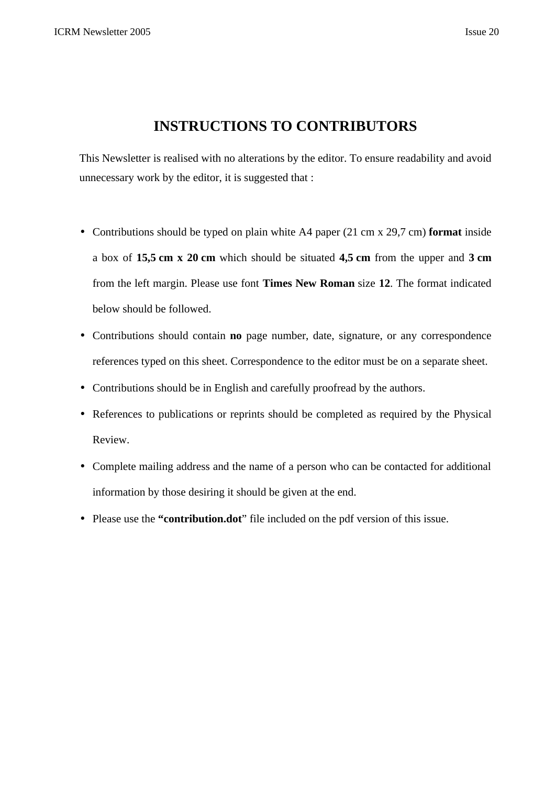## **INSTRUCTIONS TO CONTRIBUTORS**

This Newsletter is realised with no alterations by the editor. To ensure readability and avoid unnecessary work by the editor, it is suggested that :

- Contributions should be typed on plain white A4 paper (21 cm x 29,7 cm) **format** inside a box of **15,5 cm x 20 cm** which should be situated **4,5 cm** from the upper and **3 cm** from the left margin. Please use font **Times New Roman** size **12**. The format indicated below should be followed.
- Contributions should contain **no** page number, date, signature, or any correspondence references typed on this sheet. Correspondence to the editor must be on a separate sheet.
- Contributions should be in English and carefully proofread by the authors.
- References to publications or reprints should be completed as required by the Physical Review.
- Complete mailing address and the name of a person who can be contacted for additional information by those desiring it should be given at the end.
- Please use the **"contribution.dot**" file included on the pdf version of this issue.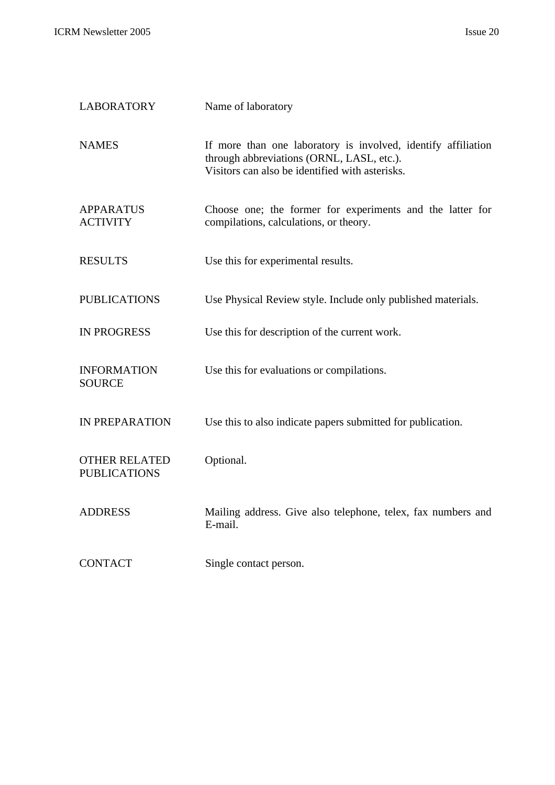| <b>LABORATORY</b>                           | Name of laboratory                                                                                                                                            |
|---------------------------------------------|---------------------------------------------------------------------------------------------------------------------------------------------------------------|
| <b>NAMES</b>                                | If more than one laboratory is involved, identify affiliation<br>through abbreviations (ORNL, LASL, etc.).<br>Visitors can also be identified with asterisks. |
| <b>APPARATUS</b><br><b>ACTIVITY</b>         | Choose one; the former for experiments and the latter for<br>compilations, calculations, or theory.                                                           |
| <b>RESULTS</b>                              | Use this for experimental results.                                                                                                                            |
| <b>PUBLICATIONS</b>                         | Use Physical Review style. Include only published materials.                                                                                                  |
| <b>IN PROGRESS</b>                          | Use this for description of the current work.                                                                                                                 |
| <b>INFORMATION</b><br><b>SOURCE</b>         | Use this for evaluations or compilations.                                                                                                                     |
| IN PREPARATION                              | Use this to also indicate papers submitted for publication.                                                                                                   |
| <b>OTHER RELATED</b><br><b>PUBLICATIONS</b> | Optional.                                                                                                                                                     |
| <b>ADDRESS</b>                              | Mailing address. Give also telephone, telex, fax numbers and<br>E-mail.                                                                                       |
| <b>CONTACT</b>                              | Single contact person.                                                                                                                                        |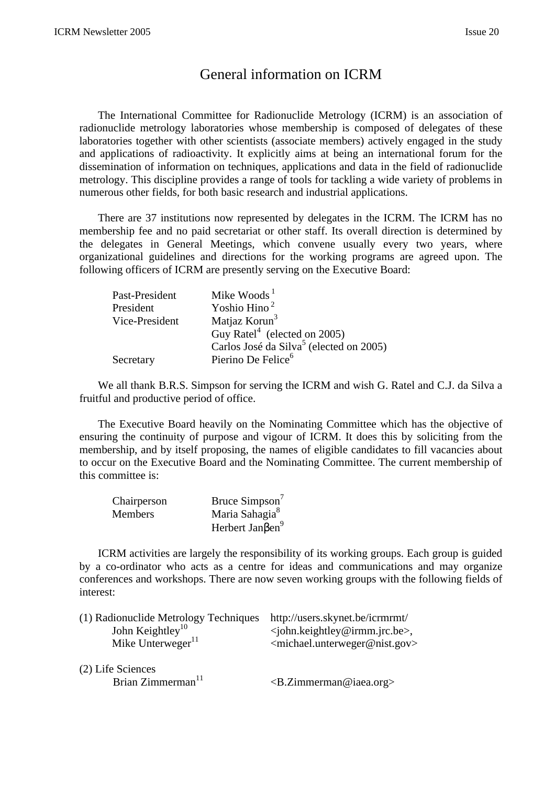## General information on ICRM

The International Committee for Radionuclide Metrology (ICRM) is an association of radionuclide metrology laboratories whose membership is composed of delegates of these laboratories together with other scientists (associate members) actively engaged in the study and applications of radioactivity. It explicitly aims at being an international forum for the dissemination of information on techniques, applications and data in the field of radionuclide metrology. This discipline provides a range of tools for tackling a wide variety of problems in numerous other fields, for both basic research and industrial applications.

There are 37 institutions now represented by delegates in the ICRM. The ICRM has no membership fee and no paid secretariat or other staff. Its overall direction is determined by the delegates in General Meetings, which convene usually every two years, where organizational guidelines and directions for the working programs are agreed upon. The following officers of ICRM are presently serving on the Executive Board:

| Past-President | Mike Woods $1$                                      |
|----------------|-----------------------------------------------------|
| President      | Yoshio Hino <sup>2</sup>                            |
| Vice-President | Matjaz Korun <sup>3</sup>                           |
|                | Guy Ratel <sup>4</sup> (elected on 2005)            |
|                | Carlos José da Silva <sup>5</sup> (elected on 2005) |
| Secretary      | Pierino De Felice <sup>6</sup>                      |

We all thank B.R.S. Simpson for serving the ICRM and wish G. Ratel and C.J. da Silva a fruitful and productive period of office.

The Executive Board heavily on the Nominating Committee which has the objective of ensuring the continuity of purpose and vigour of ICRM. It does this by soliciting from the membership, and by itself proposing, the names of eligible candidates to fill vacancies about to occur on the Executive Board and the Nominating Committee. The current membership of this committee is:

| Chairperson    | Bruce Simpson <sup>7</sup>          |
|----------------|-------------------------------------|
| <b>Members</b> | Maria Sahagia <sup>8</sup>          |
|                | Herbert Jan $\beta$ en <sup>9</sup> |

ICRM activities are largely the responsibility of its working groups. Each group is guided by a co-ordinator who acts as a centre for ideas and communications and may organize conferences and workshops. There are now seven working groups with the following fields of interest:

| (1) Radionuclide Metrology Techniques | http://users.skynet.be/icrmrmt/                             |
|---------------------------------------|-------------------------------------------------------------|
| John Keightley <sup>10</sup>          | $\le$ john.keightley@irmm.jrc.be>,                          |
| Mike Unterweger $^{11}$               | <michael.unterweger@nist.gov></michael.unterweger@nist.gov> |
| (2) Life Sciences                     |                                                             |
| Brian Zimmerman <sup>11</sup>         | $\langle B.Zimmerman@iaea.org\rangle$                       |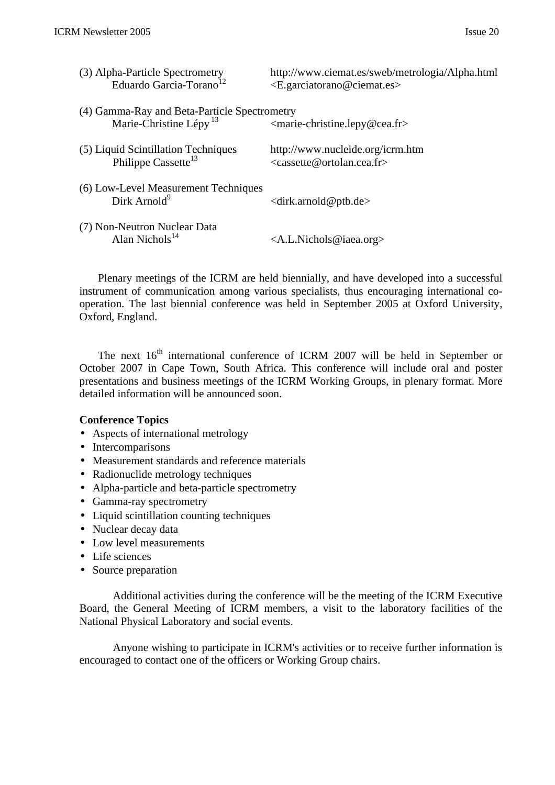| (3) Alpha-Particle Spectrometry<br>Eduardo Garcia-Torano <sup>12</sup>             | http://www.ciemat.es/sweb/metrologia/Alpha.html<br>$\leq E$ garciatorano@ciemat.es |
|------------------------------------------------------------------------------------|------------------------------------------------------------------------------------|
| (4) Gamma-Ray and Beta-Particle Spectrometry<br>Marie-Christine Lépy <sup>13</sup> | <marie-christine.lepy@cea.fr></marie-christine.lepy@cea.fr>                        |
| (5) Liquid Scintillation Techniques<br>Philippe Cassette <sup>13</sup>             | http://www.nucleide.org/icrm.htm<br>$<$ cassette@ortolan.cea.fr>                   |
| (6) Low-Level Measurement Techniques<br>Dirk Arnold <sup>9</sup>                   | $\langle$ dirk.arnold@ptb.de>                                                      |
| (7) Non-Neutron Nuclear Data<br>Alan Nichols $^{14}$                               | $\langle A.L.Nichols@iaea.org \rangle$                                             |

Plenary meetings of the ICRM are held biennially, and have developed into a successful instrument of communication among various specialists, thus encouraging international cooperation. The last biennial conference was held in September 2005 at Oxford University, Oxford, England.

The next  $16<sup>th</sup>$  international conference of ICRM 2007 will be held in September or October 2007 in Cape Town, South Africa. This conference will include oral and poster presentations and business meetings of the ICRM Working Groups, in plenary format. More detailed information will be announced soon.

## **Conference Topics**

- Aspects of international metrology
- Intercomparisons
- Measurement standards and reference materials
- Radionuclide metrology techniques
- Alpha-particle and beta-particle spectrometry
- Gamma-ray spectrometry
- Liquid scintillation counting techniques
- Nuclear decay data
- Low level measurements
- Life sciences
- Source preparation

Additional activities during the conference will be the meeting of the ICRM Executive Board, the General Meeting of ICRM members, a visit to the laboratory facilities of the National Physical Laboratory and social events.

Anyone wishing to participate in ICRM's activities or to receive further information is encouraged to contact one of the officers or Working Group chairs.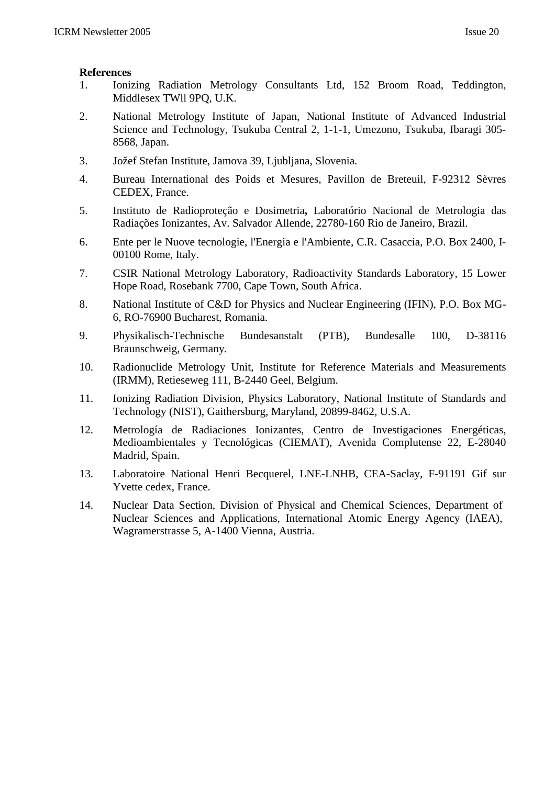- 1. Ionizing Radiation Metrology Consultants Ltd, 152 Broom Road, Teddington, Middlesex TWll 9PQ, U.K.
- 2. National Metrology Institute of Japan, National Institute of Advanced Industrial Science and Technology, Tsukuba Central 2, 1-1-1, Umezono, Tsukuba, Ibaragi 305- 8568, Japan.
- 3. Jožef Stefan Institute, Jamova 39, Ljubljana, Slovenia.
- 4. Bureau International des Poids et Mesures, Pavillon de Breteuil, F-92312 Sèvres CEDEX, France.
- 5. Instituto de Radioproteção e Dosimetria**,** Laboratório Nacional de Metrologia das Radiações Ionizantes, Av. Salvador Allende, 22780-160 Rio de Janeiro, Brazil.
- 6. Ente per le Nuove tecnologie, l'Energia e l'Ambiente, C.R. Casaccia, P.O. Box 2400, I-00100 Rome, Italy.
- 7. CSIR National Metrology Laboratory, Radioactivity Standards Laboratory, 15 Lower Hope Road, Rosebank 7700, Cape Town, South Africa.
- 8. National Institute of C&D for Physics and Nuclear Engineering (IFIN), P.O. Box MG-6, RO-76900 Bucharest, Romania.
- 9. Physikalisch-Technische Bundesanstalt (PTB), Bundesalle 100, D-38116 Braunschweig, Germany.
- 10. Radionuclide Metrology Unit, Institute for Reference Materials and Measurements (IRMM), Retieseweg 111, B-2440 Geel, Belgium.
- 11. Ionizing Radiation Division, Physics Laboratory, National Institute of Standards and Technology (NIST), Gaithersburg, Maryland, 20899-8462, U.S.A.
- 12. Metrología de Radiaciones Ionizantes, Centro de Investigaciones Energéticas, Medioambientales y Tecnológicas (CIEMAT), Avenida Complutense 22, E-28040 Madrid, Spain.
- 13. Laboratoire National Henri Becquerel, LNE-LNHB, CEA-Saclay, F-91191 Gif sur Yvette cedex, France.
- 14. Nuclear Data Section, Division of Physical and Chemical Sciences, Department of Nuclear Sciences and Applications, International Atomic Energy Agency (IAEA), Wagramerstrasse 5, A-1400 Vienna, Austria.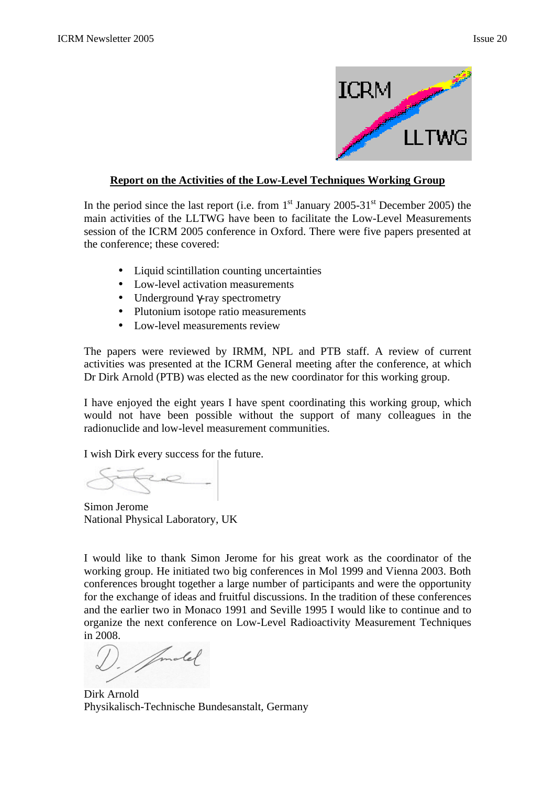

## **Report on the Activities of the Low-Level Techniques Working Group**

In the period since the last report (i.e. from  $1<sup>st</sup>$  January 2005-31<sup>st</sup> December 2005) the main activities of the LLTWG have been to facilitate the Low-Level Measurements session of the ICRM 2005 conference in Oxford. There were five papers presented at the conference; these covered:

- Liquid scintillation counting uncertainties
- Low-level activation measurements
- Underground γ-ray spectrometry
- Plutonium isotope ratio measurements
- Low-level measurements review

The papers were reviewed by IRMM, NPL and PTB staff. A review of current activities was presented at the ICRM General meeting after the conference, at which Dr Dirk Arnold (PTB) was elected as the new coordinator for this working group.

I have enjoyed the eight years I have spent coordinating this working group, which would not have been possible without the support of many colleagues in the radionuclide and low-level measurement communities.

I wish Dirk every success for the future.

Simon Jerome National Physical Laboratory, UK

I would like to thank Simon Jerome for his great work as the coordinator of the working group. He initiated two big conferences in Mol 1999 and Vienna 2003. Both conferences brought together a large number of participants and were the opportunity for the exchange of ideas and fruitful discussions. In the tradition of these conferences and the earlier two in Monaco 1991 and Seville 1995 I would like to continue and to organize the next conference on Low-Level Radioactivity Measurement Techniques in 2008.

Amalel

Dirk Arnold Physikalisch-Technische Bundesanstalt, Germany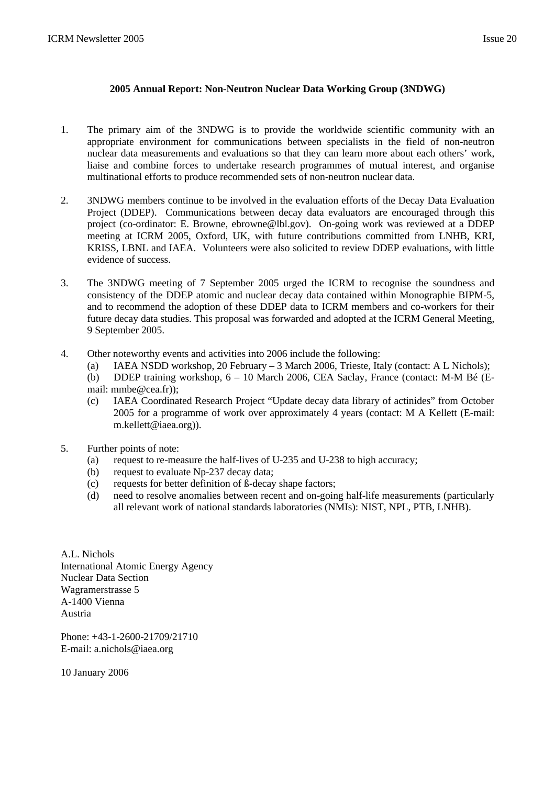#### **2005 Annual Report: Non-Neutron Nuclear Data Working Group (3NDWG)**

- 1. The primary aim of the 3NDWG is to provide the worldwide scientific community with an appropriate environment for communications between specialists in the field of non-neutron nuclear data measurements and evaluations so that they can learn more about each others' work, liaise and combine forces to undertake research programmes of mutual interest, and organise multinational efforts to produce recommended sets of non-neutron nuclear data.
- 2. 3NDWG members continue to be involved in the evaluation efforts of the Decay Data Evaluation Project (DDEP). Communications between decay data evaluators are encouraged through this project (co-ordinator: E. Browne, ebrowne@lbl.gov). On-going work was reviewed at a DDEP meeting at ICRM 2005, Oxford, UK, with future contributions committed from LNHB, KRI, KRISS, LBNL and IAEA. Volunteers were also solicited to review DDEP evaluations, with little evidence of success.
- 3. The 3NDWG meeting of 7 September 2005 urged the ICRM to recognise the soundness and consistency of the DDEP atomic and nuclear decay data contained within Monographie BIPM-5, and to recommend the adoption of these DDEP data to ICRM members and co-workers for their future decay data studies. This proposal was forwarded and adopted at the ICRM General Meeting, 9 September 2005.
- 4. Other noteworthy events and activities into 2006 include the following:
	- (a) IAEA NSDD workshop, 20 February 3 March 2006, Trieste, Italy (contact: A L Nichols);
	- (b) DDEP training workshop, 6 10 March 2006, CEA Saclay, France (contact: M-M Bé (Email: mmbe@cea.fr));
	- (c) IAEA Coordinated Research Project "Update decay data library of actinides" from October 2005 for a programme of work over approximately 4 years (contact: M A Kellett (E-mail: m.kellett@iaea.org)).
- 5. Further points of note:
	- (a) request to re-measure the half-lives of U-235 and U-238 to high accuracy;
	- (b) request to evaluate Np-237 decay data;
	- (c) requests for better definition of ß-decay shape factors;
	- (d) need to resolve anomalies between recent and on-going half-life measurements (particularly all relevant work of national standards laboratories (NMIs): NIST, NPL, PTB, LNHB).

A.L. Nichols International Atomic Energy Agency Nuclear Data Section Wagramerstrasse 5 A-1400 Vienna Austria

Phone: +43-1-2600-21709/21710 E-mail: a.nichols@iaea.org

10 January 2006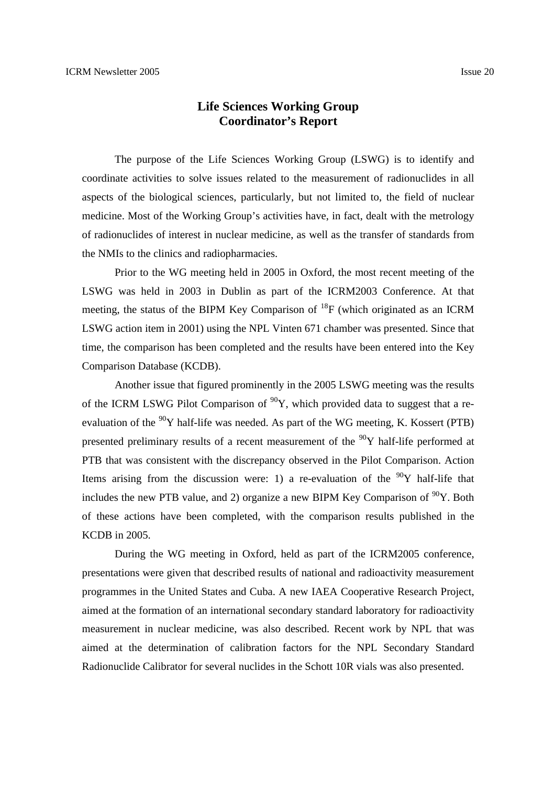## **Life Sciences Working Group Coordinator's Report**

The purpose of the Life Sciences Working Group (LSWG) is to identify and coordinate activities to solve issues related to the measurement of radionuclides in all aspects of the biological sciences, particularly, but not limited to, the field of nuclear medicine. Most of the Working Group's activities have, in fact, dealt with the metrology of radionuclides of interest in nuclear medicine, as well as the transfer of standards from the NMIs to the clinics and radiopharmacies.

Prior to the WG meeting held in 2005 in Oxford, the most recent meeting of the LSWG was held in 2003 in Dublin as part of the ICRM2003 Conference. At that meeting, the status of the BIPM Key Comparison of  $^{18}F$  (which originated as an ICRM LSWG action item in 2001) using the NPL Vinten 671 chamber was presented. Since that time, the comparison has been completed and the results have been entered into the Key Comparison Database (KCDB).

Another issue that figured prominently in the 2005 LSWG meeting was the results of the ICRM LSWG Pilot Comparison of  $^{90}Y$ , which provided data to suggest that a reevaluation of the <sup>90</sup>Y half-life was needed. As part of the WG meeting, K. Kossert (PTB) presented preliminary results of a recent measurement of the  $90Y$  half-life performed at PTB that was consistent with the discrepancy observed in the Pilot Comparison. Action Items arising from the discussion were: 1) a re-evaluation of the  $90Y$  half-life that includes the new PTB value, and 2) organize a new BIPM Key Comparison of  $90Y$ . Both of these actions have been completed, with the comparison results published in the KCDB in 2005.

 During the WG meeting in Oxford, held as part of the ICRM2005 conference, presentations were given that described results of national and radioactivity measurement programmes in the United States and Cuba. A new IAEA Cooperative Research Project, aimed at the formation of an international secondary standard laboratory for radioactivity measurement in nuclear medicine, was also described. Recent work by NPL that was aimed at the determination of calibration factors for the NPL Secondary Standard Radionuclide Calibrator for several nuclides in the Schott 10R vials was also presented.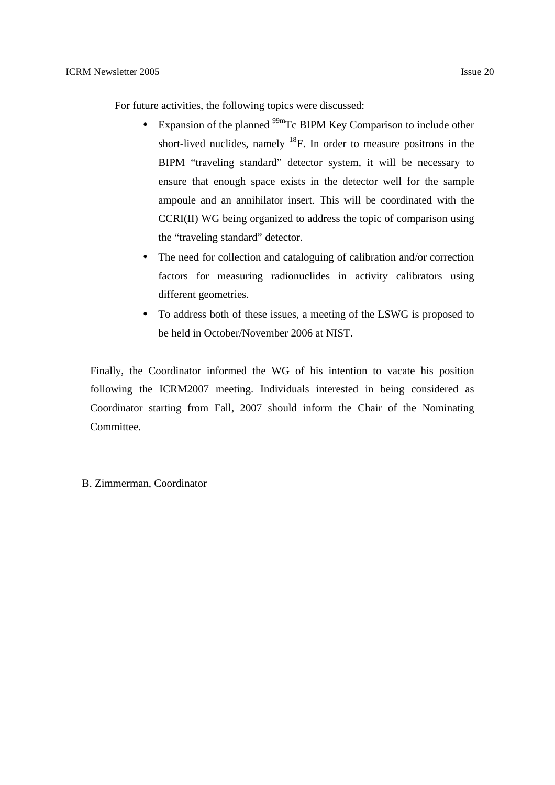For future activities, the following topics were discussed:

- Expansion of the planned  $^{99m}$ Tc BIPM Key Comparison to include other short-lived nuclides, namely  $^{18}F$ . In order to measure positrons in the BIPM "traveling standard" detector system, it will be necessary to ensure that enough space exists in the detector well for the sample ampoule and an annihilator insert. This will be coordinated with the CCRI(II) WG being organized to address the topic of comparison using the "traveling standard" detector.
- The need for collection and cataloguing of calibration and/or correction factors for measuring radionuclides in activity calibrators using different geometries.
- To address both of these issues, a meeting of the LSWG is proposed to be held in October/November 2006 at NIST.

Finally, the Coordinator informed the WG of his intention to vacate his position following the ICRM2007 meeting. Individuals interested in being considered as Coordinator starting from Fall, 2007 should inform the Chair of the Nominating Committee.

## B. Zimmerman, Coordinator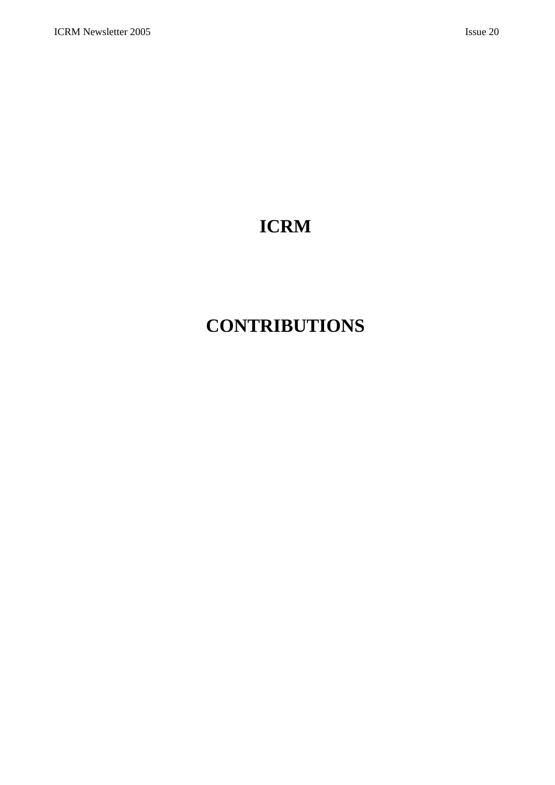# **ICRM**

# **CONTRIBUTIONS**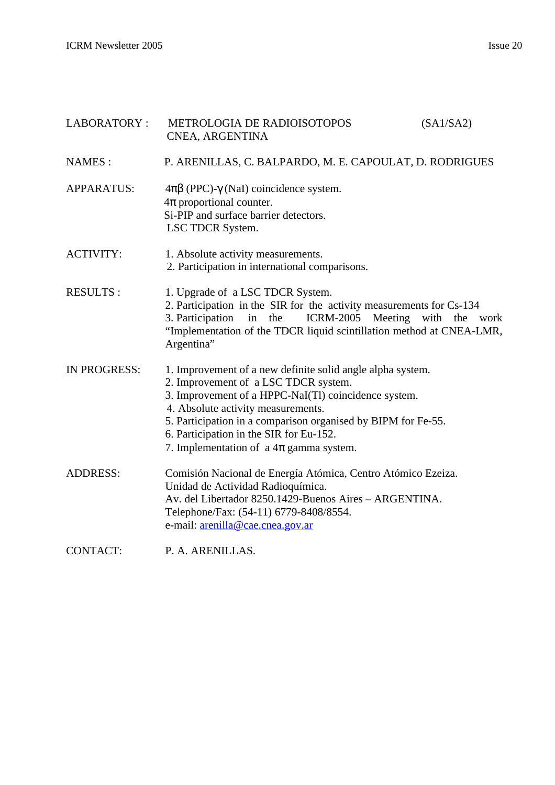| LABORATORY:         | METROLOGIA DE RADIOISOTOPOS<br>CNEA, ARGENTINA                                                                                                                                                                                                                                                                                                              | (SA1/SA2)             |
|---------------------|-------------------------------------------------------------------------------------------------------------------------------------------------------------------------------------------------------------------------------------------------------------------------------------------------------------------------------------------------------------|-----------------------|
| NAMES:              | P. ARENILLAS, C. BALPARDO, M. E. CAPOULAT, D. RODRIGUES                                                                                                                                                                                                                                                                                                     |                       |
| <b>APPARATUS:</b>   | $4\pi\beta$ (PPC)- $\gamma$ (NaI) coincidence system.<br>$4\pi$ proportional counter.<br>Si-PIP and surface barrier detectors.<br>LSC TDCR System.                                                                                                                                                                                                          |                       |
| <b>ACTIVITY:</b>    | 1. Absolute activity measurements.<br>2. Participation in international comparisons.                                                                                                                                                                                                                                                                        |                       |
| <b>RESULTS:</b>     | 1. Upgrade of a LSC TDCR System.<br>2. Participation in the SIR for the activity measurements for Cs-134<br>3. Participation<br><b>ICRM-2005</b><br>in<br>the<br>"Implementation of the TDCR liquid scintillation method at CNEA-LMR,<br>Argentina"                                                                                                         | Meeting with the work |
| <b>IN PROGRESS:</b> | 1. Improvement of a new definite solid angle alpha system.<br>2. Improvement of a LSC TDCR system.<br>3. Improvement of a HPPC-NaI(Tl) coincidence system.<br>4. Absolute activity measurements.<br>5. Participation in a comparison organised by BIPM for Fe-55.<br>6. Participation in the SIR for Eu-152.<br>7. Implementation of a $4\pi$ gamma system. |                       |
| <b>ADDRESS:</b>     | Comisión Nacional de Energía Atómica, Centro Atómico Ezeiza.<br>Unidad de Actividad Radioquímica.<br>Av. del Libertador 8250.1429-Buenos Aires - ARGENTINA.<br>Telephone/Fax: (54-11) 6779-8408/8554.<br>e-mail: arenilla@cae.cnea.gov.ar                                                                                                                   |                       |
| <b>CONTACT:</b>     | P. A. ARENILLAS.                                                                                                                                                                                                                                                                                                                                            |                       |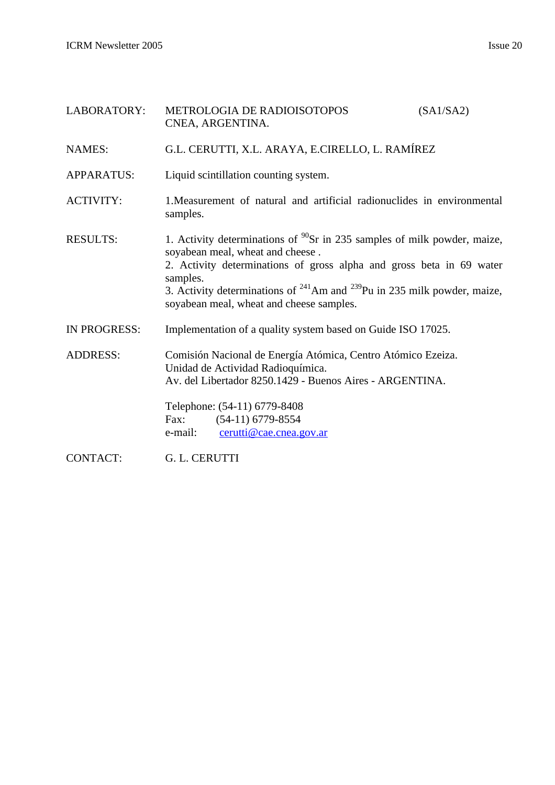| LABORATORY:       | METROLOGIA DE RADIOISOTOPOS<br>CNEA, ARGENTINA.                                                                                                                                                                                                                                                                                     | (SA1/SA2) |
|-------------------|-------------------------------------------------------------------------------------------------------------------------------------------------------------------------------------------------------------------------------------------------------------------------------------------------------------------------------------|-----------|
| <b>NAMES:</b>     | G.L. CERUTTI, X.L. ARAYA, E.CIRELLO, L. RAMÍREZ                                                                                                                                                                                                                                                                                     |           |
| <b>APPARATUS:</b> | Liquid scintillation counting system.                                                                                                                                                                                                                                                                                               |           |
| <b>ACTIVITY:</b>  | 1. Measurement of natural and artificial radionuclides in environmental<br>samples.                                                                                                                                                                                                                                                 |           |
| <b>RESULTS:</b>   | 1. Activity determinations of $^{90}Sr$ in 235 samples of milk powder, maize,<br>soyabean meal, wheat and cheese.<br>2. Activity determinations of gross alpha and gross beta in 69 water<br>samples.<br>3. Activity determinations of $241$ Am and $239$ Pu in 235 milk powder, maize,<br>soyabean meal, wheat and cheese samples. |           |
| IN PROGRESS:      | Implementation of a quality system based on Guide ISO 17025.                                                                                                                                                                                                                                                                        |           |
| <b>ADDRESS:</b>   | Comisión Nacional de Energía Atómica, Centro Atómico Ezeiza.<br>Unidad de Actividad Radioquímica.<br>Av. del Libertador 8250.1429 - Buenos Aires - ARGENTINA.                                                                                                                                                                       |           |
|                   | Telephone: (54-11) 6779-8408<br>$(54-11)$ 6779-8554<br>Fax:<br>cerutti@cae.cnea.gov.ar<br>e-mail:                                                                                                                                                                                                                                   |           |
| <b>CONTACT:</b>   | G. L. CERUTTI                                                                                                                                                                                                                                                                                                                       |           |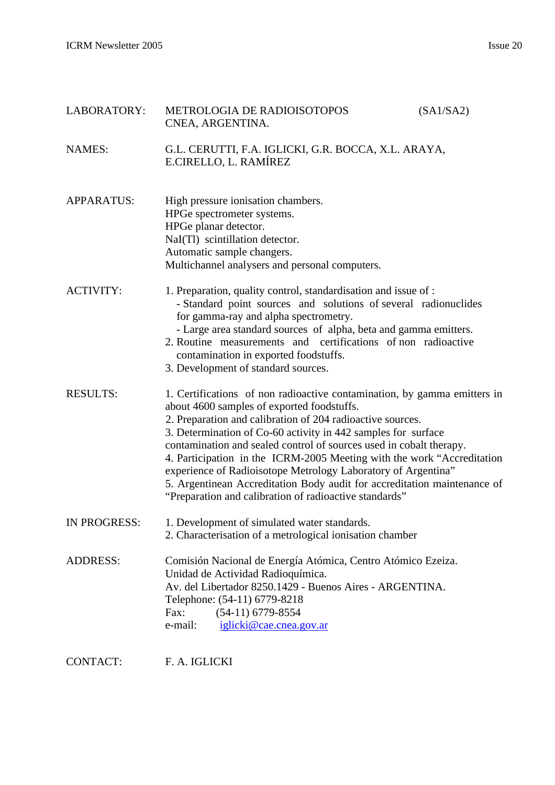ICRM Newsletter 2005 Issue 20

| LABORATORY:       | METROLOGIA DE RADIOISOTOPOS<br>CNEA, ARGENTINA.                                                                                                                                                                                                                                                                                                                                                                                                                                                                                                                                                               |  | (SA1/SA2) |
|-------------------|---------------------------------------------------------------------------------------------------------------------------------------------------------------------------------------------------------------------------------------------------------------------------------------------------------------------------------------------------------------------------------------------------------------------------------------------------------------------------------------------------------------------------------------------------------------------------------------------------------------|--|-----------|
| <b>NAMES:</b>     | G.L. CERUTTI, F.A. IGLICKI, G.R. BOCCA, X.L. ARAYA,<br>E.CIRELLO, L. RAMÍREZ                                                                                                                                                                                                                                                                                                                                                                                                                                                                                                                                  |  |           |
| <b>APPARATUS:</b> | High pressure ionisation chambers.<br>HPGe spectrometer systems.<br>HPGe planar detector.<br>NaI(Tl) scintillation detector.<br>Automatic sample changers.<br>Multichannel analysers and personal computers.                                                                                                                                                                                                                                                                                                                                                                                                  |  |           |
| <b>ACTIVITY:</b>  | 1. Preparation, quality control, standardisation and issue of :<br>- Standard point sources and solutions of several radionuclides<br>for gamma-ray and alpha spectrometry.<br>- Large area standard sources of alpha, beta and gamma emitters.<br>2. Routine measurements and certifications of non radioactive<br>contamination in exported foodstuffs.<br>3. Development of standard sources.                                                                                                                                                                                                              |  |           |
| <b>RESULTS:</b>   | 1. Certifications of non radioactive contamination, by gamma emitters in<br>about 4600 samples of exported foodstuffs.<br>2. Preparation and calibration of 204 radioactive sources.<br>3. Determination of Co-60 activity in 442 samples for surface<br>contamination and sealed control of sources used in cobalt therapy.<br>4. Participation in the ICRM-2005 Meeting with the work "Accreditation<br>experience of Radioisotope Metrology Laboratory of Argentina"<br>5. Argentinean Accreditation Body audit for accreditation maintenance of<br>"Preparation and calibration of radioactive standards" |  |           |
| IN PROGRESS:      | 1. Development of simulated water standards.<br>2. Characterisation of a metrological ionisation chamber                                                                                                                                                                                                                                                                                                                                                                                                                                                                                                      |  |           |
| <b>ADDRESS:</b>   | Comisión Nacional de Energía Atómica, Centro Atómico Ezeiza.<br>Unidad de Actividad Radioquímica.<br>Av. del Libertador 8250.1429 - Buenos Aires - ARGENTINA.<br>Telephone: (54-11) 6779-8218<br>$(54-11)$ 6779-8554<br>Fax:<br>e-mail:<br>iglicki@cae.cnea.gov.ar                                                                                                                                                                                                                                                                                                                                            |  |           |
| <b>CONTACT:</b>   | F. A. IGLICKI                                                                                                                                                                                                                                                                                                                                                                                                                                                                                                                                                                                                 |  |           |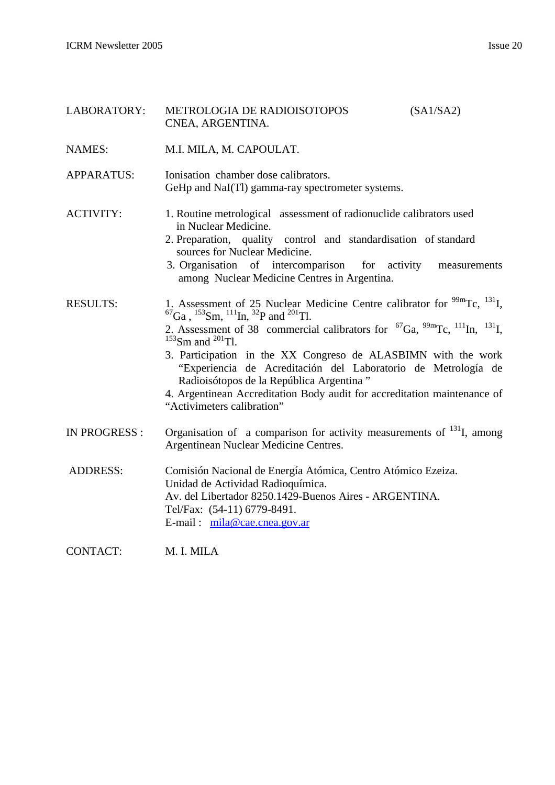| LABORATORY:         | METROLOGIA DE RADIOISOTOPOS<br>(SA1/SA2)<br>CNEA, ARGENTINA.                                                                                                                                                                                                                                                                                                                                                                                                                                                                                                                                                |  |
|---------------------|-------------------------------------------------------------------------------------------------------------------------------------------------------------------------------------------------------------------------------------------------------------------------------------------------------------------------------------------------------------------------------------------------------------------------------------------------------------------------------------------------------------------------------------------------------------------------------------------------------------|--|
| <b>NAMES:</b>       | M.I. MILA, M. CAPOULAT.                                                                                                                                                                                                                                                                                                                                                                                                                                                                                                                                                                                     |  |
| APPARATUS:          | Ionisation chamber dose calibrators.<br>GeHp and NaI(Tl) gamma-ray spectrometer systems.                                                                                                                                                                                                                                                                                                                                                                                                                                                                                                                    |  |
| <b>ACTIVITY:</b>    | 1. Routine metrological assessment of radionuclide calibrators used<br>in Nuclear Medicine.<br>2. Preparation, quality control and standardisation of standard<br>sources for Nuclear Medicine.<br>3. Organisation of intercomparison for activity<br>measurements<br>among Nuclear Medicine Centres in Argentina.                                                                                                                                                                                                                                                                                          |  |
| <b>RESULTS:</b>     | 1. Assessment of 25 Nuclear Medicine Centre calibrator for $\frac{99m}{\text{TC}}$ , $^{131}$ I,<br>${}^{67}Ga$ , ${}^{153}Sm$ , ${}^{111}In$ , ${}^{32}P$ and ${}^{201}Tl$ .<br>2. Assessment of 38 commercial calibrators for ${}^{67}Ga$ , ${}^{99m}Te$ , ${}^{111}In$ , ${}^{131}I$ ,<br>$153$ Sm and $201$ Tl.<br>3. Participation in the XX Congreso de ALASBIMN with the work<br>"Experiencia de Acreditación del Laboratorio de Metrología de<br>Radioisótopos de la República Argentina"<br>4. Argentinean Accreditation Body audit for accreditation maintenance of<br>"Activimeters calibration" |  |
| <b>IN PROGRESS:</b> | Organisation of a comparison for activity measurements of $^{131}$ I, among<br>Argentinean Nuclear Medicine Centres.                                                                                                                                                                                                                                                                                                                                                                                                                                                                                        |  |
| <b>ADDRESS:</b>     | Comisión Nacional de Energía Atómica, Centro Atómico Ezeiza.<br>Unidad de Actividad Radioquímica.<br>Av. del Libertador 8250.1429-Buenos Aires - ARGENTINA.<br>Tel/Fax: (54-11) 6779-8491.<br>E-mail: mila@cae.cnea.gov.ar                                                                                                                                                                                                                                                                                                                                                                                  |  |

CONTACT: M. I. MILA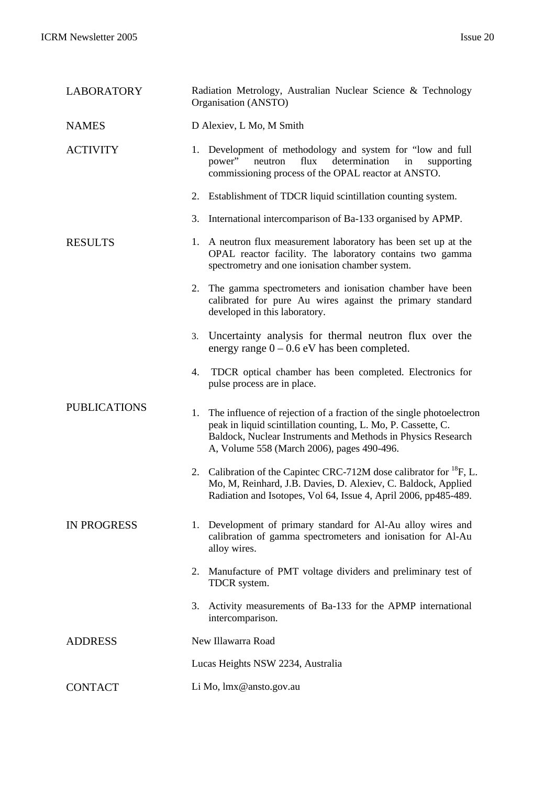| <b>LABORATORY</b>   | Radiation Metrology, Australian Nuclear Science & Technology<br>Organisation (ANSTO)                                                                                                                                                                      |
|---------------------|-----------------------------------------------------------------------------------------------------------------------------------------------------------------------------------------------------------------------------------------------------------|
| <b>NAMES</b>        | D Alexiev, L Mo, M Smith                                                                                                                                                                                                                                  |
| <b>ACTIVITY</b>     | 1. Development of methodology and system for "low and full<br>neutron<br>flux<br>determination<br>power"<br>in<br>supporting<br>commissioning process of the OPAL reactor at ANSTO.                                                                       |
|                     | 2. Establishment of TDCR liquid scintillation counting system.                                                                                                                                                                                            |
|                     | International intercomparison of Ba-133 organised by APMP.<br>3.                                                                                                                                                                                          |
| <b>RESULTS</b>      | 1. A neutron flux measurement laboratory has been set up at the<br>OPAL reactor facility. The laboratory contains two gamma<br>spectrometry and one ionisation chamber system.                                                                            |
|                     | The gamma spectrometers and ionisation chamber have been<br>2.<br>calibrated for pure Au wires against the primary standard<br>developed in this laboratory.                                                                                              |
|                     | Uncertainty analysis for thermal neutron flux over the<br>3.<br>energy range $0 - 0.6$ eV has been completed.                                                                                                                                             |
|                     | TDCR optical chamber has been completed. Electronics for<br>4.<br>pulse process are in place.                                                                                                                                                             |
| <b>PUBLICATIONS</b> | The influence of rejection of a fraction of the single photoelectron<br>1.<br>peak in liquid scintillation counting, L. Mo, P. Cassette, C.<br>Baldock, Nuclear Instruments and Methods in Physics Research<br>A, Volume 558 (March 2006), pages 490-496. |
|                     | Calibration of the Capintec CRC-712M dose calibrator for <sup>18</sup> F, L.<br>2.<br>Mo, M, Reinhard, J.B. Davies, D. Alexiev, C. Baldock, Applied<br>Radiation and Isotopes, Vol 64, Issue 4, April 2006, pp485-489.                                    |
| <b>IN PROGRESS</b>  | Development of primary standard for Al-Au alloy wires and<br>1.<br>calibration of gamma spectrometers and ionisation for Al-Au<br>alloy wires.                                                                                                            |
|                     | Manufacture of PMT voltage dividers and preliminary test of<br>2.<br>TDCR system.                                                                                                                                                                         |
|                     | Activity measurements of Ba-133 for the APMP international<br>3.<br>intercomparison.                                                                                                                                                                      |
| <b>ADDRESS</b>      | New Illawarra Road                                                                                                                                                                                                                                        |
|                     | Lucas Heights NSW 2234, Australia                                                                                                                                                                                                                         |
| <b>CONTACT</b>      | Li Mo, lmx@ansto.gov.au                                                                                                                                                                                                                                   |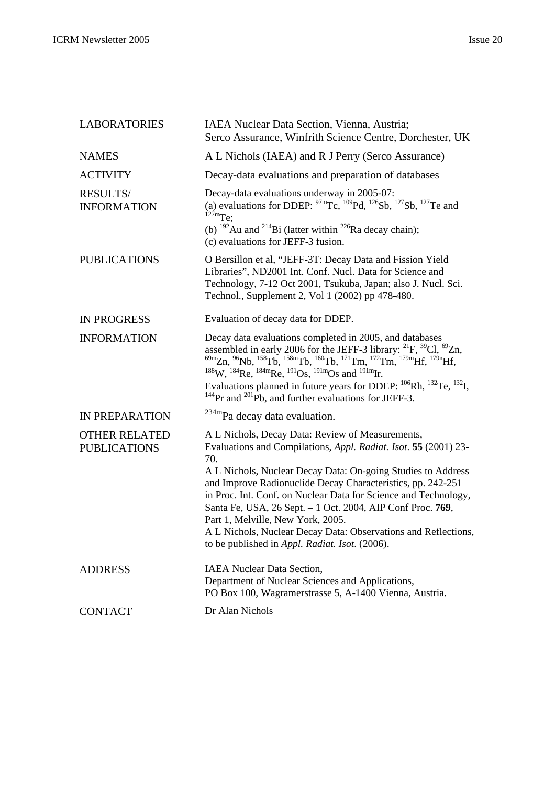| <b>LABORATORIES</b>                         | IAEA Nuclear Data Section, Vienna, Austria;<br>Serco Assurance, Winfrith Science Centre, Dorchester, UK                                                                                                                                                                                                                                                                                                                                                                                                                                                                                                                           |
|---------------------------------------------|-----------------------------------------------------------------------------------------------------------------------------------------------------------------------------------------------------------------------------------------------------------------------------------------------------------------------------------------------------------------------------------------------------------------------------------------------------------------------------------------------------------------------------------------------------------------------------------------------------------------------------------|
| <b>NAMES</b>                                | A L Nichols (IAEA) and R J Perry (Serco Assurance)                                                                                                                                                                                                                                                                                                                                                                                                                                                                                                                                                                                |
| <b>ACTIVITY</b>                             | Decay-data evaluations and preparation of databases                                                                                                                                                                                                                                                                                                                                                                                                                                                                                                                                                                               |
| <b>RESULTS/</b><br><b>INFORMATION</b>       | Decay-data evaluations underway in 2005-07:<br>(a) evaluations for DDEP: ${}^{97m}\text{Tc}$ , ${}^{109}\text{Pd}$ , ${}^{126}\text{Sb}$ , ${}^{127}\text{Sb}$ , ${}^{127}\text{Te}$ and<br>$127 \text{m}$ Te;                                                                                                                                                                                                                                                                                                                                                                                                                    |
|                                             | (b) $^{192}$ Au and $^{214}$ Bi (latter within $^{226}$ Ra decay chain);<br>(c) evaluations for JEFF-3 fusion.                                                                                                                                                                                                                                                                                                                                                                                                                                                                                                                    |
| <b>PUBLICATIONS</b>                         | O Bersillon et al, "JEFF-3T: Decay Data and Fission Yield<br>Libraries", ND2001 Int. Conf. Nucl. Data for Science and<br>Technology, 7-12 Oct 2001, Tsukuba, Japan; also J. Nucl. Sci.<br>Technol., Supplement 2, Vol 1 (2002) pp 478-480.                                                                                                                                                                                                                                                                                                                                                                                        |
| <b>IN PROGRESS</b>                          | Evaluation of decay data for DDEP.                                                                                                                                                                                                                                                                                                                                                                                                                                                                                                                                                                                                |
| <b>INFORMATION</b>                          | Decay data evaluations completed in 2005, and databases<br>assembled in early 2006 for the JEFF-3 library: <sup>21</sup> F, <sup>39</sup> Cl, <sup>69</sup> Zn,<br><sup>69m</sup> Zn, <sup>96</sup> Nb, <sup>158</sup> Tb, <sup>158m</sup> Tb, <sup>160</sup> Tb, <sup>171</sup> Tm, <sup>172</sup> Tm, <sup>179m</sup> Hf, <sup>179n</sup> Hf, <sup>188</sup> W, <sup>184</sup> Re, <sup>184m</sup> Re, <sup>191</sup> Os, <sup>191m</sup> Os and <sup>191m</sup> Ir.<br>Evaluations planned in future years for DDEP: $^{106}$ Rh, $^{132}$ Te, $^{132}$ I,<br>$^{144}$ Pr and $^{201}$ Pb, and further evaluations for JEFF-3. |
| IN PREPARATION                              | <sup>234m</sup> Pa decay data evaluation.                                                                                                                                                                                                                                                                                                                                                                                                                                                                                                                                                                                         |
| <b>OTHER RELATED</b><br><b>PUBLICATIONS</b> | A L Nichols, Decay Data: Review of Measurements,<br>Evaluations and Compilations, Appl. Radiat. Isot. 55 (2001) 23-<br>70.                                                                                                                                                                                                                                                                                                                                                                                                                                                                                                        |
|                                             | A L Nichols, Nuclear Decay Data: On-going Studies to Address<br>and Improve Radionuclide Decay Characteristics, pp. 242-251<br>in Proc. Int. Conf. on Nuclear Data for Science and Technology,<br>Santa Fe, USA, 26 Sept. - 1 Oct. 2004, AIP Conf Proc. 769,<br>Part 1, Melville, New York, 2005.<br>A L Nichols, Nuclear Decay Data: Observations and Reflections,                                                                                                                                                                                                                                                               |
|                                             | to be published in Appl. Radiat. Isot. (2006).                                                                                                                                                                                                                                                                                                                                                                                                                                                                                                                                                                                    |
| <b>ADDRESS</b>                              | <b>IAEA Nuclear Data Section,</b><br>Department of Nuclear Sciences and Applications,<br>PO Box 100, Wagramerstrasse 5, A-1400 Vienna, Austria.                                                                                                                                                                                                                                                                                                                                                                                                                                                                                   |
| <b>CONTACT</b>                              | Dr Alan Nichols                                                                                                                                                                                                                                                                                                                                                                                                                                                                                                                                                                                                                   |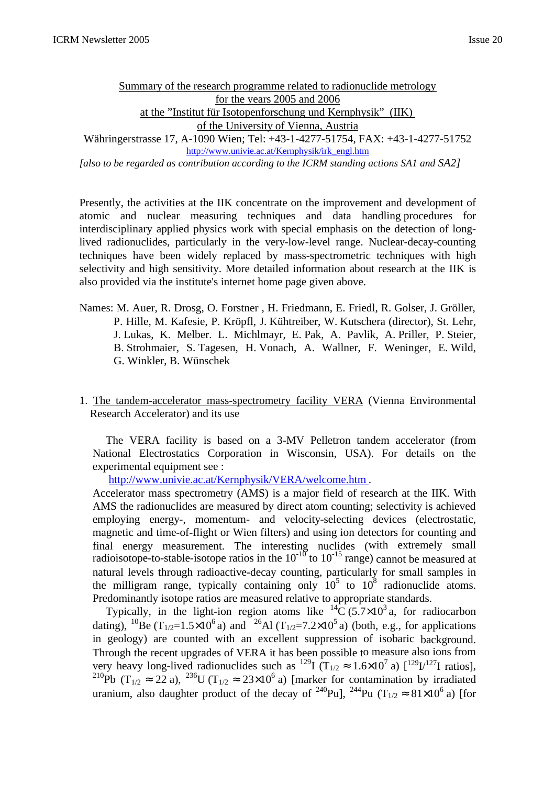Summary of the research programme related to radionuclide metrology for the years 2005 and 2006 at the "Institut für Isotopenforschung und Kernphysik" (IIK) of the University of Vienna, Austria

Währingerstrasse 17, A-1090 Wien; Tel: +43-1-4277-51754, FAX: +43-1-4277-51752 http://www.univie.ac.at/Kernphysik/irk\_engl.htm

*[also to be regarded as contribution according to the ICRM standing actions SA1 and SA2]*

Presently, the activities at the IIK concentrate on the improvement and development of atomic and nuclear measuring techniques and data handling procedures for interdisciplinary applied physics work with special emphasis on the detection of longlived radionuclides, particularly in the very-low-level range. Nuclear-decay-counting techniques have been widely replaced by mass-spectrometric techniques with high selectivity and high sensitivity. More detailed information about research at the IIK is also provided via the institute's internet home page given above.

- Names: M. Auer, R. Drosg, O. Forstner , H. Friedmann, E. Friedl, R. Golser, J. Gröller, P. Hille, M. Kafesie, P. Kröpfl, J. Kühtreiber, W. Kutschera (director), St. Lehr, J. Lukas, K. Melber. L. Michlmayr, E. Pak, A. Pavlik, A. Priller, P. Steier, B. Strohmaier, S. Tagesen, H. Vonach, A. Wallner, F. Weninger, E. Wild, G. Winkler, B. Wünschek
- 1. The tandem-accelerator mass-spectrometry facility VERA (Vienna Environmental Research Accelerator) and its use

The VERA facility is based on a 3-MV Pelletron tandem accelerator (from National Electrostatics Corporation in Wisconsin, USA). For details on the experimental equipment see :

http://www.univie.ac.at/Kernphysik/VERA/welcome.htm .

Accelerator mass spectrometry (AMS) is a major field of research at the IIK. With AMS the radionuclides are measured by direct atom counting; selectivity is achieved employing energy-, momentum- and velocity-selecting devices (electrostatic, magnetic and time-of-flight or Wien filters) and using ion detectors for counting and final energy measurement. The interesting nuclides (with extremely small radioisotope-to-stable-isotope ratios in the  $10^{-10}$  to  $10^{-15}$  range) cannot be measured at natural levels through radioactive-decay counting, particularly for small samples in the milligram range, typically containing only  $10^5$  to  $10^8$  radionuclide atoms. Predominantly isotope ratios are measured relative to appropriate standards.

Typically, in the light-ion region atoms like  ${}^{14}C$  (5.7×10<sup>3</sup> a, for radiocarbon dating), <sup>10</sup>Be (T<sub>1/2</sub>=1.5×10<sup>6</sup> a) and <sup>26</sup>Al (T<sub>1/2</sub>=7.2×10<sup>5</sup> a) (both, e.g., for applications in geology) are counted with an excellent suppression of isobaric background. Through the recent upgrades of VERA it has been possible to measure also ions from very heavy long-lived radionuclides such as <sup>129</sup>I ( $T_{1/2} \approx 1.6 \times 10^7$  a)  $\left[\frac{129}{1/27}\right]$  ratios], <sup>210</sup>Pb (T<sub>1/2</sub>  $\approx$  22 a), <sup>236</sup>U (T<sub>1/2</sub>  $\approx$  23×10<sup>6</sup> a) [marker for contamination by irradiated uranium, also daughter product of the decay of <sup>240</sup>Pu], <sup>244</sup>Pu (T<sub>1/2</sub>  $\approx 81\times10^6$  a) [for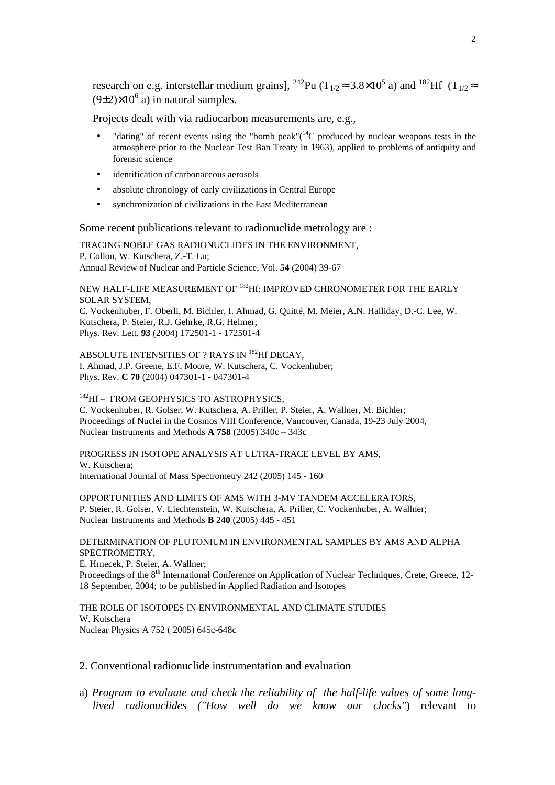research on e.g. interstellar medium grains], <sup>242</sup>Pu (T<sub>1/2</sub>  $\approx$  3.8×10<sup>5</sup> a) and <sup>182</sup>Hf (T<sub>1/2</sub> $\approx$  $(9\pm2)\times10^6$  a) in natural samples.

Projects dealt with via radiocarbon measurements are, e.g.,

- "dating" of recent events using the "bomb peak"( $14$ C produced by nuclear weapons tests in the atmosphere prior to the Nuclear Test Ban Treaty in 1963), applied to problems of antiquity and forensic science
- identification of carbonaceous aerosols
- absolute chronology of early civilizations in Central Europe
- synchronization of civilizations in the East Mediterranean

Some recent publications relevant to radionuclide metrology are :

TRACING NOBLE GAS RADIONUCLIDES IN THE ENVIRONMENT, P. Collon, W. Kutschera, Z.-T. Lu; Annual Review of Nuclear and Particle Science, Vol. **54** (2004) 39-67

NEW HALF-LIFE MEASUREMENT OF <sup>182</sup>Hf: IMPROVED CHRONOMETER FOR THE EARLY SOLAR SYSTEM,

C. Vockenhuber, F. Oberli, M. Bichler, I. Ahmad, G. Quitté, M. Meier, A.N. Halliday, D.-C. Lee, W. Kutschera, P. Steier, R.J. Gehrke, R.G. Helmer; Phys. Rev. Lett. **93** (2004) 172501-1 - 172501-4

ABSOLUTE INTENSITIES OF ? RAYS IN <sup>182</sup>Hf DECAY, I. Ahmad, J.P. Greene, E.F. Moore, W. Kutschera, C. Vockenhuber; Phys. Rev. **C 70** (2004) 047301-1 - 047301-4

<sup>182</sup>Hf – FROM GEOPHYSICS TO ASTROPHYSICS, C. Vockenhuber, R. Golser, W. Kutschera, A. Priller, P. Steier, A. Wallner, M. Bichler; Proceedings of Nuclei in the Cosmos VIII Conference, Vancouver, Canada, 19-23 July 2004, Nuclear Instruments and Methods **A 758** (2005) 340c – 343c

PROGRESS IN ISOTOPE ANALYSIS AT ULTRA-TRACE LEVEL BY AMS, W. Kutschera; International Journal of Mass Spectrometry 242 (2005) 145 - 160

OPPORTUNITIES AND LIMITS OF AMS WITH 3-MV TANDEM ACCELERATORS, P. Steier, R. Golser, V. Liechtenstein, W. Kutschera, A. Priller, C. Vockenhuber, A. Wallner; Nuclear Instruments and Methods **B 240** (2005) 445 - 451

DETERMINATION OF PLUTONIUM IN ENVIRONMENTAL SAMPLES BY AMS AND ALPHA SPECTROMETRY,

E. Hrnecek, P. Steier, A. Wallner; Proceedings of the 8<sup>th</sup> International Conference on Application of Nuclear Techniques, Crete, Greece, 12-18 September, 2004; to be published in Applied Radiation and Isotopes

THE ROLE OF ISOTOPES IN ENVIRONMENTAL AND CLIMATE STUDIES W. Kutschera Nuclear Physics A 752 ( 2005) 645c-648c

#### 2. Conventional radionuclide instrumentation and evaluation

a) *Program to evaluate and check the reliability of the half-life values of some longlived radionuclides ("How well do we know our clocks"*) relevant to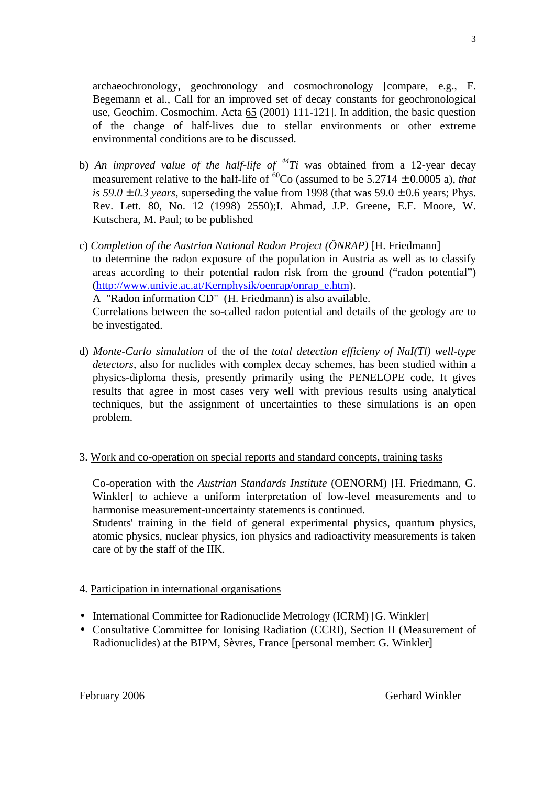archaeochronology, geochronology and cosmochronology [compare, e.g., F. Begemann et al., Call for an improved set of decay constants for geochronological use, Geochim. Cosmochim. Acta 65 (2001) 111-121]. In addition, the basic question of the change of half-lives due to stellar environments or other extreme environmental conditions are to be discussed.

- b) *An improved value of the half-life of <sup>44</sup>Ti* was obtained from a 12-year decay measurement relative to the half-life of  ${}^{60}Co$  (assumed to be 5.2714  $\pm$  0.0005 a), *that is 59.0*  $\pm$  *0.3 years, superseding the value from 1998 (that was 59.0*  $\pm$  *0.6 years; Phys.* Rev. Lett. 80, No. 12 (1998) 2550);I. Ahmad, J.P. Greene, E.F. Moore, W. Kutschera, M. Paul; to be published
- c) *Completion of the Austrian National Radon Project (ÖNRAP)* [H. Friedmann] to determine the radon exposure of the population in Austria as well as to classify areas according to their potential radon risk from the ground ("radon potential") (http://www.univie.ac.at/Kernphysik/oenrap/onrap\_e.htm). A "Radon information CD" (H. Friedmann) is also available. Correlations between the so-called radon potential and details of the geology are to be investigated.
- d) *Monte-Carlo simulation* of the of the *total detection efficieny of NaI(Tl) well-type detectors*, also for nuclides with complex decay schemes, has been studied within a physics-diploma thesis, presently primarily using the PENELOPE code. It gives results that agree in most cases very well with previous results using analytical techniques, but the assignment of uncertainties to these simulations is an open problem.

## 3. Work and co-operation on special reports and standard concepts, training tasks

Co-operation with the *Austrian Standards Institute* (OENORM) [H. Friedmann, G. Winkler] to achieve a uniform interpretation of low-level measurements and to harmonise measurement-uncertainty statements is continued.

Students' training in the field of general experimental physics, quantum physics, atomic physics, nuclear physics, ion physics and radioactivity measurements is taken care of by the staff of the IIK.

## 4. Participation in international organisations

- International Committee for Radionuclide Metrology (ICRM) [G. Winkler]
- Consultative Committee for Ionising Radiation (CCRI), Section II (Measurement of Radionuclides) at the BIPM, Sèvres, France [personal member: G. Winkler]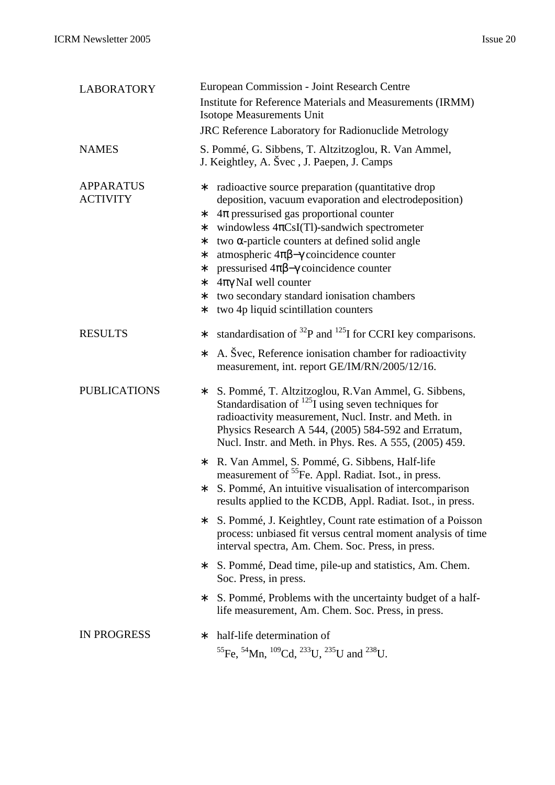| <b>LABORATORY</b>                   | European Commission - Joint Research Centre                                                                                                                                                                                                                                                                                                                                                                                                                                                                                               |
|-------------------------------------|-------------------------------------------------------------------------------------------------------------------------------------------------------------------------------------------------------------------------------------------------------------------------------------------------------------------------------------------------------------------------------------------------------------------------------------------------------------------------------------------------------------------------------------------|
|                                     | Institute for Reference Materials and Measurements (IRMM)<br><b>Isotope Measurements Unit</b>                                                                                                                                                                                                                                                                                                                                                                                                                                             |
|                                     | <b>JRC Reference Laboratory for Radionuclide Metrology</b>                                                                                                                                                                                                                                                                                                                                                                                                                                                                                |
| <b>NAMES</b>                        | S. Pommé, G. Sibbens, T. Altzitzoglou, R. Van Ammel,<br>J. Keightley, A. Švec, J. Paepen, J. Camps                                                                                                                                                                                                                                                                                                                                                                                                                                        |
| <b>APPARATUS</b><br><b>ACTIVITY</b> | radioactive source preparation (quantitative drop<br>∗<br>deposition, vacuum evaporation and electrodeposition)<br>$4\pi$ pressurised gas proportional counter<br>∗<br>windowless $4\pi$ CsI(Tl)-sandwich spectrometer<br>*<br>two $\alpha$ -particle counters at defined solid angle<br>*<br>atmospheric 4πβ-γ coincidence counter<br>*<br>pressurised $4\pi\beta-\gamma$ coincidence counter<br>*<br>$4\pi\gamma$ NaI well counter<br>*<br>two secondary standard ionisation chambers<br>*<br>two 4p liquid scintillation counters<br>* |
| <b>RESULTS</b>                      | standardisation of $^{32}P$ and $^{125}I$ for CCRI key comparisons.<br>$\ast$<br>A. Svec, Reference ionisation chamber for radioactivity<br>*<br>measurement, int. report GE/IM/RN/2005/12/16.                                                                                                                                                                                                                                                                                                                                            |
| <b>PUBLICATIONS</b>                 | S. Pommé, T. Altzitzoglou, R. Van Ammel, G. Sibbens,<br>$\ast$<br>Standardisation of $^{125}I$ using seven techniques for<br>radioactivity measurement, Nucl. Instr. and Meth. in<br>Physics Research A 544, (2005) 584-592 and Erratum,<br>Nucl. Instr. and Meth. in Phys. Res. A 555, (2005) 459.                                                                                                                                                                                                                                       |
|                                     | R. Van Ammel, S. Pommé, G. Sibbens, Half-life<br>*<br>measurement of <sup>55</sup> Fe. Appl. Radiat. Isot., in press.<br>S. Pommé, An intuitive visualisation of intercomparison<br>*<br>results applied to the KCDB, Appl. Radiat. Isot., in press.                                                                                                                                                                                                                                                                                      |
|                                     | S. Pommé, J. Keightley, Count rate estimation of a Poisson<br>*<br>process: unbiased fit versus central moment analysis of time<br>interval spectra, Am. Chem. Soc. Press, in press.                                                                                                                                                                                                                                                                                                                                                      |
|                                     | S. Pommé, Dead time, pile-up and statistics, Am. Chem.<br>*<br>Soc. Press, in press.                                                                                                                                                                                                                                                                                                                                                                                                                                                      |
|                                     | S. Pommé, Problems with the uncertainty budget of a half-<br>*<br>life measurement, Am. Chem. Soc. Press, in press.                                                                                                                                                                                                                                                                                                                                                                                                                       |
| <b>IN PROGRESS</b>                  | half-life determination of<br>*<br><sup>55</sup> Fe, <sup>54</sup> Mn, <sup>109</sup> Cd, <sup>233</sup> U, <sup>235</sup> U and <sup>238</sup> U.                                                                                                                                                                                                                                                                                                                                                                                        |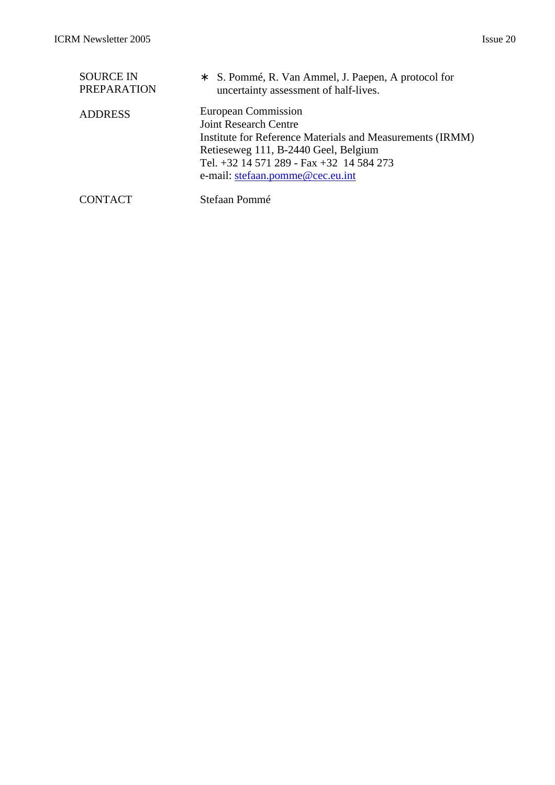| <b>SOURCE IN</b>   | * S. Pommé, R. Van Ammel, J. Paepen, A protocol for                                                                                                                                                                                      |
|--------------------|------------------------------------------------------------------------------------------------------------------------------------------------------------------------------------------------------------------------------------------|
| <b>PREPARATION</b> | uncertainty assessment of half-lives.                                                                                                                                                                                                    |
| <b>ADDRESS</b>     | European Commission<br><b>Joint Research Centre</b><br>Institute for Reference Materials and Measurements (IRMM)<br>Retieseweg 111, B-2440 Geel, Belgium<br>Tel. +32 14 571 289 - Fax +32 14 584 273<br>e-mail: stefaan.pomme@cec.eu.int |

CONTACT Stefaan Pommé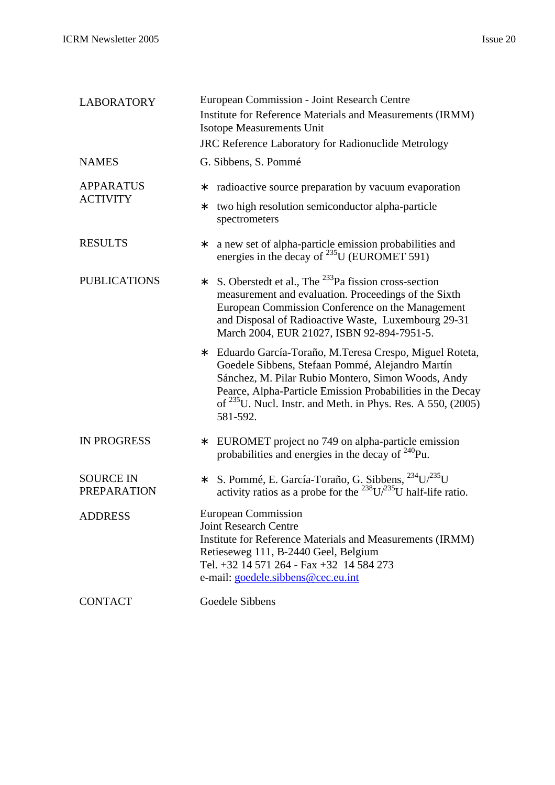| <b>LABORATORY</b>                      | European Commission - Joint Research Centre                                                                                                                                                                                                                                                                        |
|----------------------------------------|--------------------------------------------------------------------------------------------------------------------------------------------------------------------------------------------------------------------------------------------------------------------------------------------------------------------|
|                                        | Institute for Reference Materials and Measurements (IRMM)<br><b>Isotope Measurements Unit</b>                                                                                                                                                                                                                      |
|                                        | JRC Reference Laboratory for Radionuclide Metrology                                                                                                                                                                                                                                                                |
| <b>NAMES</b>                           | G. Sibbens, S. Pommé                                                                                                                                                                                                                                                                                               |
| <b>APPARATUS</b>                       | radioactive source preparation by vacuum evaporation<br>*                                                                                                                                                                                                                                                          |
| <b>ACTIVITY</b>                        | two high resolution semiconductor alpha-particle<br>$\ast$<br>spectrometers                                                                                                                                                                                                                                        |
| <b>RESULTS</b>                         | a new set of alpha-particle emission probabilities and<br>$\ast$<br>energies in the decay of $^{235}$ U (EUROMET 591)                                                                                                                                                                                              |
| <b>PUBLICATIONS</b>                    | S. Oberstedt et al., The <sup>233</sup> Pa fission cross-section<br>$\ast$<br>measurement and evaluation. Proceedings of the Sixth<br>European Commission Conference on the Management<br>and Disposal of Radioactive Waste, Luxembourg 29-31<br>March 2004, EUR 21027, ISBN 92-894-7951-5.                        |
|                                        | Eduardo García-Toraño, M. Teresa Crespo, Miguel Roteta,<br>*<br>Goedele Sibbens, Stefaan Pommé, Alejandro Martín<br>Sánchez, M. Pilar Rubio Montero, Simon Woods, Andy<br>Pearce, Alpha-Particle Emission Probabilities in the Decay<br>of $235$ U. Nucl. Instr. and Meth. in Phys. Res. A 550, (2005)<br>581-592. |
| <b>IN PROGRESS</b>                     | EUROMET project no 749 on alpha-particle emission<br>*<br>probabilities and energies in the decay of $^{240}$ Pu.                                                                                                                                                                                                  |
| <b>SOURCE IN</b><br><b>PREPARATION</b> | S. Pommé, E. García-Toraño, G. Sibbens, <sup>234</sup> U/ <sup>235</sup> U<br>*<br>activity ratios as a probe for the <sup>238</sup> U/ <sup>235</sup> U half-life ratio.                                                                                                                                          |
| <b>ADDRESS</b>                         | <b>European Commission</b><br><b>Joint Research Centre</b><br>Institute for Reference Materials and Measurements (IRMM)<br>Retieseweg 111, B-2440 Geel, Belgium<br>Tel. +32 14 571 264 - Fax +32 14 584 273<br>e-mail: goedele.sibbens@cec.eu.int                                                                  |
| <b>CONTACT</b>                         | Goedele Sibbens                                                                                                                                                                                                                                                                                                    |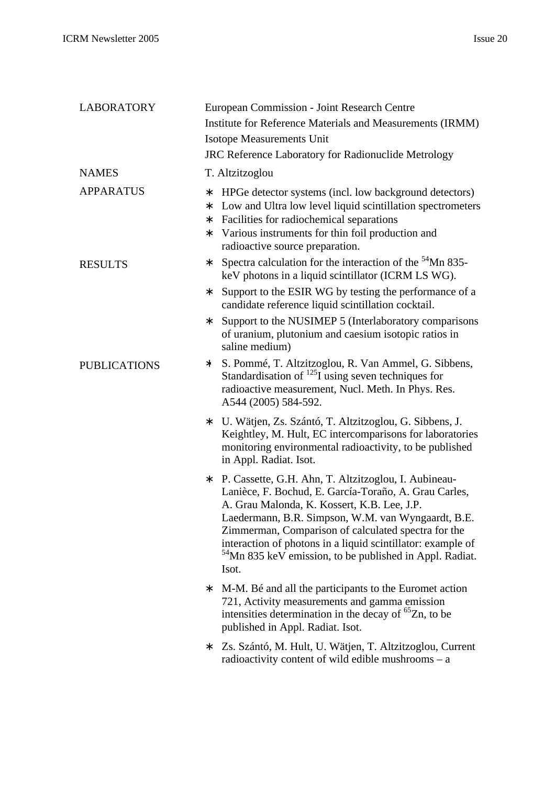| <b>LABORATORY</b>   | European Commission - Joint Research Centre                                                                                                                                                                                                                                                                                                                                                                                   |
|---------------------|-------------------------------------------------------------------------------------------------------------------------------------------------------------------------------------------------------------------------------------------------------------------------------------------------------------------------------------------------------------------------------------------------------------------------------|
|                     | Institute for Reference Materials and Measurements (IRMM)                                                                                                                                                                                                                                                                                                                                                                     |
|                     | <b>Isotope Measurements Unit</b>                                                                                                                                                                                                                                                                                                                                                                                              |
|                     | <b>JRC Reference Laboratory for Radionuclide Metrology</b>                                                                                                                                                                                                                                                                                                                                                                    |
| <b>NAMES</b>        | T. Altzitzoglou                                                                                                                                                                                                                                                                                                                                                                                                               |
| <b>APPARATUS</b>    | HPGe detector systems (incl. low background detectors)<br>*<br>Low and Ultra low level liquid scintillation spectrometers<br>*<br>Facilities for radiochemical separations<br>∗<br>Various instruments for thin foil production and<br>∗<br>radioactive source preparation.                                                                                                                                                   |
| <b>RESULTS</b>      | Spectra calculation for the interaction of the <sup>54</sup> Mn 835-<br>*<br>keV photons in a liquid scintillator (ICRM LS WG).                                                                                                                                                                                                                                                                                               |
|                     | Support to the ESIR WG by testing the performance of a<br>*<br>candidate reference liquid scintillation cocktail.                                                                                                                                                                                                                                                                                                             |
|                     | Support to the NUSIMEP 5 (Interlaboratory comparisons<br>∗<br>of uranium, plutonium and caesium isotopic ratios in<br>saline medium)                                                                                                                                                                                                                                                                                          |
| <b>PUBLICATIONS</b> | S. Pommé, T. Altzitzoglou, R. Van Ammel, G. Sibbens,<br>*<br>Standardisation of $^{125}$ I using seven techniques for<br>radioactive measurement, Nucl. Meth. In Phys. Res.<br>A544 (2005) 584-592.                                                                                                                                                                                                                           |
|                     | U. Wätjen, Zs. Szántó, T. Altzitzoglou, G. Sibbens, J.<br>*<br>Keightley, M. Hult, EC intercomparisons for laboratories<br>monitoring environmental radioactivity, to be published<br>in Appl. Radiat. Isot.                                                                                                                                                                                                                  |
|                     | P. Cassette, G.H. Ahn, T. Altzitzoglou, I. Aubineau-<br>*<br>Lanièce, F. Bochud, E. García-Toraño, A. Grau Carles,<br>A. Grau Malonda, K. Kossert, K.B. Lee, J.P.<br>Laedermann, B.R. Simpson, W.M. van Wyngaardt, B.E.<br>Zimmerman, Comparison of calculated spectra for the<br>interaction of photons in a liquid scintillator: example of<br><sup>54</sup> Mn 835 keV emission, to be published in Appl. Radiat.<br>Isot. |
|                     | M-M. Bé and all the participants to the Euromet action<br>∗<br>721, Activity measurements and gamma emission<br>intensities determination in the decay of ${}^{65}Zn$ , to be<br>published in Appl. Radiat. Isot.                                                                                                                                                                                                             |
|                     | Zs. Szántó, M. Hult, U. Wätjen, T. Altzitzoglou, Current<br>∗<br>radioactivity content of wild edible mushrooms $-$ a                                                                                                                                                                                                                                                                                                         |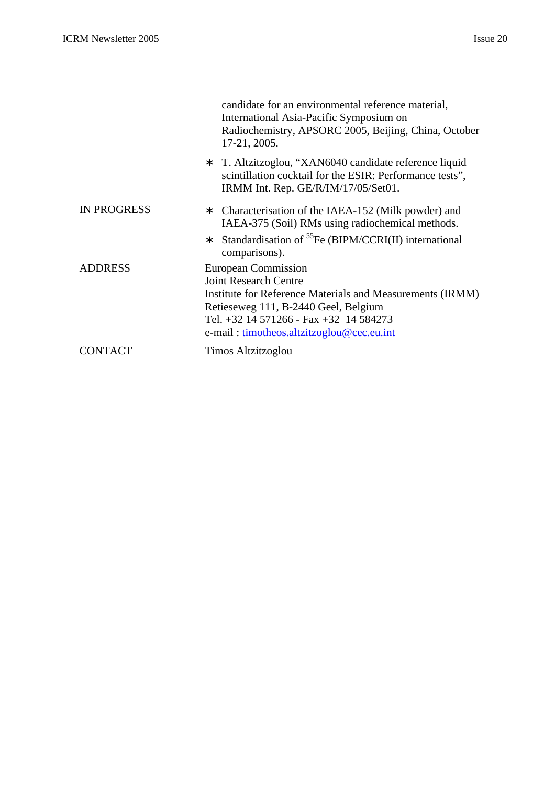|                | candidate for an environmental reference material,<br>International Asia-Pacific Symposium on<br>Radiochemistry, APSORC 2005, Beijing, China, October<br>17-21, 2005.                                                                           |
|----------------|-------------------------------------------------------------------------------------------------------------------------------------------------------------------------------------------------------------------------------------------------|
|                | T. Altzitzoglou, "XAN6040 candidate reference liquid<br>*<br>scintillation cocktail for the ESIR: Performance tests",<br>IRMM Int. Rep. GE/R/IM/17/05/Set01.                                                                                    |
| IN PROGRESS    | Characterisation of the IAEA-152 (Milk powder) and<br>*<br>IAEA-375 (Soil) RMs using radiochemical methods.                                                                                                                                     |
|                | Standardisation of <sup>55</sup> Fe (BIPM/CCRI(II) international<br>*<br>comparisons).                                                                                                                                                          |
| <b>ADDRESS</b> | European Commission<br><b>Joint Research Centre</b><br>Institute for Reference Materials and Measurements (IRMM)<br>Retieseweg 111, B-2440 Geel, Belgium<br>Tel. +32 14 571266 - Fax +32 14 584273<br>e-mail: timotheos.altzitzoglou@cec.eu.int |
| <b>CONTACT</b> | Timos Altzitzoglou                                                                                                                                                                                                                              |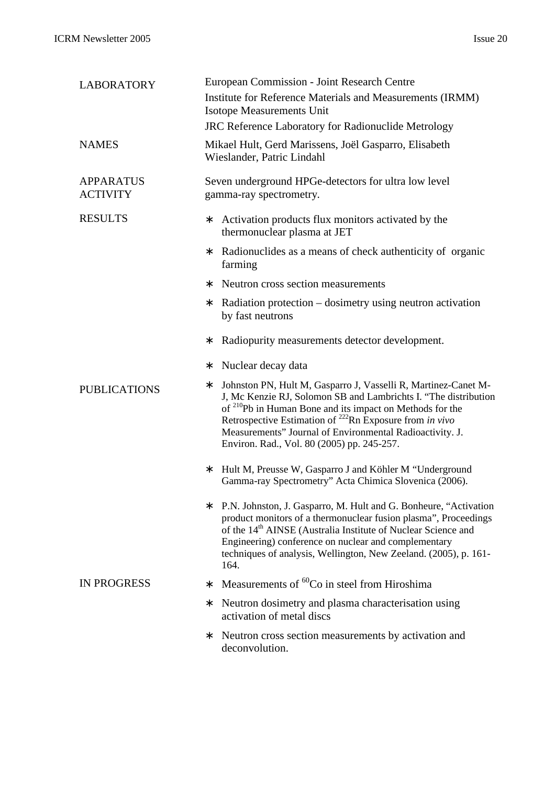| <b>LABORATORY</b>                   | European Commission - Joint Research Centre                                                                                                                                                                                                                                                                                                                                                     |
|-------------------------------------|-------------------------------------------------------------------------------------------------------------------------------------------------------------------------------------------------------------------------------------------------------------------------------------------------------------------------------------------------------------------------------------------------|
|                                     | Institute for Reference Materials and Measurements (IRMM)<br>Isotope Measurements Unit                                                                                                                                                                                                                                                                                                          |
|                                     | <b>JRC Reference Laboratory for Radionuclide Metrology</b>                                                                                                                                                                                                                                                                                                                                      |
| <b>NAMES</b>                        | Mikael Hult, Gerd Marissens, Joël Gasparro, Elisabeth<br>Wieslander, Patric Lindahl                                                                                                                                                                                                                                                                                                             |
| <b>APPARATUS</b><br><b>ACTIVITY</b> | Seven underground HPGe-detectors for ultra low level<br>gamma-ray spectrometry.                                                                                                                                                                                                                                                                                                                 |
| <b>RESULTS</b>                      | Activation products flux monitors activated by the<br>*<br>thermonuclear plasma at JET                                                                                                                                                                                                                                                                                                          |
|                                     | Radionuclides as a means of check authenticity of organic<br>*<br>farming                                                                                                                                                                                                                                                                                                                       |
|                                     | Neutron cross section measurements<br>*                                                                                                                                                                                                                                                                                                                                                         |
|                                     | Radiation protection – dosimetry using neutron activation<br>*<br>by fast neutrons                                                                                                                                                                                                                                                                                                              |
|                                     | Radiopurity measurements detector development.<br>*                                                                                                                                                                                                                                                                                                                                             |
|                                     | Nuclear decay data<br>*                                                                                                                                                                                                                                                                                                                                                                         |
| <b>PUBLICATIONS</b>                 | Johnston PN, Hult M, Gasparro J, Vasselli R, Martinez-Canet M-<br>*<br>J, Mc Kenzie RJ, Solomon SB and Lambrichts I. "The distribution<br>of <sup>210</sup> Pb in Human Bone and its impact on Methods for the<br>Retrospective Estimation of <sup>222</sup> Rn Exposure from in vivo<br>Measurements" Journal of Environmental Radioactivity. J.<br>Environ. Rad., Vol. 80 (2005) pp. 245-257. |
|                                     | Hult M, Preusse W, Gasparro J and Köhler M "Underground<br>*<br>Gamma-ray Spectrometry" Acta Chimica Slovenica (2006).                                                                                                                                                                                                                                                                          |
|                                     | P.N. Johnston, J. Gasparro, M. Hult and G. Bonheure, "Activation"<br>*<br>product monitors of a thermonuclear fusion plasma", Proceedings<br>of the 14 <sup>th</sup> AINSE (Australia Institute of Nuclear Science and<br>Engineering) conference on nuclear and complementary<br>techniques of analysis, Wellington, New Zeeland. (2005), p. 161-<br>164.                                      |
| <b>IN PROGRESS</b>                  | Measurements of <sup>60</sup> Co in steel from Hiroshima<br>*                                                                                                                                                                                                                                                                                                                                   |
|                                     | Neutron dosimetry and plasma characterisation using<br>*<br>activation of metal discs                                                                                                                                                                                                                                                                                                           |
|                                     | Neutron cross section measurements by activation and<br>*<br>deconvolution.                                                                                                                                                                                                                                                                                                                     |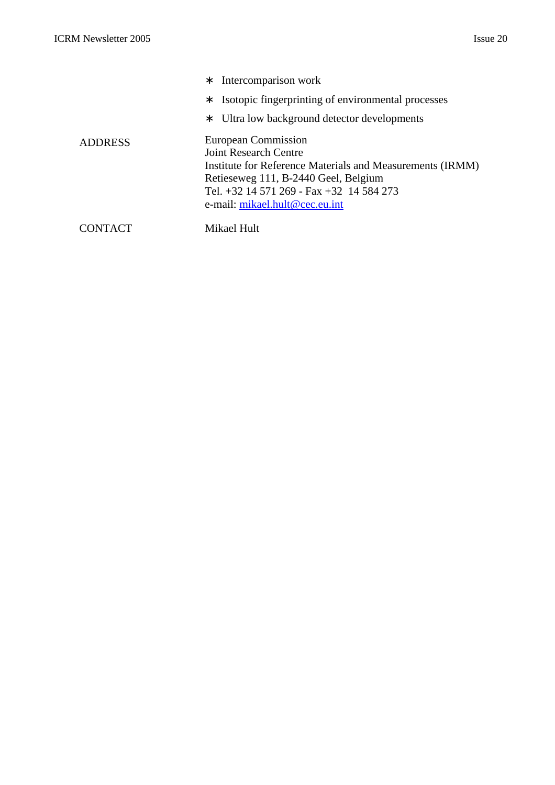|                | Intercomparison work<br>∗<br>Isotopic fingerprinting of environmental processes<br>∗<br>Ultra low background detector developments<br>∗                                                                                         |
|----------------|---------------------------------------------------------------------------------------------------------------------------------------------------------------------------------------------------------------------------------|
| <b>ADDRESS</b> | European Commission<br>Joint Research Centre<br>Institute for Reference Materials and Measurements (IRMM)<br>Retieseweg 111, B-2440 Geel, Belgium<br>Tel. +32 14 571 269 - Fax +32 14 584 273<br>e-mail: mikael.hult@cec.eu.int |
|                | Mikael Hult                                                                                                                                                                                                                     |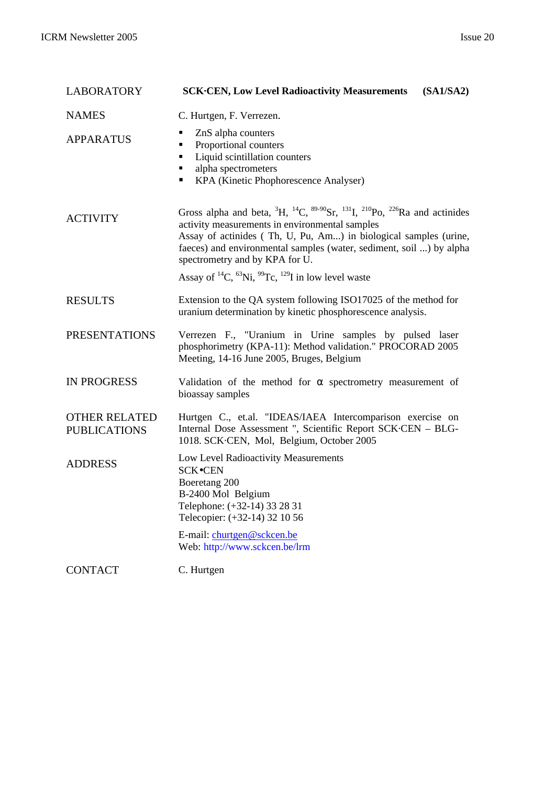| <b>LABORATORY</b>                           | <b>SCK.CEN, Low Level Radioactivity Measurements</b><br>(SA1/SA2)                                                                                                                                                                                                                                                                                                                                                                                           |
|---------------------------------------------|-------------------------------------------------------------------------------------------------------------------------------------------------------------------------------------------------------------------------------------------------------------------------------------------------------------------------------------------------------------------------------------------------------------------------------------------------------------|
| <b>NAMES</b>                                | C. Hurtgen, F. Verrezen.                                                                                                                                                                                                                                                                                                                                                                                                                                    |
| <b>APPARATUS</b>                            | ZnS alpha counters<br>п<br>Proportional counters<br>Liquid scintillation counters<br>п<br>alpha spectrometers<br>KPA (Kinetic Phophorescence Analyser)                                                                                                                                                                                                                                                                                                      |
| <b>ACTIVITY</b>                             | Gross alpha and beta, ${}^{3}H$ , ${}^{14}C$ , ${}^{89-90}Sr$ , ${}^{131}I$ , ${}^{210}Po$ , ${}^{226}Ra$ and actinides<br>activity measurements in environmental samples<br>Assay of actinides (Th, U, Pu, Am) in biological samples (urine,<br>faeces) and environmental samples (water, sediment, soil ) by alpha<br>spectrometry and by KPA for U.<br>Assay of <sup>14</sup> C, <sup>63</sup> Ni, <sup>99</sup> Tc, <sup>129</sup> I in low level waste |
| <b>RESULTS</b>                              | Extension to the QA system following ISO17025 of the method for<br>uranium determination by kinetic phosphorescence analysis.                                                                                                                                                                                                                                                                                                                               |
| <b>PRESENTATIONS</b>                        | Verrezen F., "Uranium in Urine samples by pulsed laser<br>phosphorimetry (KPA-11): Method validation." PROCORAD 2005<br>Meeting, 14-16 June 2005, Bruges, Belgium                                                                                                                                                                                                                                                                                           |
| <b>IN PROGRESS</b>                          | Validation of the method for $\alpha$ spectrometry measurement of<br>bioassay samples                                                                                                                                                                                                                                                                                                                                                                       |
| <b>OTHER RELATED</b><br><b>PUBLICATIONS</b> | Hurtgen C., et.al. "IDEAS/IAEA Intercomparison exercise on<br>Internal Dose Assessment ", Scientific Report SCK CEN - BLG-<br>1018. SCK·CEN, Mol, Belgium, October 2005                                                                                                                                                                                                                                                                                     |
| <b>ADDRESS</b>                              | Low Level Radioactivity Measurements<br><b>SCK</b> •CEN<br>Boeretang 200<br>B-2400 Mol Belgium<br>Telephone: (+32-14) 33 28 31<br>Telecopier: (+32-14) 32 10 56<br>E-mail: churtgen@sckcen.be                                                                                                                                                                                                                                                               |
| <b>CONTACT</b>                              | Web: http://www.sckcen.be/lrm<br>C. Hurtgen                                                                                                                                                                                                                                                                                                                                                                                                                 |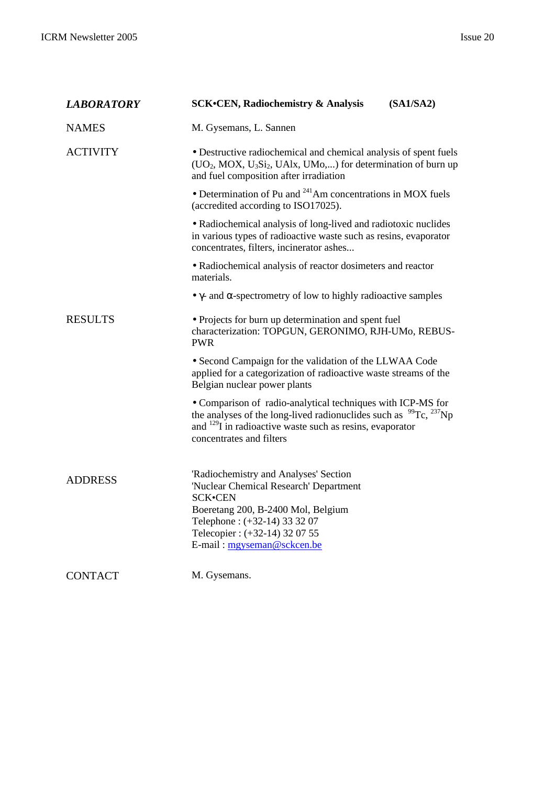| <b>LABORATORY</b> | <b>SCK.CEN, Radiochemistry &amp; Analysis</b><br>(SA1/SA2)                                                                                                                                                                                      |
|-------------------|-------------------------------------------------------------------------------------------------------------------------------------------------------------------------------------------------------------------------------------------------|
| <b>NAMES</b>      | M. Gysemans, L. Sannen                                                                                                                                                                                                                          |
| <b>ACTIVITY</b>   | • Destructive radiochemical and chemical analysis of spent fuels<br>$(UO2, MOX, U3Si2, UA1x, UMo,)$ for determination of burn up<br>and fuel composition after irradiation                                                                      |
|                   | • Determination of Pu and $^{241}$ Am concentrations in MOX fuels<br>(accredited according to ISO17025).                                                                                                                                        |
|                   | • Radiochemical analysis of long-lived and radiotoxic nuclides<br>in various types of radioactive waste such as resins, evaporator<br>concentrates, filters, incinerator ashes                                                                  |
|                   | • Radiochemical analysis of reactor dosimeters and reactor<br>materials.                                                                                                                                                                        |
|                   | $\bullet$ $\gamma$ - and $\alpha$ -spectrometry of low to highly radioactive samples                                                                                                                                                            |
| <b>RESULTS</b>    | • Projects for burn up determination and spent fuel<br>characterization: TOPGUN, GERONIMO, RJH-UMo, REBUS-<br><b>PWR</b>                                                                                                                        |
|                   | • Second Campaign for the validation of the LLWAA Code<br>applied for a categorization of radioactive waste streams of the<br>Belgian nuclear power plants                                                                                      |
|                   | • Comparison of radio-analytical techniques with ICP-MS for<br>the analyses of the long-lived radionuclides such as $^{99}$ Tc, $^{237}$ Np<br>and <sup>129</sup> I in radioactive waste such as resins, evaporator<br>concentrates and filters |
| <b>ADDRESS</b>    | 'Radiochemistry and Analyses' Section<br>'Nuclear Chemical Research' Department<br><b>SCK•CEN</b><br>Boeretang 200, B-2400 Mol, Belgium<br>Telephone: (+32-14) 33 32 07<br>Telecopier: (+32-14) 32 07 55<br>E-mail: mgyseman@sckcen.be          |
| <b>CONTACT</b>    | M. Gysemans.                                                                                                                                                                                                                                    |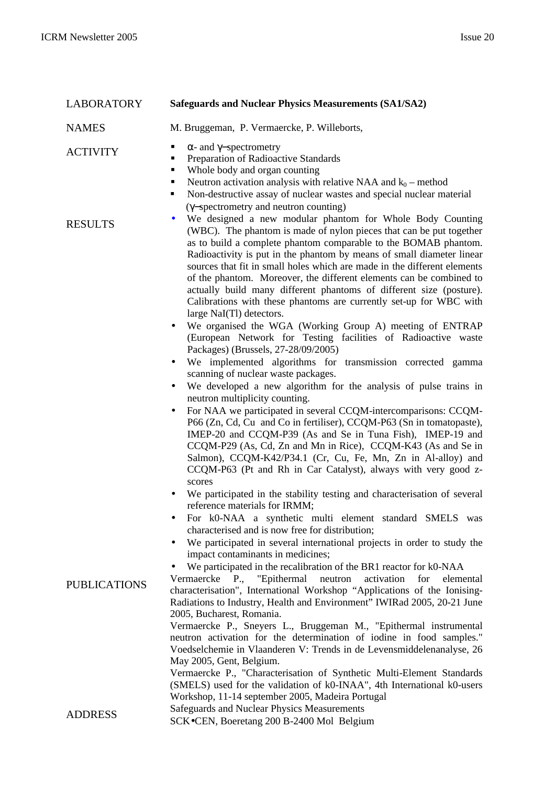| <b>LABORATORY</b>   | <b>Safeguards and Nuclear Physics Measurements (SA1/SA2)</b>                                                                                                                                                                                                                                                                                                                                                                                                                                                                                                                                                                                                                                                                                                                                                                                                                                                                                                                                                                                                                                                                                                                                                                                                                                                                                                                                                                                                                                                                                                                                                                                                                                                                                                                                   |
|---------------------|------------------------------------------------------------------------------------------------------------------------------------------------------------------------------------------------------------------------------------------------------------------------------------------------------------------------------------------------------------------------------------------------------------------------------------------------------------------------------------------------------------------------------------------------------------------------------------------------------------------------------------------------------------------------------------------------------------------------------------------------------------------------------------------------------------------------------------------------------------------------------------------------------------------------------------------------------------------------------------------------------------------------------------------------------------------------------------------------------------------------------------------------------------------------------------------------------------------------------------------------------------------------------------------------------------------------------------------------------------------------------------------------------------------------------------------------------------------------------------------------------------------------------------------------------------------------------------------------------------------------------------------------------------------------------------------------------------------------------------------------------------------------------------------------|
| <b>NAMES</b>        | M. Bruggeman, P. Vermaercke, P. Willeborts,                                                                                                                                                                                                                                                                                                                                                                                                                                                                                                                                                                                                                                                                                                                                                                                                                                                                                                                                                                                                                                                                                                                                                                                                                                                                                                                                                                                                                                                                                                                                                                                                                                                                                                                                                    |
| <b>ACTIVITY</b>     | $\alpha$ - and $\gamma$ -spectrometry<br>٠<br>Preparation of Radioactive Standards<br>$\blacksquare$<br>Whole body and organ counting<br>٠<br>Neutron activation analysis with relative NAA and $k_0$ – method<br>п<br>Non-destructive assay of nuclear wastes and special nuclear material<br>٠<br>(γ-spectrometry and neutron counting)                                                                                                                                                                                                                                                                                                                                                                                                                                                                                                                                                                                                                                                                                                                                                                                                                                                                                                                                                                                                                                                                                                                                                                                                                                                                                                                                                                                                                                                      |
| <b>RESULTS</b>      | We designed a new modular phantom for Whole Body Counting<br>$\bullet$<br>(WBC). The phantom is made of nylon pieces that can be put together<br>as to build a complete phantom comparable to the BOMAB phantom.<br>Radioactivity is put in the phantom by means of small diameter linear<br>sources that fit in small holes which are made in the different elements<br>of the phantom. Moreover, the different elements can be combined to<br>actually build many different phantoms of different size (posture).<br>Calibrations with these phantoms are currently set-up for WBC with<br>large NaI(Tl) detectors.<br>We organised the WGA (Working Group A) meeting of ENTRAP<br>(European Network for Testing facilities of Radioactive waste<br>Packages) (Brussels, 27-28/09/2005)<br>We implemented algorithms for transmission corrected gamma<br>$\bullet$<br>scanning of nuclear waste packages.<br>We developed a new algorithm for the analysis of pulse trains in<br>$\bullet$<br>neutron multiplicity counting.<br>For NAA we participated in several CCQM-intercomparisons: CCQM-<br>P66 (Zn, Cd, Cu and Co in fertiliser), CCQM-P63 (Sn in tomatopaste),<br>IMEP-20 and CCQM-P39 (As and Se in Tuna Fish), IMEP-19 and<br>CCQM-P29 (As, Cd, Zn and Mn in Rice), CCQM-K43 (As and Se in<br>Salmon), CCQM-K42/P34.1 (Cr, Cu, Fe, Mn, Zn in Al-alloy) and<br>CCQM-P63 (Pt and Rh in Car Catalyst), always with very good z-<br>scores<br>We participated in the stability testing and characterisation of several<br>reference materials for IRMM;<br>For k0-NAA a synthetic multi element standard SMELS was<br>characterised and is now free for distribution;<br>We participated in several international projects in order to study the<br>impact contaminants in medicines; |
| <b>PUBLICATIONS</b> | We participated in the recalibration of the BR1 reactor for k0-NAA<br>Vermaercke P., "Epithermal<br>neutron<br>activation<br>for<br>elemental<br>characterisation", International Workshop "Applications of the Ionising-<br>Radiations to Industry, Health and Environment" IWIRad 2005, 20-21 June<br>2005, Bucharest, Romania.<br>Vermaercke P., Sneyers L., Bruggeman M., "Epithermal instrumental<br>neutron activation for the determination of iodine in food samples."<br>Voedselchemie in Vlaanderen V: Trends in de Levensmiddelenanalyse, 26<br>May 2005, Gent, Belgium.<br>Vermaercke P., "Characterisation of Synthetic Multi-Element Standards<br>(SMELS) used for the validation of k0-INAA", 4th International k0-users<br>Workshop, 11-14 september 2005, Madeira Portugal                                                                                                                                                                                                                                                                                                                                                                                                                                                                                                                                                                                                                                                                                                                                                                                                                                                                                                                                                                                                    |
| <b>ADDRESS</b>      | Safeguards and Nuclear Physics Measurements<br>SCK.CEN, Boeretang 200 B-2400 Mol Belgium                                                                                                                                                                                                                                                                                                                                                                                                                                                                                                                                                                                                                                                                                                                                                                                                                                                                                                                                                                                                                                                                                                                                                                                                                                                                                                                                                                                                                                                                                                                                                                                                                                                                                                       |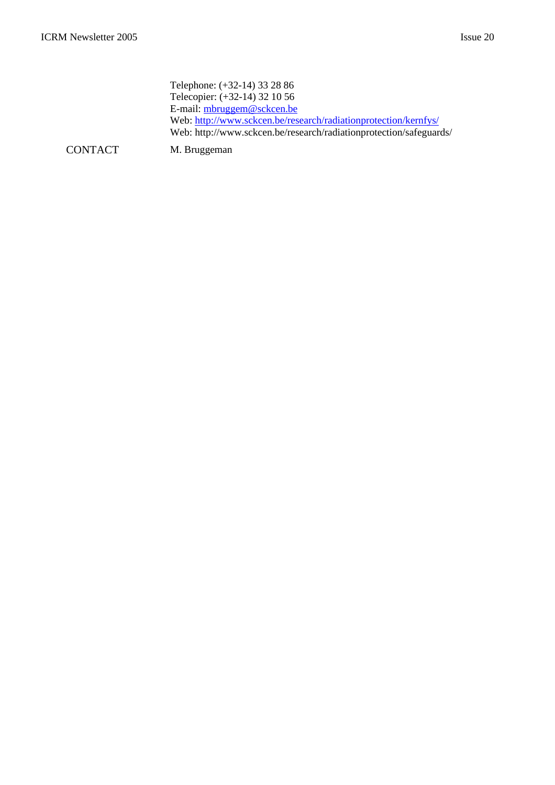Telephone: (+32-14) 33 28 86 Telecopier: (+32-14) 32 10 56 E-mail: mbruggem@sckcen.be Web: http://www.sckcen.be/research/radiationprotection/kernfys/ Web: http://www.sckcen.be/research/radiationprotection/safeguards/

CONTACT M. Bruggeman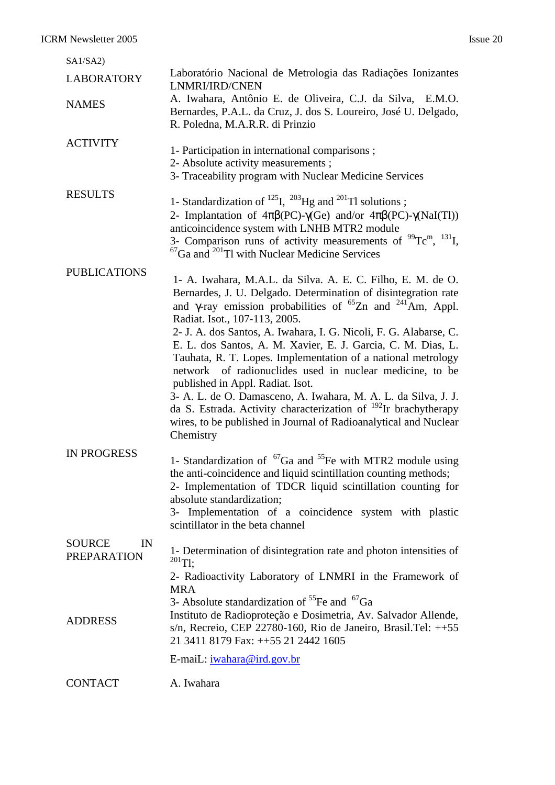| SA1/SA2)                                  |                                                                                                                                                                                                                                                                                                                                                                                                                                                                                                                                                                                                                                                                                                                                                                                                    |
|-------------------------------------------|----------------------------------------------------------------------------------------------------------------------------------------------------------------------------------------------------------------------------------------------------------------------------------------------------------------------------------------------------------------------------------------------------------------------------------------------------------------------------------------------------------------------------------------------------------------------------------------------------------------------------------------------------------------------------------------------------------------------------------------------------------------------------------------------------|
| <b>LABORATORY</b>                         | Laboratório Nacional de Metrologia das Radiações Ionizantes<br>LNMRI/IRD/CNEN                                                                                                                                                                                                                                                                                                                                                                                                                                                                                                                                                                                                                                                                                                                      |
| <b>NAMES</b>                              | A. Iwahara, Antônio E. de Oliveira, C.J. da Silva, E.M.O.<br>Bernardes, P.A.L. da Cruz, J. dos S. Loureiro, José U. Delgado,<br>R. Poledna, M.A.R.R. di Prinzio                                                                                                                                                                                                                                                                                                                                                                                                                                                                                                                                                                                                                                    |
| <b>ACTIVITY</b>                           | 1- Participation in international comparisons;<br>2- Absolute activity measurements;<br>3- Traceability program with Nuclear Medicine Services                                                                                                                                                                                                                                                                                                                                                                                                                                                                                                                                                                                                                                                     |
| <b>RESULTS</b>                            | 1- Standardization of $^{125}I$ , $^{203}Hg$ and $^{201}Tl$ solutions;<br>2- Implantation of $4\pi\beta(PC)$ - $\gamma$ (Ge) and/or $4\pi\beta(PC)$ - $\gamma$ (NaI(Tl))<br>anticoincidence system with LNHB MTR2 module<br>3- Comparison runs of activity measurements of $^{99}$ Tc <sup>m</sup> , $^{131}$ I,<br>${}^{67}Ga$ and ${}^{201}Tl$ with Nuclear Medicine Services                                                                                                                                                                                                                                                                                                                                                                                                                    |
| <b>PUBLICATIONS</b>                       | 1- A. Iwahara, M.A.L. da Silva. A. E. C. Filho, E. M. de O.<br>Bernardes, J. U. Delgado. Determination of disintegration rate<br>and $\gamma$ -ray emission probabilities of <sup>65</sup> Zn and <sup>241</sup> Am, Appl.<br>Radiat. Isot., 107-113, 2005.<br>2- J. A. dos Santos, A. Iwahara, I. G. Nicoli, F. G. Alabarse, C.<br>E. L. dos Santos, A. M. Xavier, E. J. Garcia, C. M. Dias, L.<br>Tauhata, R. T. Lopes. Implementation of a national metrology<br>network of radionuclides used in nuclear medicine, to be<br>published in Appl. Radiat. Isot.<br>3- A. L. de O. Damasceno, A. Iwahara, M. A. L. da Silva, J. J.<br>da S. Estrada. Activity characterization of <sup>192</sup> Ir brachytherapy<br>wires, to be published in Journal of Radioanalytical and Nuclear<br>Chemistry |
| <b>IN PROGRESS</b>                        | 1- Standardization of ${}^{67}Ga$ and ${}^{55}Fe$ with MTR2 module using<br>the anti-coincidence and liquid scintillation counting methods;<br>2- Implementation of TDCR liquid scintillation counting for<br>absolute standardization;<br>3- Implementation of a coincidence system with plastic<br>scintillator in the beta channel                                                                                                                                                                                                                                                                                                                                                                                                                                                              |
| <b>SOURCE</b><br>IN<br><b>PREPARATION</b> | 1- Determination of disintegration rate and photon intensities of<br>$^{201}$ Tl;<br>2- Radioactivity Laboratory of LNMRI in the Framework of<br><b>MRA</b><br>3- Absolute standardization of <sup>55</sup> Fe and <sup>67</sup> Ga                                                                                                                                                                                                                                                                                                                                                                                                                                                                                                                                                                |
| <b>ADDRESS</b>                            | Instituto de Radioproteção e Dosimetria, Av. Salvador Allende,<br>s/n, Recreio, CEP 22780-160, Rio de Janeiro, Brasil.Tel: $++55$<br>21 3411 8179 Fax: ++55 21 2442 1605<br>E-maiL: iwahara@ird.gov.br                                                                                                                                                                                                                                                                                                                                                                                                                                                                                                                                                                                             |
| <b>CONTACT</b>                            | A. Iwahara                                                                                                                                                                                                                                                                                                                                                                                                                                                                                                                                                                                                                                                                                                                                                                                         |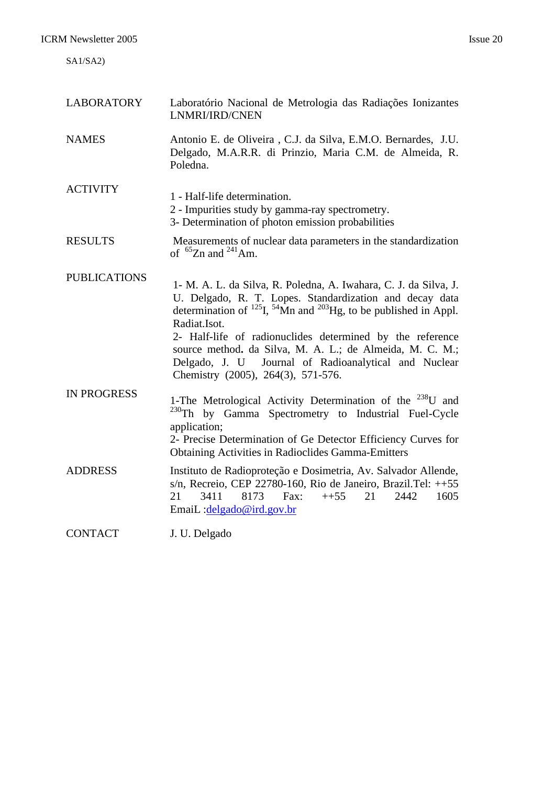| <b>LABORATORY</b>   | Laboratório Nacional de Metrologia das Radiações Ionizantes<br>LNMRI/IRD/CNEN                                                                                                                                                                                                                                                                                                                                                                           |
|---------------------|---------------------------------------------------------------------------------------------------------------------------------------------------------------------------------------------------------------------------------------------------------------------------------------------------------------------------------------------------------------------------------------------------------------------------------------------------------|
| <b>NAMES</b>        | Antonio E. de Oliveira, C.J. da Silva, E.M.O. Bernardes, J.U.<br>Delgado, M.A.R.R. di Prinzio, Maria C.M. de Almeida, R.<br>Poledna.                                                                                                                                                                                                                                                                                                                    |
| <b>ACTIVITY</b>     | 1 - Half-life determination.<br>2 - Impurities study by gamma-ray spectrometry.<br>3- Determination of photon emission probabilities                                                                                                                                                                                                                                                                                                                    |
| <b>RESULTS</b>      | Measurements of nuclear data parameters in the standardization<br>of ${}^{65}Zn$ and ${}^{241}Am$ .                                                                                                                                                                                                                                                                                                                                                     |
| <b>PUBLICATIONS</b> | 1- M. A. L. da Silva, R. Poledna, A. Iwahara, C. J. da Silva, J.<br>U. Delgado, R. T. Lopes. Standardization and decay data<br>determination of $^{125}$ I, $^{54}$ Mn and $^{203}$ Hg, to be published in Appl.<br>Radiat.Isot.<br>2- Half-life of radionuclides determined by the reference<br>source method. da Silva, M. A. L.; de Almeida, M. C. M.;<br>Delgado, J. U Journal of Radioanalytical and Nuclear<br>Chemistry (2005), 264(3), 571-576. |
| <b>IN PROGRESS</b>  | 1-The Metrological Activity Determination of the <sup>238</sup> U and<br>$^{230}$ Th<br>by Gamma Spectrometry to Industrial Fuel-Cycle<br>application;<br>2- Precise Determination of Ge Detector Efficiency Curves for<br><b>Obtaining Activities in Radioclides Gamma-Emitters</b>                                                                                                                                                                    |
| <b>ADDRESS</b>      | Instituto de Radioproteção e Dosimetria, Av. Salvador Allende,<br>s/n, Recreio, CEP 22780-160, Rio de Janeiro, Brazil.Tel: $++55$<br>8173<br>21<br>3411<br>Fax:<br>$++55$<br>21<br>2442<br>1605<br>EmaiL:delgado@ird.gov.br                                                                                                                                                                                                                             |
| <b>CONTACT</b>      | J. U. Delgado                                                                                                                                                                                                                                                                                                                                                                                                                                           |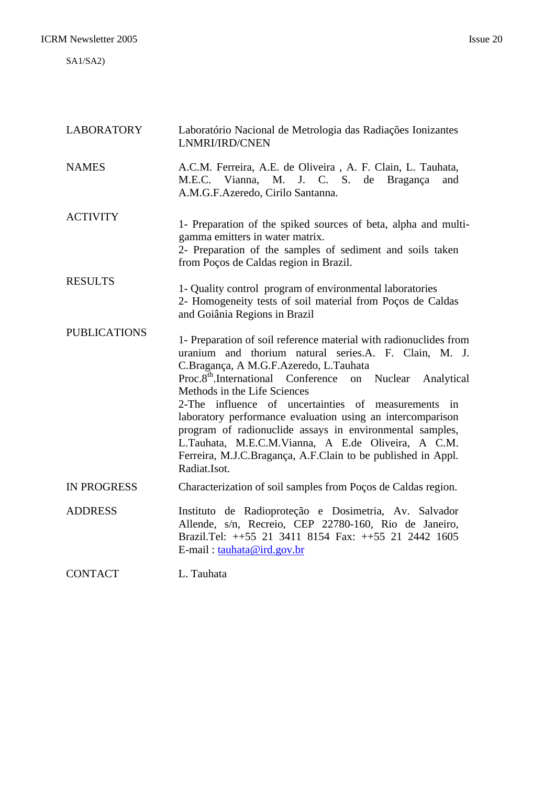SA1/SA2)

| <b>LABORATORY</b>   | Laboratório Nacional de Metrologia das Radiações Ionizantes<br>LNMRI/IRD/CNEN                                                                                                                                                                                                                                                                                                                                                                                                                                                                                                                          |
|---------------------|--------------------------------------------------------------------------------------------------------------------------------------------------------------------------------------------------------------------------------------------------------------------------------------------------------------------------------------------------------------------------------------------------------------------------------------------------------------------------------------------------------------------------------------------------------------------------------------------------------|
| <b>NAMES</b>        | A.C.M. Ferreira, A.E. de Oliveira, A. F. Clain, L. Tauhata,<br>M.E.C. Vianna, M. J. C. S.<br>de Bragança<br>and<br>A.M.G.F.Azeredo, Cirilo Santanna.                                                                                                                                                                                                                                                                                                                                                                                                                                                   |
| <b>ACTIVITY</b>     | 1- Preparation of the spiked sources of beta, alpha and multi-<br>gamma emitters in water matrix.<br>2- Preparation of the samples of sediment and soils taken<br>from Poços de Caldas region in Brazil.                                                                                                                                                                                                                                                                                                                                                                                               |
| <b>RESULTS</b>      | 1- Quality control program of environmental laboratories<br>2- Homogeneity tests of soil material from Poços de Caldas<br>and Goiânia Regions in Brazil                                                                                                                                                                                                                                                                                                                                                                                                                                                |
| <b>PUBLICATIONS</b> | 1- Preparation of soil reference material with radionuclides from<br>uranium and thorium natural series.A. F. Clain, M. J.<br>C.Bragança, A M.G.F.Azeredo, L.Tauhata<br>Proc.8 <sup>th</sup> .International Conference on Nuclear<br>Analytical<br>Methods in the Life Sciences<br>2-The influence of uncertainties of measurements in<br>laboratory performance evaluation using an intercomparison<br>program of radionuclide assays in environmental samples,<br>L.Tauhata, M.E.C.M.Vianna, A E.de Oliveira, A C.M.<br>Ferreira, M.J.C.Bragança, A.F.Clain to be published in Appl.<br>Radiat.Isot. |
| <b>IN PROGRESS</b>  | Characterization of soil samples from Poços de Caldas region.                                                                                                                                                                                                                                                                                                                                                                                                                                                                                                                                          |
| <b>ADDRESS</b>      | Instituto de Radioproteção e Dosimetria, Av. Salvador<br>Allende, s/n, Recreio, CEP 22780-160, Rio de Janeiro,<br>Brazil.Tel: ++55 21 3411 8154 Fax: ++55 21 2442 1605<br>E-mail: tauhata@ird.gov.br                                                                                                                                                                                                                                                                                                                                                                                                   |
| <b>CONTACT</b>      | L. Tauhata                                                                                                                                                                                                                                                                                                                                                                                                                                                                                                                                                                                             |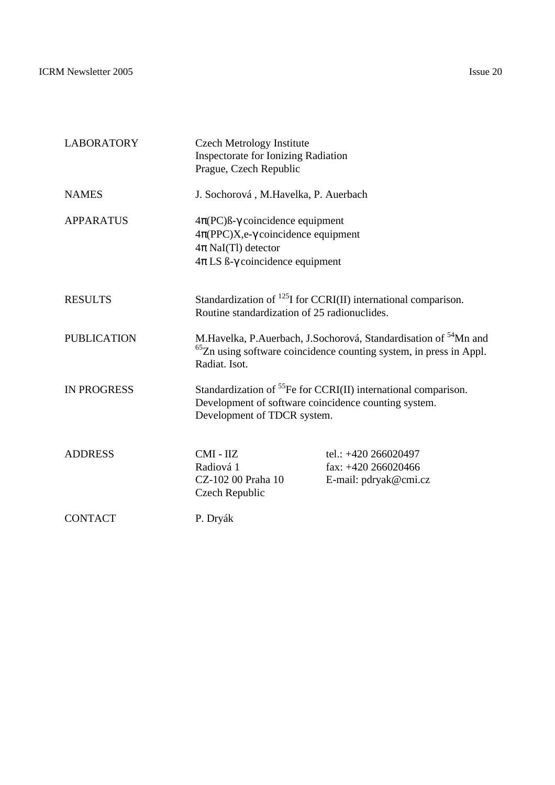| <b>LABORATORY</b>  | <b>Czech Metrology Institute</b><br><b>Inspectorate for Ionizing Radiation</b><br>Prague, Czech Republic                                                                                   |                                                                                                                                                               |
|--------------------|--------------------------------------------------------------------------------------------------------------------------------------------------------------------------------------------|---------------------------------------------------------------------------------------------------------------------------------------------------------------|
| <b>NAMES</b>       | J. Sochorová, M.Havelka, P. Auerbach                                                                                                                                                       |                                                                                                                                                               |
| <b>APPARATUS</b>   | $4\pi (PC)$ <sub>B</sub> - $\gamma$ coincidence equipment<br>$4\pi (PPC)X,e-\gamma$ coincidence equipment<br>$4\pi$ NaI(Tl) detector<br>$4\pi$ LS $\beta$ - $\gamma$ coincidence equipment |                                                                                                                                                               |
| <b>RESULTS</b>     | Routine standardization of 25 radionuclides.                                                                                                                                               | Standardization of $^{125}$ I for CCRI(II) international comparison.                                                                                          |
| <b>PUBLICATION</b> | Radiat. Isot.                                                                                                                                                                              | M.Havelka, P.Auerbach, J.Sochorová, Standardisation of <sup>54</sup> Mn and<br><sup>65</sup> Zn using software coincidence counting system, in press in Appl. |
| <b>IN PROGRESS</b> | Standardization of ${}^{55}Fe$ for CCRI(II) international comparison.<br>Development of software coincidence counting system.<br>Development of TDCR system.                               |                                                                                                                                                               |
| <b>ADDRESS</b>     | CMI - IIZ<br>Radiová 1<br>CZ-102 00 Praha 10<br>Czech Republic                                                                                                                             | tel.: $+420\,266020497$<br>fax: $+420\,266020466$<br>E-mail: pdryak@cmi.cz                                                                                    |
| <b>CONTACT</b>     | P. Dryák                                                                                                                                                                                   |                                                                                                                                                               |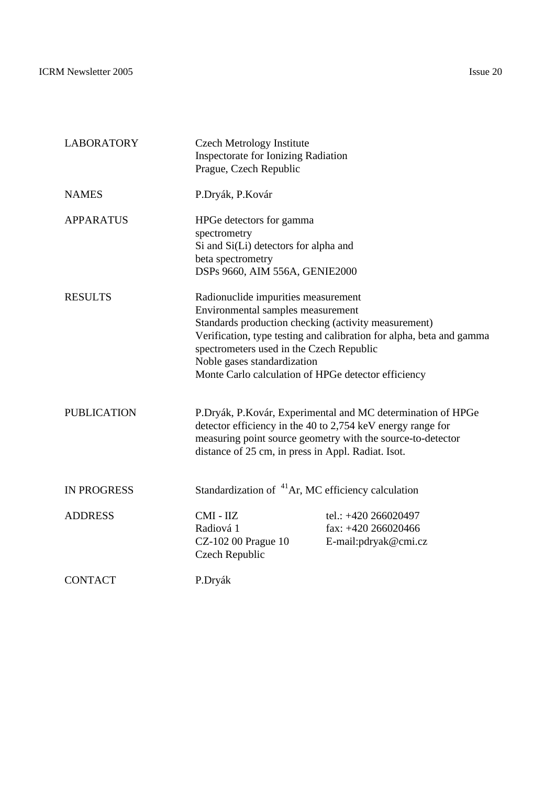ICRM Newsletter 2005 Issue 20

| <b>LABORATORY</b>  | <b>Czech Metrology Institute</b><br><b>Inspectorate for Ionizing Radiation</b><br>Prague, Czech Republic                                                                                                                                                           |                                                                                                                                                                                           |
|--------------------|--------------------------------------------------------------------------------------------------------------------------------------------------------------------------------------------------------------------------------------------------------------------|-------------------------------------------------------------------------------------------------------------------------------------------------------------------------------------------|
| <b>NAMES</b>       | P.Dryák, P.Kovár                                                                                                                                                                                                                                                   |                                                                                                                                                                                           |
| <b>APPARATUS</b>   | HPGe detectors for gamma<br>spectrometry<br>Si and Si(Li) detectors for alpha and<br>beta spectrometry<br>DSPs 9660, AIM 556A, GENIE2000                                                                                                                           |                                                                                                                                                                                           |
| <b>RESULTS</b>     | Radionuclide impurities measurement<br>Environmental samples measurement<br>Standards production checking (activity measurement)<br>spectrometers used in the Czech Republic<br>Noble gases standardization<br>Monte Carlo calculation of HPGe detector efficiency | Verification, type testing and calibration for alpha, beta and gamma                                                                                                                      |
| <b>PUBLICATION</b> | distance of 25 cm, in press in Appl. Radiat. Isot.                                                                                                                                                                                                                 | P.Dryák, P.Kovár, Experimental and MC determination of HPGe<br>detector efficiency in the 40 to 2,754 keV energy range for<br>measuring point source geometry with the source-to-detector |
| <b>IN PROGRESS</b> | Standardization of <sup>41</sup> Ar, MC efficiency calculation                                                                                                                                                                                                     |                                                                                                                                                                                           |
| <b>ADDRESS</b>     | CMI - IIZ<br>Radiová 1<br>CZ-102 00 Prague 10<br>Czech Republic                                                                                                                                                                                                    | tel.: +420 266020497<br>fax: $+420\,266020466$<br>E-mail:pdryak@cmi.cz                                                                                                                    |
| <b>CONTACT</b>     | P.Dryák                                                                                                                                                                                                                                                            |                                                                                                                                                                                           |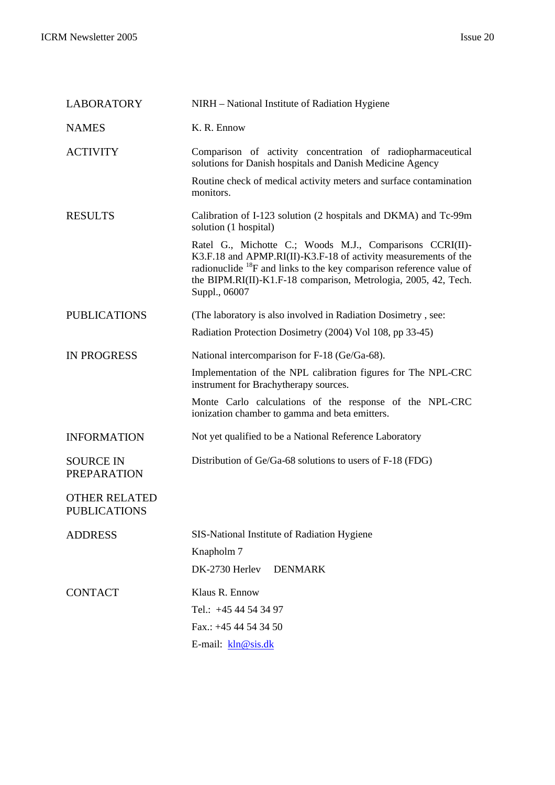| <b>LABORATORY</b>                           | NIRH - National Institute of Radiation Hygiene                                                                                                                                                                                                                                                |
|---------------------------------------------|-----------------------------------------------------------------------------------------------------------------------------------------------------------------------------------------------------------------------------------------------------------------------------------------------|
| <b>NAMES</b>                                | K. R. Ennow                                                                                                                                                                                                                                                                                   |
| <b>ACTIVITY</b>                             | Comparison of activity concentration of radiopharmaceutical<br>solutions for Danish hospitals and Danish Medicine Agency                                                                                                                                                                      |
|                                             | Routine check of medical activity meters and surface contamination<br>monitors.                                                                                                                                                                                                               |
| <b>RESULTS</b>                              | Calibration of I-123 solution (2 hospitals and DKMA) and Tc-99m<br>solution (1 hospital)                                                                                                                                                                                                      |
|                                             | Ratel G., Michotte C.; Woods M.J., Comparisons CCRI(II)-<br>K3.F.18 and APMP.RI(II)-K3.F-18 of activity measurements of the<br>radionuclide ${}^{18}F$ and links to the key comparison reference value of<br>the BIPM.RI(II)-K1.F-18 comparison, Metrologia, 2005, 42, Tech.<br>Suppl., 06007 |
| <b>PUBLICATIONS</b>                         | (The laboratory is also involved in Radiation Dosimetry, see:                                                                                                                                                                                                                                 |
|                                             | Radiation Protection Dosimetry (2004) Vol 108, pp 33-45)                                                                                                                                                                                                                                      |
| <b>IN PROGRESS</b>                          | National intercomparison for F-18 (Ge/Ga-68).                                                                                                                                                                                                                                                 |
|                                             | Implementation of the NPL calibration figures for The NPL-CRC<br>instrument for Brachytherapy sources.                                                                                                                                                                                        |
|                                             | Monte Carlo calculations of the response of the NPL-CRC<br>ionization chamber to gamma and beta emitters.                                                                                                                                                                                     |
| <b>INFORMATION</b>                          | Not yet qualified to be a National Reference Laboratory                                                                                                                                                                                                                                       |
| <b>SOURCE IN</b><br><b>PREPARATION</b>      | Distribution of Ge/Ga-68 solutions to users of F-18 (FDG)                                                                                                                                                                                                                                     |
| <b>OTHER RELATED</b><br><b>PUBLICATIONS</b> |                                                                                                                                                                                                                                                                                               |
| <b>ADDRESS</b>                              | SIS-National Institute of Radiation Hygiene                                                                                                                                                                                                                                                   |
|                                             | Knapholm 7                                                                                                                                                                                                                                                                                    |
|                                             | DK-2730 Herlev<br><b>DENMARK</b>                                                                                                                                                                                                                                                              |
| <b>CONTACT</b>                              | Klaus R. Ennow                                                                                                                                                                                                                                                                                |
|                                             | Tel.: +45 44 54 34 97                                                                                                                                                                                                                                                                         |
|                                             | Fax.: $+4544543450$                                                                                                                                                                                                                                                                           |
|                                             | E-mail: kln@sis.dk                                                                                                                                                                                                                                                                            |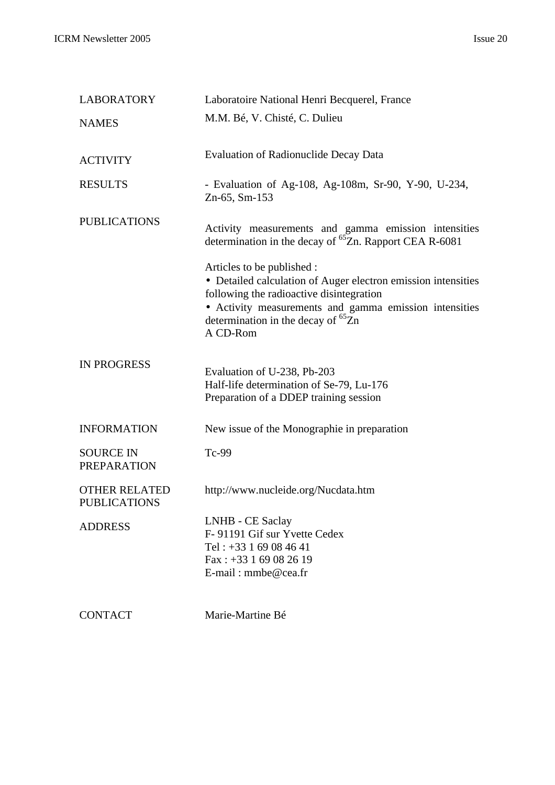| <b>LABORATORY</b>                           | Laboratoire National Henri Becquerel, France                                                                                                                                                                                                               |
|---------------------------------------------|------------------------------------------------------------------------------------------------------------------------------------------------------------------------------------------------------------------------------------------------------------|
| <b>NAMES</b>                                | M.M. Bé, V. Chisté, C. Dulieu                                                                                                                                                                                                                              |
| <b>ACTIVITY</b>                             | <b>Evaluation of Radionuclide Decay Data</b>                                                                                                                                                                                                               |
| <b>RESULTS</b>                              | - Evaluation of Ag-108, Ag-108m, Sr-90, Y-90, U-234,<br>Zn-65, Sm-153                                                                                                                                                                                      |
| <b>PUBLICATIONS</b>                         | Activity measurements and gamma emission intensities<br>determination in the decay of <sup>65</sup> Zn. Rapport CEA R-6081                                                                                                                                 |
|                                             | Articles to be published :<br>• Detailed calculation of Auger electron emission intensities<br>following the radioactive disintegration<br>• Activity measurements and gamma emission intensities<br>determination in the decay of ${}^{65}Zn$<br>A CD-Rom |
| <b>IN PROGRESS</b>                          | Evaluation of U-238, Pb-203<br>Half-life determination of Se-79, Lu-176<br>Preparation of a DDEP training session                                                                                                                                          |
| <b>INFORMATION</b>                          | New issue of the Monographie in preparation                                                                                                                                                                                                                |
| <b>SOURCE IN</b><br><b>PREPARATION</b>      | Tc-99                                                                                                                                                                                                                                                      |
| <b>OTHER RELATED</b><br><b>PUBLICATIONS</b> | http://www.nucleide.org/Nucdata.htm                                                                                                                                                                                                                        |
| <b>ADDRESS</b>                              | LNHB - CE Saclay<br>F-91191 Gif sur Yvette Cedex<br>Tel: $+33169084641$<br>Fax: $+33169082619$<br>$E$ -mail: mmbe@cea.fr                                                                                                                                   |

CONTACT Marie-Martine Bé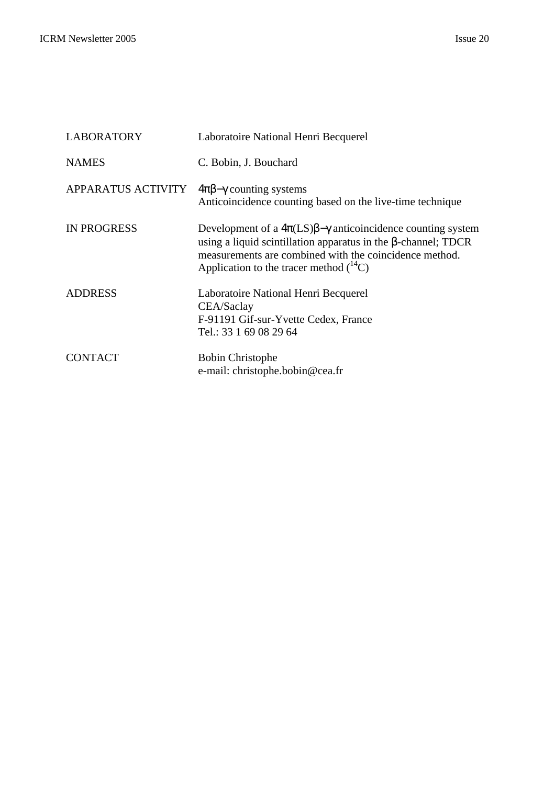| <b>LABORATORY</b>  | Laboratoire National Henri Becquerel                                                                                                                                                                                                                             |
|--------------------|------------------------------------------------------------------------------------------------------------------------------------------------------------------------------------------------------------------------------------------------------------------|
| <b>NAMES</b>       | C. Bobin, J. Bouchard                                                                                                                                                                                                                                            |
| APPARATUS ACTIVITY | $4\pi\beta-\gamma$ counting systems<br>Anticoincidence counting based on the live-time technique                                                                                                                                                                 |
| <b>IN PROGRESS</b> | Development of a $4\pi$ (LS) $\beta$ - $\gamma$ anticoincidence counting system<br>using a liquid scintillation apparatus in the $\beta$ -channel; TDCR<br>measurements are combined with the coincidence method.<br>Application to the tracer method $(^{14}C)$ |
| <b>ADDRESS</b>     | Laboratoire National Henri Becquerel<br>CEA/Saclay<br>F-91191 Gif-sur-Yvette Cedex, France<br>Tel.: 33 1 69 08 29 64                                                                                                                                             |
| <b>CONTACT</b>     | <b>Bobin Christophe</b><br>e-mail: christophe.bobin@cea.fr                                                                                                                                                                                                       |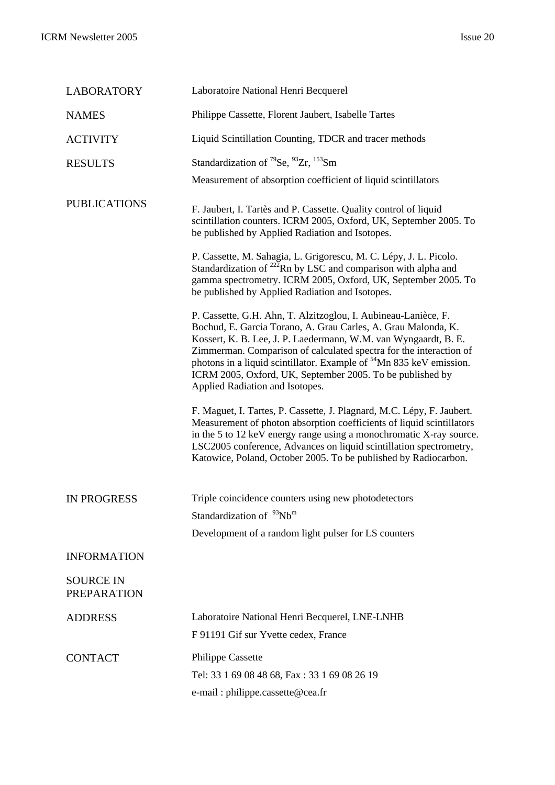| <b>LABORATORY</b>                      | Laboratoire National Henri Becquerel                                                                                                                                                                                                                                                                                                                                                                                                                        |
|----------------------------------------|-------------------------------------------------------------------------------------------------------------------------------------------------------------------------------------------------------------------------------------------------------------------------------------------------------------------------------------------------------------------------------------------------------------------------------------------------------------|
| <b>NAMES</b>                           | Philippe Cassette, Florent Jaubert, Isabelle Tartes                                                                                                                                                                                                                                                                                                                                                                                                         |
| <b>ACTIVITY</b>                        | Liquid Scintillation Counting, TDCR and tracer methods                                                                                                                                                                                                                                                                                                                                                                                                      |
| <b>RESULTS</b>                         | Standardization of <sup>79</sup> Se, <sup>93</sup> Zr, <sup>153</sup> Sm                                                                                                                                                                                                                                                                                                                                                                                    |
|                                        | Measurement of absorption coefficient of liquid scintillators                                                                                                                                                                                                                                                                                                                                                                                               |
| <b>PUBLICATIONS</b>                    | F. Jaubert, I. Tartès and P. Cassette. Quality control of liquid<br>scintillation counters. ICRM 2005, Oxford, UK, September 2005. To<br>be published by Applied Radiation and Isotopes.                                                                                                                                                                                                                                                                    |
|                                        | P. Cassette, M. Sahagia, L. Grigorescu, M. C. Lépy, J. L. Picolo.<br>Standardization of $^{222}$ Rn by LSC and comparison with alpha and<br>gamma spectrometry. ICRM 2005, Oxford, UK, September 2005. To<br>be published by Applied Radiation and Isotopes.                                                                                                                                                                                                |
|                                        | P. Cassette, G.H. Ahn, T. Alzitzoglou, I. Aubineau-Lanièce, F.<br>Bochud, E. Garcia Torano, A. Grau Carles, A. Grau Malonda, K.<br>Kossert, K. B. Lee, J. P. Laedermann, W.M. van Wyngaardt, B. E.<br>Zimmerman. Comparison of calculated spectra for the interaction of<br>photons in a liquid scintillator. Example of <sup>54</sup> Mn 835 keV emission.<br>ICRM 2005, Oxford, UK, September 2005. To be published by<br>Applied Radiation and Isotopes. |
|                                        | F. Maguet, I. Tartes, P. Cassette, J. Plagnard, M.C. Lépy, F. Jaubert.<br>Measurement of photon absorption coefficients of liquid scintillators<br>in the 5 to 12 keV energy range using a monochromatic X-ray source.<br>LSC2005 conference, Advances on liquid scintillation spectrometry,<br>Katowice, Poland, October 2005. To be published by Radiocarbon.                                                                                             |
| <b>IN PROGRESS</b>                     | Triple coincidence counters using new photodetectors                                                                                                                                                                                                                                                                                                                                                                                                        |
|                                        | Standardization of <sup>93</sup> Nb <sup>m</sup>                                                                                                                                                                                                                                                                                                                                                                                                            |
|                                        | Development of a random light pulser for LS counters                                                                                                                                                                                                                                                                                                                                                                                                        |
| <b>INFORMATION</b>                     |                                                                                                                                                                                                                                                                                                                                                                                                                                                             |
| <b>SOURCE IN</b><br><b>PREPARATION</b> |                                                                                                                                                                                                                                                                                                                                                                                                                                                             |
| <b>ADDRESS</b>                         | Laboratoire National Henri Becquerel, LNE-LNHB                                                                                                                                                                                                                                                                                                                                                                                                              |
|                                        | F 91191 Gif sur Yvette cedex, France                                                                                                                                                                                                                                                                                                                                                                                                                        |
| <b>CONTACT</b>                         | <b>Philippe Cassette</b>                                                                                                                                                                                                                                                                                                                                                                                                                                    |
|                                        | Tel: 33 1 69 08 48 68, Fax: 33 1 69 08 26 19                                                                                                                                                                                                                                                                                                                                                                                                                |
|                                        | e-mail: philippe.cassette@cea.fr                                                                                                                                                                                                                                                                                                                                                                                                                            |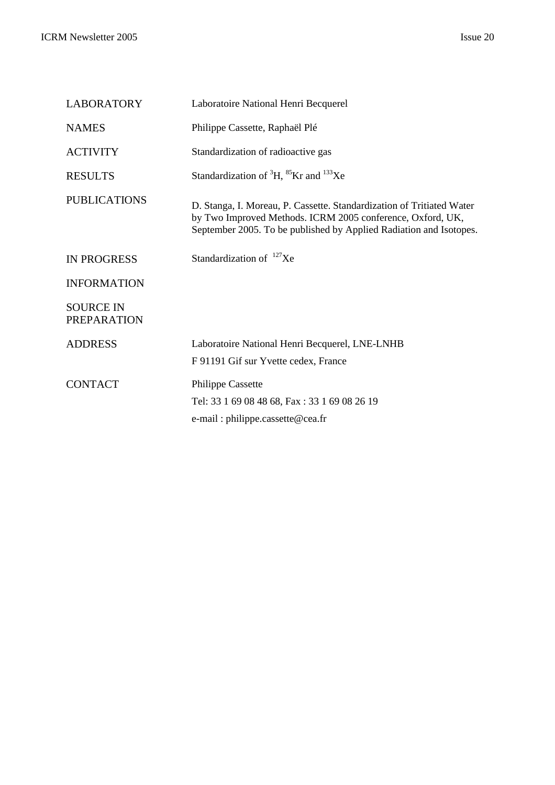| LABORATORY                             | Laboratoire National Henri Becquerel                                                                                                                                                                      |
|----------------------------------------|-----------------------------------------------------------------------------------------------------------------------------------------------------------------------------------------------------------|
| <b>NAMES</b>                           | Philippe Cassette, Raphaël Plé                                                                                                                                                                            |
| <b>ACTIVITY</b>                        | Standardization of radioactive gas                                                                                                                                                                        |
| <b>RESULTS</b>                         | Standardization of ${}^{3}H, {}^{85}Kr$ and ${}^{133}Xe$                                                                                                                                                  |
| <b>PUBLICATIONS</b>                    | D. Stanga, I. Moreau, P. Cassette. Standardization of Tritiated Water<br>by Two Improved Methods. ICRM 2005 conference, Oxford, UK,<br>September 2005. To be published by Applied Radiation and Isotopes. |
| <b>IN PROGRESS</b>                     | Standardization of $^{127}Xe$                                                                                                                                                                             |
| <b>INFORMATION</b>                     |                                                                                                                                                                                                           |
| <b>SOURCE IN</b><br><b>PREPARATION</b> |                                                                                                                                                                                                           |
| <b>ADDRESS</b>                         | Laboratoire National Henri Becquerel, LNE-LNHB<br>F 91191 Gif sur Yvette cedex, France                                                                                                                    |
| <b>CONTACT</b>                         | <b>Philippe Cassette</b><br>Tel: 33 1 69 08 48 68, Fax: 33 1 69 08 26 19<br>e-mail: philippe.cassette@cea.fr                                                                                              |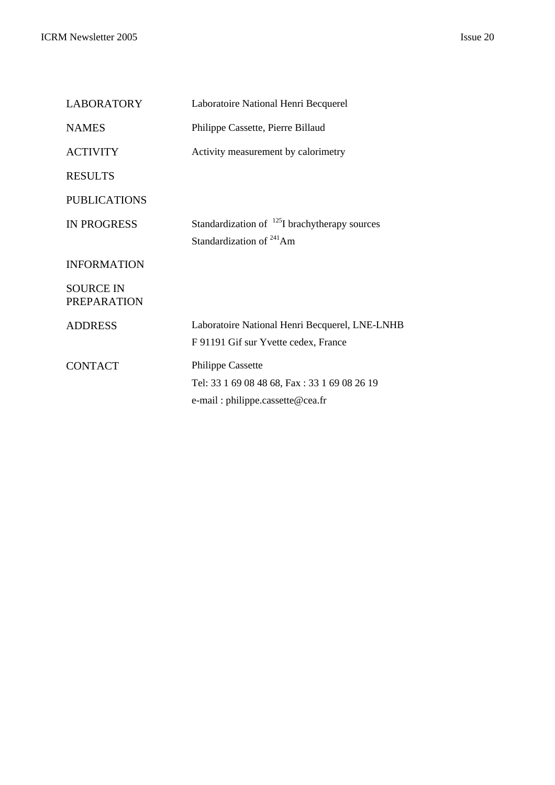| Laboratoire National Henri Becquerel                                                                         |
|--------------------------------------------------------------------------------------------------------------|
| Philippe Cassette, Pierre Billaud                                                                            |
| Activity measurement by calorimetry                                                                          |
|                                                                                                              |
|                                                                                                              |
| Standardization of $^{125}$ I brachytherapy sources<br>Standardization of <sup>241</sup> Am                  |
|                                                                                                              |
|                                                                                                              |
| Laboratoire National Henri Becquerel, LNE-LNHB<br>F 91191 Gif sur Yvette cedex, France                       |
| <b>Philippe Cassette</b><br>Tel: 33 1 69 08 48 68, Fax: 33 1 69 08 26 19<br>e-mail: philippe.cassette@cea.fr |
|                                                                                                              |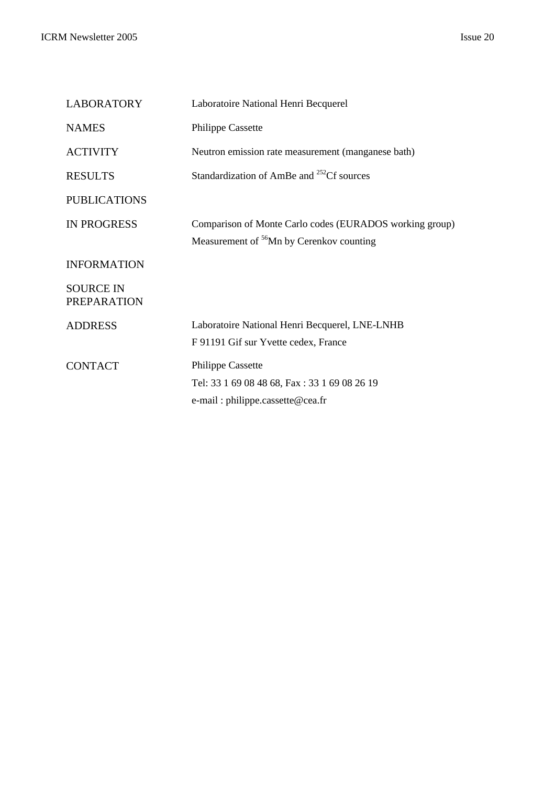PREPARATION

CONTACT Philippe Cassette

| <b>LABORATORY</b>   | Laboratoire National Henri Becquerel                                                                            |
|---------------------|-----------------------------------------------------------------------------------------------------------------|
| <b>NAMES</b>        | <b>Philippe Cassette</b>                                                                                        |
| <b>ACTIVITY</b>     | Neutron emission rate measurement (manganese bath)                                                              |
| <b>RESULTS</b>      | Standardization of AmBe and <sup>252</sup> Cf sources                                                           |
| <b>PUBLICATIONS</b> |                                                                                                                 |
| <b>IN PROGRESS</b>  | Comparison of Monte Carlo codes (EURADOS working group)<br>Measurement of <sup>56</sup> Mn by Cerenkov counting |
| <b>INFORMATION</b>  |                                                                                                                 |
| <b>SOURCE IN</b>    |                                                                                                                 |

ADDRESS Laboratoire National Henri Becquerel, LNE-LNHB

F 91191 Gif sur Yvette cedex, France

e-mail : philippe.cassette@cea.fr

Tel: 33 1 69 08 48 68, Fax : 33 1 69 08 26 19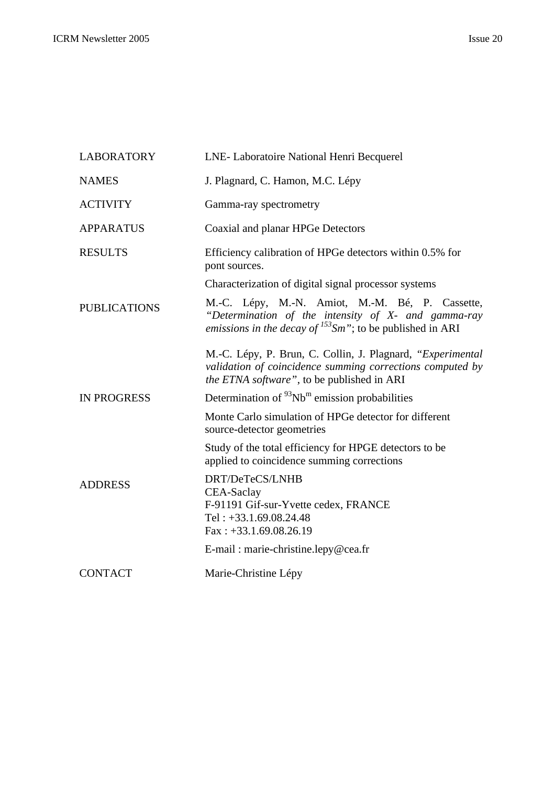| <b>LABORATORY</b>   | LNE-Laboratoire National Henri Becquerel                                                                                                                                 |
|---------------------|--------------------------------------------------------------------------------------------------------------------------------------------------------------------------|
| <b>NAMES</b>        | J. Plagnard, C. Hamon, M.C. Lépy                                                                                                                                         |
| <b>ACTIVITY</b>     | Gamma-ray spectrometry                                                                                                                                                   |
| <b>APPARATUS</b>    | Coaxial and planar HPGe Detectors                                                                                                                                        |
| <b>RESULTS</b>      | Efficiency calibration of HPGe detectors within 0.5% for<br>pont sources.                                                                                                |
|                     | Characterization of digital signal processor systems                                                                                                                     |
| <b>PUBLICATIONS</b> | M.-C. Lépy, M.-N. Amiot, M.-M. Bé, P. Cassette,<br>"Determination of the intensity of X- and gamma-ray<br>emissions in the decay of $^{153}$ Sm"; to be published in ARI |
|                     | M.-C. Lépy, P. Brun, C. Collin, J. Plagnard, "Experimental"<br>validation of coincidence summing corrections computed by<br>the ETNA software", to be published in ARI   |
| <b>IN PROGRESS</b>  | Determination of $\rm{^{93}Nb^m}$ emission probabilities                                                                                                                 |
|                     | Monte Carlo simulation of HPGe detector for different<br>source-detector geometries                                                                                      |
|                     | Study of the total efficiency for HPGE detectors to be<br>applied to coincidence summing corrections                                                                     |
| <b>ADDRESS</b>      | DRT/DeTeCS/LNHB<br>CEA-Saclay<br>F-91191 Gif-sur-Yvette cedex, FRANCE<br>Tel: $+33.1.69.08.24.48$<br>$Fax: +33.1.69.08.26.19$                                            |
|                     | E-mail: marie-christine.lepy@cea.fr                                                                                                                                      |
| <b>CONTACT</b>      | Marie-Christine Lépy                                                                                                                                                     |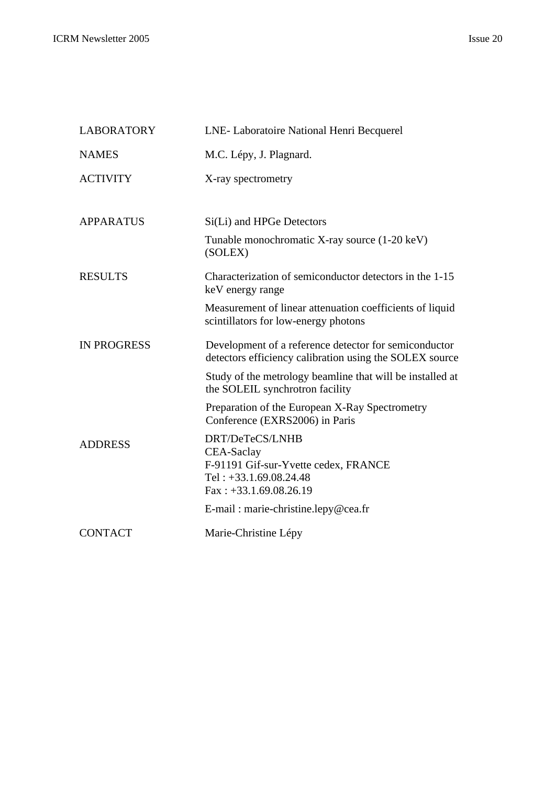| <b>LABORATORY</b>  | LNE-Laboratoire National Henri Becquerel                                                                                      |
|--------------------|-------------------------------------------------------------------------------------------------------------------------------|
| <b>NAMES</b>       | M.C. Lépy, J. Plagnard.                                                                                                       |
| <b>ACTIVITY</b>    | X-ray spectrometry                                                                                                            |
| <b>APPARATUS</b>   | Si(Li) and HPGe Detectors<br>Tunable monochromatic X-ray source (1-20 keV)                                                    |
|                    | (SOLEX)                                                                                                                       |
| <b>RESULTS</b>     | Characterization of semiconductor detectors in the 1-15<br>keV energy range                                                   |
|                    | Measurement of linear attenuation coefficients of liquid<br>scintillators for low-energy photons                              |
| <b>IN PROGRESS</b> | Development of a reference detector for semiconductor<br>detectors efficiency calibration using the SOLEX source              |
|                    | Study of the metrology beamline that will be installed at<br>the SOLEIL synchrotron facility                                  |
|                    | Preparation of the European X-Ray Spectrometry<br>Conference (EXRS2006) in Paris                                              |
| <b>ADDRESS</b>     | DRT/DeTeCS/LNHB<br>CEA-Saclay<br>F-91191 Gif-sur-Yvette cedex, FRANCE<br>Tel: $+33.1.69.08.24.48$<br>$Fax: +33.1.69.08.26.19$ |
|                    | E-mail: marie-christine.lepy@cea.fr                                                                                           |
| <b>CONTACT</b>     | Marie-Christine Lépy                                                                                                          |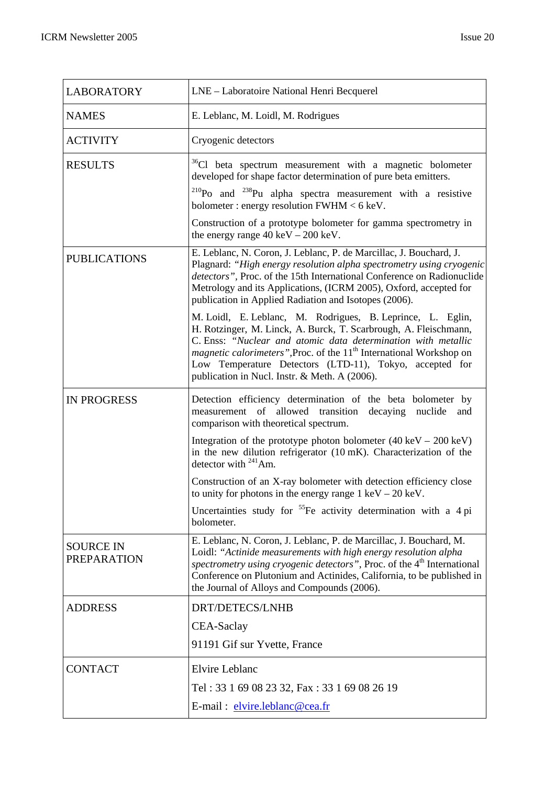| <b>LABORATORY</b>                      | LNE - Laboratoire National Henri Becquerel                                                                                                                                                                                                                                                                                                                                                             |
|----------------------------------------|--------------------------------------------------------------------------------------------------------------------------------------------------------------------------------------------------------------------------------------------------------------------------------------------------------------------------------------------------------------------------------------------------------|
| <b>NAMES</b>                           | E. Leblanc, M. Loidl, M. Rodrigues                                                                                                                                                                                                                                                                                                                                                                     |
| <b>ACTIVITY</b>                        | Cryogenic detectors                                                                                                                                                                                                                                                                                                                                                                                    |
| <b>RESULTS</b>                         | <sup>36</sup> Cl beta spectrum measurement with a magnetic bolometer<br>developed for shape factor determination of pure beta emitters.<br>$^{210}$ Po and $^{238}$ Pu alpha spectra measurement with a resistive<br>bolometer: energy resolution $FWHM < 6 \text{ keV}$ .<br>Construction of a prototype bolometer for gamma spectrometry in<br>the energy range $40 \text{ keV} - 200 \text{ keV}$ . |
| <b>PUBLICATIONS</b>                    | E. Leblanc, N. Coron, J. Leblanc, P. de Marcillac, J. Bouchard, J.<br>Plagnard: "High energy resolution alpha spectrometry using cryogenic<br>detectors", Proc. of the 15th International Conference on Radionuclide<br>Metrology and its Applications, (ICRM 2005), Oxford, accepted for<br>publication in Applied Radiation and Isotopes (2006).                                                     |
|                                        | M. Loidl, E. Leblanc, M. Rodrigues, B. Leprince, L. Eglin,<br>H. Rotzinger, M. Linck, A. Burck, T. Scarbrough, A. Fleischmann,<br>C. Enss: "Nuclear and atomic data determination with metallic<br><i>magnetic calorimeters</i> ", Proc. of the 11 <sup>th</sup> International Workshop on<br>Low Temperature Detectors (LTD-11), Tokyo, accepted for<br>publication in Nucl. Instr. & Meth. A (2006). |
| <b>IN PROGRESS</b>                     | Detection efficiency determination of the beta bolometer by<br>of allowed transition decaying<br>measurement<br>nuclide<br>and<br>comparison with theoretical spectrum.                                                                                                                                                                                                                                |
|                                        | Integration of the prototype photon bolometer $(40 \text{ keV} - 200 \text{ keV})$<br>in the new dilution refrigerator (10 mK). Characterization of the<br>detector with $^{241}$ Am.                                                                                                                                                                                                                  |
|                                        | Construction of an X-ray bolometer with detection efficiency close<br>to unity for photons in the energy range $1 \text{ keV} - 20 \text{ keV}$ .                                                                                                                                                                                                                                                      |
|                                        | Uncertainties study for <sup>55</sup> Fe activity determination with a 4 pi<br>bolometer.                                                                                                                                                                                                                                                                                                              |
| <b>SOURCE IN</b><br><b>PREPARATION</b> | E. Leblanc, N. Coron, J. Leblanc, P. de Marcillac, J. Bouchard, M.<br>Loidl: "Actinide measurements with high energy resolution alpha<br>spectrometry using cryogenic detectors", Proc. of the 4 <sup>th</sup> International<br>Conference on Plutonium and Actinides, California, to be published in<br>the Journal of Alloys and Compounds (2006).                                                   |
| <b>ADDRESS</b>                         | <b>DRT/DETECS/LNHB</b>                                                                                                                                                                                                                                                                                                                                                                                 |
|                                        | CEA-Saclay<br>91191 Gif sur Yvette, France                                                                                                                                                                                                                                                                                                                                                             |
| <b>CONTACT</b>                         | <b>Elvire Leblanc</b>                                                                                                                                                                                                                                                                                                                                                                                  |
|                                        | Tel: 33 1 69 08 23 32, Fax: 33 1 69 08 26 19                                                                                                                                                                                                                                                                                                                                                           |
|                                        | E-mail: elvire.leblanc@cea.fr                                                                                                                                                                                                                                                                                                                                                                          |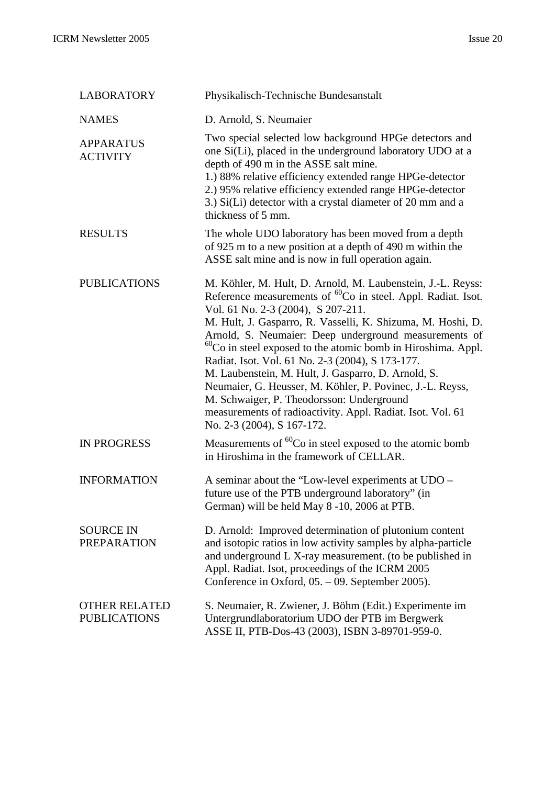| <b>LABORATORY</b>                           | Physikalisch-Technische Bundesanstalt                                                                                                                                                                                                                                                                                                                                                                                                                                                                                                                                                                                                                                                          |
|---------------------------------------------|------------------------------------------------------------------------------------------------------------------------------------------------------------------------------------------------------------------------------------------------------------------------------------------------------------------------------------------------------------------------------------------------------------------------------------------------------------------------------------------------------------------------------------------------------------------------------------------------------------------------------------------------------------------------------------------------|
| <b>NAMES</b>                                | D. Arnold, S. Neumaier                                                                                                                                                                                                                                                                                                                                                                                                                                                                                                                                                                                                                                                                         |
| <b>APPARATUS</b><br><b>ACTIVITY</b>         | Two special selected low background HPGe detectors and<br>one Si(Li), placed in the underground laboratory UDO at a<br>depth of 490 m in the ASSE salt mine.<br>1.) 88% relative efficiency extended range HPGe-detector<br>2.) 95% relative efficiency extended range HPGe-detector<br>3.) Si(Li) detector with a crystal diameter of 20 mm and a<br>thickness of 5 mm.                                                                                                                                                                                                                                                                                                                       |
| <b>RESULTS</b>                              | The whole UDO laboratory has been moved from a depth<br>of 925 m to a new position at a depth of 490 m within the<br>ASSE salt mine and is now in full operation again.                                                                                                                                                                                                                                                                                                                                                                                                                                                                                                                        |
| <b>PUBLICATIONS</b>                         | M. Köhler, M. Hult, D. Arnold, M. Laubenstein, J.-L. Reyss:<br>Reference measurements of <sup>60</sup> Co in steel. Appl. Radiat. Isot.<br>Vol. 61 No. 2-3 (2004), S 207-211.<br>M. Hult, J. Gasparro, R. Vasselli, K. Shizuma, M. Hoshi, D.<br>Arnold, S. Neumaier: Deep underground measurements of<br>${}^{60}$ Co in steel exposed to the atomic bomb in Hiroshima. Appl.<br>Radiat. Isot. Vol. 61 No. 2-3 (2004), S 173-177.<br>M. Laubenstein, M. Hult, J. Gasparro, D. Arnold, S.<br>Neumaier, G. Heusser, M. Köhler, P. Povinec, J.-L. Reyss,<br>M. Schwaiger, P. Theodorsson: Underground<br>measurements of radioactivity. Appl. Radiat. Isot. Vol. 61<br>No. 2-3 (2004), S 167-172. |
| <b>IN PROGRESS</b>                          | Measurements of <sup>60</sup> Co in steel exposed to the atomic bomb<br>in Hiroshima in the framework of CELLAR.                                                                                                                                                                                                                                                                                                                                                                                                                                                                                                                                                                               |
| <b>INFORMATION</b>                          | A seminar about the "Low-level experiments at UDO –<br>future use of the PTB underground laboratory" (in<br>German) will be held May 8-10, 2006 at PTB.                                                                                                                                                                                                                                                                                                                                                                                                                                                                                                                                        |
| <b>SOURCE IN</b><br><b>PREPARATION</b>      | D. Arnold: Improved determination of plutonium content<br>and isotopic ratios in low activity samples by alpha-particle<br>and underground L X-ray measurement. (to be published in<br>Appl. Radiat. Isot, proceedings of the ICRM 2005<br>Conference in Oxford, 05. – 09. September 2005).                                                                                                                                                                                                                                                                                                                                                                                                    |
| <b>OTHER RELATED</b><br><b>PUBLICATIONS</b> | S. Neumaier, R. Zwiener, J. Böhm (Edit.) Experimente im<br>Untergrundlaboratorium UDO der PTB im Bergwerk<br>ASSE II, PTB-Dos-43 (2003), ISBN 3-89701-959-0.                                                                                                                                                                                                                                                                                                                                                                                                                                                                                                                                   |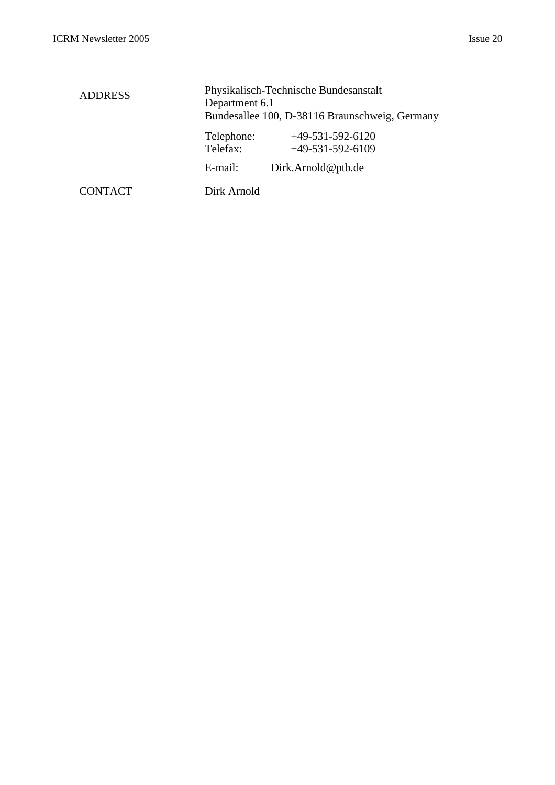| <b>ADDRESS</b> | Physikalisch-Technische Bundesanstalt<br>Department 6.1<br>Bundesallee 100, D-38116 Braunschweig, Germany |                                          |
|----------------|-----------------------------------------------------------------------------------------------------------|------------------------------------------|
|                | Telephone:<br>Telefax:                                                                                    | $+49-531-592-6120$<br>$+49-531-592-6109$ |
|                | E-mail:                                                                                                   | Dirk.Arnold@ptb.de                       |
| <b>CONTACT</b> | Dirk Arnold                                                                                               |                                          |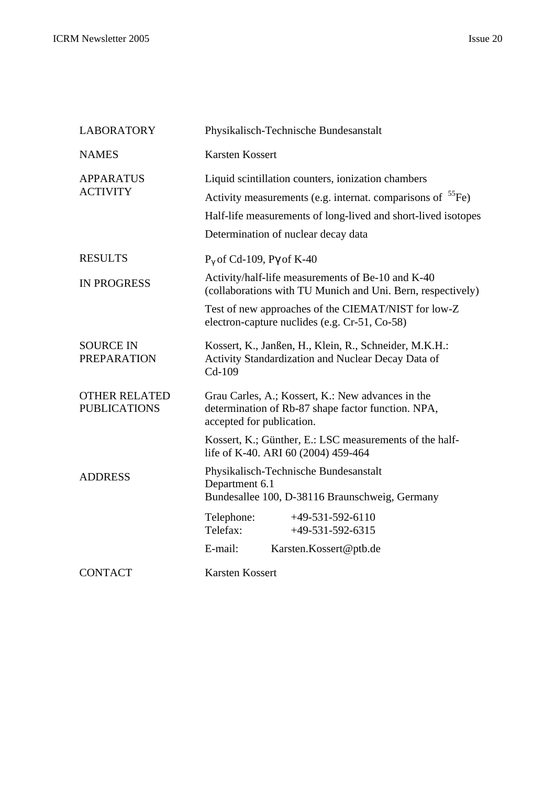| <b>LABORATORY</b>                           | Physikalisch-Technische Bundesanstalt                                                                                                                                                                                            |  |  |
|---------------------------------------------|----------------------------------------------------------------------------------------------------------------------------------------------------------------------------------------------------------------------------------|--|--|
| <b>NAMES</b>                                | <b>Karsten Kossert</b>                                                                                                                                                                                                           |  |  |
| <b>APPARATUS</b><br><b>ACTIVITY</b>         | Liquid scintillation counters, ionization chambers<br>Activity measurements (e.g. internat. comparisons of ${}^{55}Fe$ )<br>Half-life measurements of long-lived and short-lived isotopes<br>Determination of nuclear decay data |  |  |
| <b>RESULTS</b>                              | $P_{\gamma}$ of Cd-109, P $\gamma$ of K-40                                                                                                                                                                                       |  |  |
| <b>IN PROGRESS</b>                          | Activity/half-life measurements of Be-10 and K-40<br>(collaborations with TU Munich and Uni. Bern, respectively)                                                                                                                 |  |  |
|                                             | Test of new approaches of the CIEMAT/NIST for low-Z<br>electron-capture nuclides (e.g. Cr-51, Co-58)                                                                                                                             |  |  |
| <b>SOURCE IN</b><br><b>PREPARATION</b>      | Kossert, K., Janßen, H., Klein, R., Schneider, M.K.H.:<br>Activity Standardization and Nuclear Decay Data of<br>Cd-109                                                                                                           |  |  |
| <b>OTHER RELATED</b><br><b>PUBLICATIONS</b> | Grau Carles, A.; Kossert, K.: New advances in the<br>determination of Rb-87 shape factor function. NPA,<br>accepted for publication.                                                                                             |  |  |
|                                             | Kossert, K.; Günther, E.: LSC measurements of the half-<br>life of K-40. ARI 60 (2004) 459-464                                                                                                                                   |  |  |
| <b>ADDRESS</b>                              | Physikalisch-Technische Bundesanstalt<br>Department 6.1<br>Bundesallee 100, D-38116 Braunschweig, Germany                                                                                                                        |  |  |
|                                             | $+49-531-592-6110$<br>Telephone:                                                                                                                                                                                                 |  |  |
|                                             | Telefax:<br>$+49-531-592-6315$                                                                                                                                                                                                   |  |  |
|                                             | E-mail:<br>Karsten.Kossert@ptb.de                                                                                                                                                                                                |  |  |
| <b>CONTACT</b>                              | Karsten Kossert                                                                                                                                                                                                                  |  |  |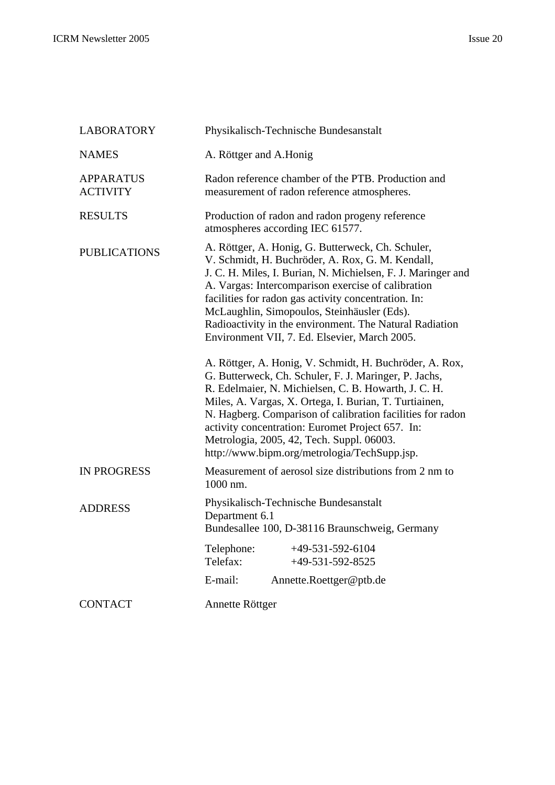| <b>LABORATORY</b>                   | Physikalisch-Technische Bundesanstalt                                                                                                                                                                                                                                                                                                                                                                                                                                                                                                                                                                                                                                                                                                                                                                                                                                                               |  |  |
|-------------------------------------|-----------------------------------------------------------------------------------------------------------------------------------------------------------------------------------------------------------------------------------------------------------------------------------------------------------------------------------------------------------------------------------------------------------------------------------------------------------------------------------------------------------------------------------------------------------------------------------------------------------------------------------------------------------------------------------------------------------------------------------------------------------------------------------------------------------------------------------------------------------------------------------------------------|--|--|
| <b>NAMES</b>                        | A. Röttger and A.Honig                                                                                                                                                                                                                                                                                                                                                                                                                                                                                                                                                                                                                                                                                                                                                                                                                                                                              |  |  |
| <b>APPARATUS</b><br><b>ACTIVITY</b> | Radon reference chamber of the PTB. Production and<br>measurement of radon reference atmospheres.                                                                                                                                                                                                                                                                                                                                                                                                                                                                                                                                                                                                                                                                                                                                                                                                   |  |  |
| <b>RESULTS</b>                      | Production of radon and radon progeny reference<br>atmospheres according IEC 61577.                                                                                                                                                                                                                                                                                                                                                                                                                                                                                                                                                                                                                                                                                                                                                                                                                 |  |  |
| <b>PUBLICATIONS</b>                 | A. Röttger, A. Honig, G. Butterweck, Ch. Schuler,<br>V. Schmidt, H. Buchröder, A. Rox, G. M. Kendall,<br>J. C. H. Miles, I. Burian, N. Michielsen, F. J. Maringer and<br>A. Vargas: Intercomparison exercise of calibration<br>facilities for radon gas activity concentration. In:<br>McLaughlin, Simopoulos, Steinhäusler (Eds).<br>Radioactivity in the environment. The Natural Radiation<br>Environment VII, 7. Ed. Elsevier, March 2005.<br>A. Röttger, A. Honig, V. Schmidt, H. Buchröder, A. Rox,<br>G. Butterweck, Ch. Schuler, F. J. Maringer, P. Jachs,<br>R. Edelmaier, N. Michielsen, C. B. Howarth, J. C. H.<br>Miles, A. Vargas, X. Ortega, I. Burian, T. Turtiainen,<br>N. Hagberg. Comparison of calibration facilities for radon<br>activity concentration: Euromet Project 657. In:<br>Metrologia, 2005, 42, Tech. Suppl. 06003.<br>http://www.bipm.org/metrologia/TechSupp.jsp. |  |  |
| <b>IN PROGRESS</b>                  | Measurement of aerosol size distributions from 2 nm to<br>1000 nm.                                                                                                                                                                                                                                                                                                                                                                                                                                                                                                                                                                                                                                                                                                                                                                                                                                  |  |  |
| <b>ADDRESS</b>                      | Physikalisch-Technische Bundesanstalt<br>Department 6.1<br>Bundesallee 100, D-38116 Braunschweig, Germany<br>Telephone:<br>$+49-531-592-6104$<br>Telefax:<br>$+49-531-592-8525$                                                                                                                                                                                                                                                                                                                                                                                                                                                                                                                                                                                                                                                                                                                     |  |  |
|                                     | E-mail:<br>Annette.Roettger@ptb.de                                                                                                                                                                                                                                                                                                                                                                                                                                                                                                                                                                                                                                                                                                                                                                                                                                                                  |  |  |
| <b>CONTACT</b>                      | Annette Röttger                                                                                                                                                                                                                                                                                                                                                                                                                                                                                                                                                                                                                                                                                                                                                                                                                                                                                     |  |  |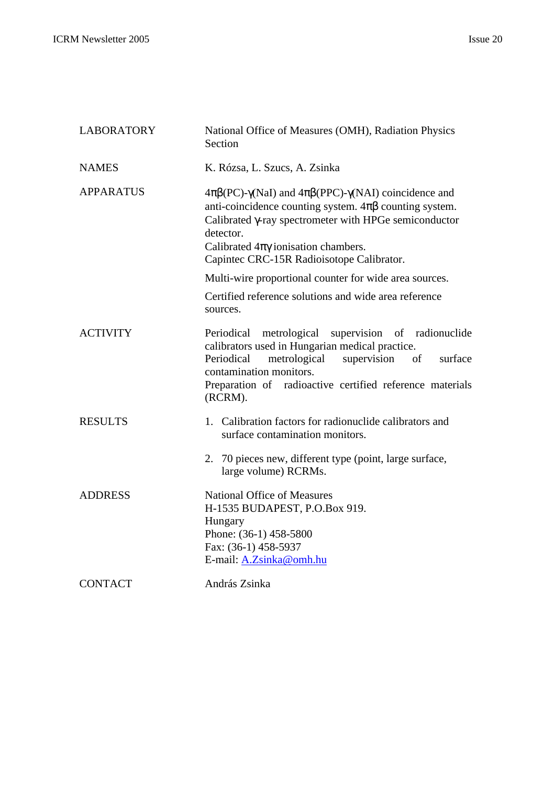| <b>LABORATORY</b> | National Office of Measures (OMH), Radiation Physics<br>Section                                                                                                                                                                                                                                                             |
|-------------------|-----------------------------------------------------------------------------------------------------------------------------------------------------------------------------------------------------------------------------------------------------------------------------------------------------------------------------|
| <b>NAMES</b>      | K. Rózsa, L. Szucs, A. Zsinka                                                                                                                                                                                                                                                                                               |
| <b>APPARATUS</b>  | $4\pi\beta$ (PC)- $\gamma$ (NaI) and $4\pi\beta$ (PPC)- $\gamma$ (NAI) coincidence and<br>anti-coincidence counting system. $4\pi\beta$ counting system.<br>Calibrated y-ray spectrometer with HPGe semiconductor<br>detector.<br>Calibrated $4\pi\gamma$ ionisation chambers.<br>Capintec CRC-15R Radioisotope Calibrator. |
|                   | Multi-wire proportional counter for wide area sources.                                                                                                                                                                                                                                                                      |
|                   | Certified reference solutions and wide area reference<br>sources.                                                                                                                                                                                                                                                           |
| <b>ACTIVITY</b>   | Periodical<br>metrological<br>supervision of radionuclide<br>calibrators used in Hungarian medical practice.<br>metrological<br>Periodical<br>supervision<br>of<br>surface<br>contamination monitors.<br>Preparation of radioactive certified reference materials<br>(RCRM).                                                |
| <b>RESULTS</b>    | 1. Calibration factors for radionuclide calibrators and<br>surface contamination monitors.                                                                                                                                                                                                                                  |
|                   | 2. 70 pieces new, different type (point, large surface,<br>large volume) RCRMs.                                                                                                                                                                                                                                             |
| <b>ADDRESS</b>    | <b>National Office of Measures</b><br>H-1535 BUDAPEST, P.O.Box 919.<br>Hungary<br>Phone: (36-1) 458-5800<br>Fax: (36-1) 458-5937<br>E-mail: A.Zsinka@omh.hu                                                                                                                                                                 |
| <b>CONTACT</b>    | András Zsinka                                                                                                                                                                                                                                                                                                               |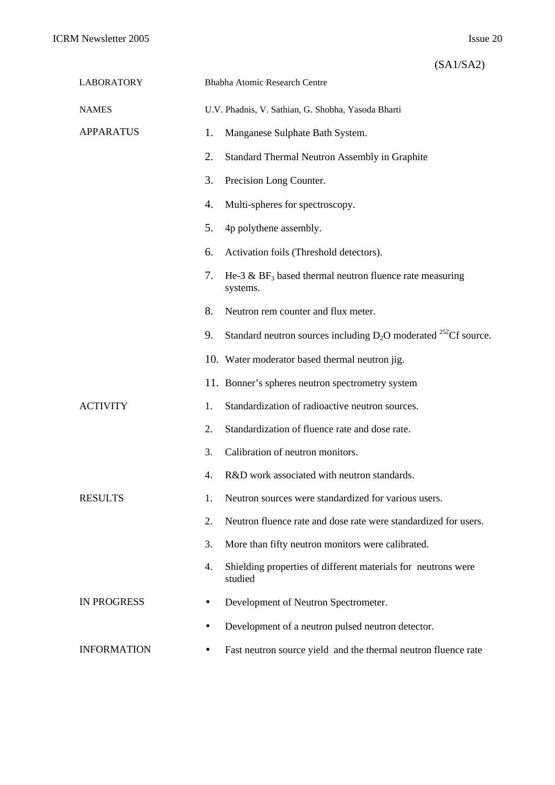|  |  | (SA1/SA2) |
|--|--|-----------|
|  |  |           |

| <b>LABORATORY</b>  |    | Bhabha Atomic Research Centre                                                      |
|--------------------|----|------------------------------------------------------------------------------------|
| <b>NAMES</b>       |    | U.V. Phadnis, V. Sathian, G. Shobha, Yasoda Bharti                                 |
| <b>APPARATUS</b>   | 1. | Manganese Sulphate Bath System.                                                    |
|                    | 2. | Standard Thermal Neutron Assembly in Graphite                                      |
|                    | 3. | Precision Long Counter.                                                            |
|                    | 4. | Multi-spheres for spectroscopy.                                                    |
|                    | 5. | 4p polythene assembly.                                                             |
|                    | 6. | Activation foils (Threshold detectors).                                            |
|                    | 7. | He-3 $\&$ BF <sub>3</sub> based thermal neutron fluence rate measuring<br>systems. |
|                    | 8. | Neutron rem counter and flux meter.                                                |
|                    | 9. | Standard neutron sources including $D_2O$ moderated <sup>252</sup> Cf source.      |
|                    |    | 10. Water moderator based thermal neutron jig.                                     |
|                    |    | 11. Bonner's spheres neutron spectrometry system                                   |
| <b>ACTIVITY</b>    | 1. | Standardization of radioactive neutron sources.                                    |
|                    | 2. | Standardization of fluence rate and dose rate.                                     |
|                    | 3. | Calibration of neutron monitors.                                                   |
|                    | 4. | R&D work associated with neutron standards.                                        |
| <b>RESULTS</b>     | 1. | Neutron sources were standardized for various users.                               |
|                    | 2. | Neutron fluence rate and dose rate were standardized for users.                    |
|                    | 3. | More than fifty neutron monitors were calibrated.                                  |
|                    | 4. | Shielding properties of different materials for neutrons were<br>studied           |
| <b>IN PROGRESS</b> |    | Development of Neutron Spectrometer.                                               |
|                    |    | Development of a neutron pulsed neutron detector.                                  |
| <b>INFORMATION</b> |    | Fast neutron source yield and the thermal neutron fluence rate                     |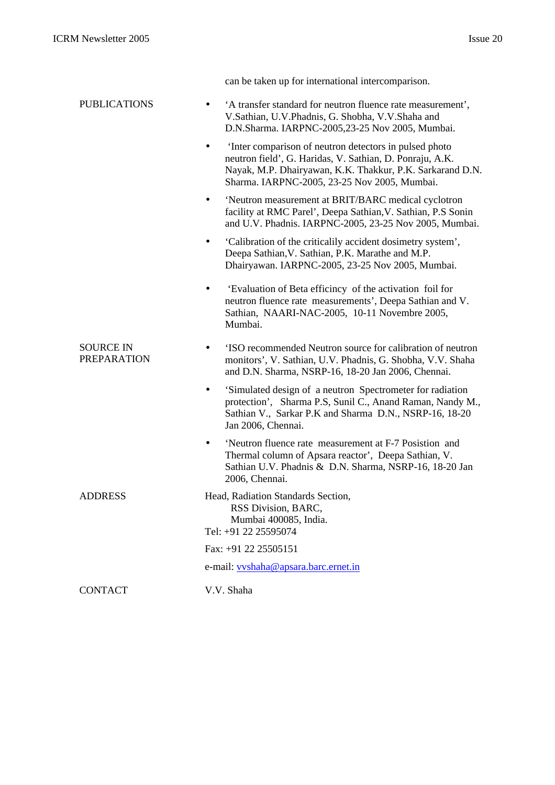|                                        | can be taken up for international intercomparison.                                                                                                                                                                             |
|----------------------------------------|--------------------------------------------------------------------------------------------------------------------------------------------------------------------------------------------------------------------------------|
| <b>PUBLICATIONS</b>                    | 'A transfer standard for neutron fluence rate measurement',<br>V.Sathian, U.V.Phadnis, G. Shobha, V.V.Shaha and<br>D.N.Sharma. IARPNC-2005,23-25 Nov 2005, Mumbai.                                                             |
|                                        | Inter comparison of neutron detectors in pulsed photo<br>neutron field', G. Haridas, V. Sathian, D. Ponraju, A.K.<br>Nayak, M.P. Dhairyawan, K.K. Thakkur, P.K. Sarkarand D.N.<br>Sharma. IARPNC-2005, 23-25 Nov 2005, Mumbai. |
|                                        | 'Neutron measurement at BRIT/BARC medical cyclotron<br>$\bullet$<br>facility at RMC Parel', Deepa Sathian, V. Sathian, P.S Sonin<br>and U.V. Phadnis. IARPNC-2005, 23-25 Nov 2005, Mumbai.                                     |
|                                        | 'Calibration of the criticalily accident dosimetry system',<br>Deepa Sathian, V. Sathian, P.K. Marathe and M.P.<br>Dhairyawan. IARPNC-2005, 23-25 Nov 2005, Mumbai.                                                            |
|                                        | 'Evaluation of Beta efficincy of the activation foil for<br>neutron fluence rate measurements', Deepa Sathian and V.<br>Sathian, NAARI-NAC-2005, 10-11 Novembre 2005,<br>Mumbai.                                               |
| <b>SOURCE IN</b><br><b>PREPARATION</b> | 'ISO recommended Neutron source for calibration of neutron<br>monitors', V. Sathian, U.V. Phadnis, G. Shobha, V.V. Shaha<br>and D.N. Sharma, NSRP-16, 18-20 Jan 2006, Chennai.                                                 |
|                                        | 'Simulated design of a neutron Spectrometer for radiation<br>protection', Sharma P.S, Sunil C., Anand Raman, Nandy M.,<br>Sathian V., Sarkar P.K and Sharma D.N., NSRP-16, 18-20<br>Jan 2006, Chennai.                         |
|                                        | 'Neutron fluence rate measurement at F-7 Posistion and<br>$\bullet$<br>Thermal column of Apsara reactor', Deepa Sathian, V.<br>Sathian U.V. Phadnis & D.N. Sharma, NSRP-16, 18-20 Jan<br>2006, Chennai.                        |
| <b>ADDRESS</b>                         | Head, Radiation Standards Section,<br>RSS Division, BARC,<br>Mumbai 400085, India.<br>Tel: +91 22 25595074                                                                                                                     |
|                                        | Fax: +91 22 25505151                                                                                                                                                                                                           |
|                                        | e-mail: vyshaha@apsara.barc.ernet.in                                                                                                                                                                                           |
| <b>CONTACT</b>                         | V.V. Shaha                                                                                                                                                                                                                     |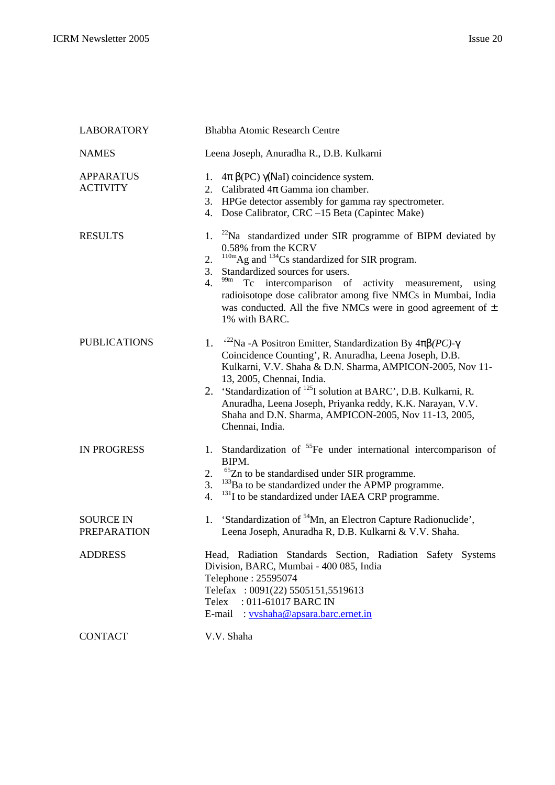| <b>LABORATORY</b>                      | Bhabha Atomic Research Centre                                                                                                                                                                                                                                                                                                                                                                                                                 |  |
|----------------------------------------|-----------------------------------------------------------------------------------------------------------------------------------------------------------------------------------------------------------------------------------------------------------------------------------------------------------------------------------------------------------------------------------------------------------------------------------------------|--|
| <b>NAMES</b>                           | Leena Joseph, Anuradha R., D.B. Kulkarni                                                                                                                                                                                                                                                                                                                                                                                                      |  |
| <b>APPARATUS</b><br><b>ACTIVITY</b>    | $4\pi \beta$ (PC) $\gamma$ (NaI) coincidence system.<br>1.<br>2. Calibrated $4\pi$ Gamma ion chamber.<br>3. HPGe detector assembly for gamma ray spectrometer.<br>4. Dose Calibrator, CRC -15 Beta (Capintec Make)                                                                                                                                                                                                                            |  |
| <b>RESULTS</b>                         | 1. $^{22}$ Na standardized under SIR programme of BIPM deviated by<br>0.58% from the KCRV<br>$^{110m}$ Ag and $^{134}$ Cs standardized for SIR program.<br>2.<br>Standardized sources for users.<br>3.<br>99m<br>4.<br>intercomparison of activity measurement,<br>Tc<br>using<br>radioisotope dose calibrator among five NMCs in Mumbai, India<br>was conducted. All the five NMCs were in good agreement of $\pm$<br>1% with BARC.          |  |
| <b>PUBLICATIONS</b>                    | 1. $^{22}$ Na -A Positron Emitter, Standardization By 4pb(PC)-g<br>Coincidence Counting', R. Anuradha, Leena Joseph, D.B.<br>Kulkarni, V.V. Shaha & D.N. Sharma, AMPICON-2005, Nov 11-<br>13, 2005, Chennai, India.<br>2. 'Standardization of <sup>125</sup> I solution at BARC', D.B. Kulkarni, R.<br>Anuradha, Leena Joseph, Priyanka reddy, K.K. Narayan, V.V.<br>Shaha and D.N. Sharma, AMPICON-2005, Nov 11-13, 2005,<br>Chennai, India. |  |
| <b>IN PROGRESS</b>                     | Standardization of <sup>55</sup> Fe under international intercomparison of<br>1.<br>BIPM.<br><sup>65</sup> Zn to be standardised under SIR programme.<br>2.<br><sup>133</sup> Ba to be standardized under the APMP programme.<br>3.<br><sup>131</sup> I to be standardized under IAEA CRP programme.<br>4.                                                                                                                                    |  |
| <b>SOURCE IN</b><br><b>PREPARATION</b> | 'Standardization of <sup>54</sup> Mn, an Electron Capture Radionuclide',<br>1.<br>Leena Joseph, Anuradha R, D.B. Kulkarni & V.V. Shaha.                                                                                                                                                                                                                                                                                                       |  |
| <b>ADDRESS</b>                         | Head, Radiation Standards Section, Radiation Safety Systems<br>Division, BARC, Mumbai - 400 085, India<br>Telephone: 25595074<br>Telefax: 0091(22) 5505151,5519613<br>: 011-61017 BARC IN<br>Telex<br>E-mail : vyshaha@apsara.barc.ernet.in                                                                                                                                                                                                   |  |
| <b>CONTACT</b>                         | V.V. Shaha                                                                                                                                                                                                                                                                                                                                                                                                                                    |  |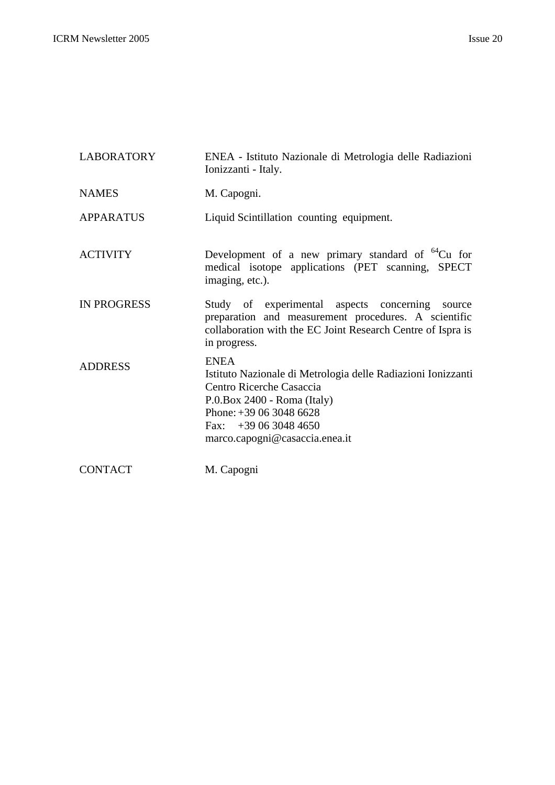| <b>LABORATORY</b>  | ENEA - Istituto Nazionale di Metrologia delle Radiazioni<br>Ionizzanti - Italy.                                                                                                                                                |
|--------------------|--------------------------------------------------------------------------------------------------------------------------------------------------------------------------------------------------------------------------------|
| <b>NAMES</b>       | M. Capogni.                                                                                                                                                                                                                    |
| <b>APPARATUS</b>   | Liquid Scintillation counting equipment.                                                                                                                                                                                       |
| <b>ACTIVITY</b>    | Development of a new primary standard of ${}^{64}Cu$ for<br>medical isotope applications (PET scanning, SPECT<br>imaging, etc.).                                                                                               |
| <b>IN PROGRESS</b> | Study of experimental aspects concerning source<br>preparation and measurement procedures. A scientific<br>collaboration with the EC Joint Research Centre of Ispra is<br>in progress.                                         |
| <b>ADDRESS</b>     | <b>ENEA</b><br>Istituto Nazionale di Metrologia delle Radiazioni Ionizzanti<br>Centro Ricerche Casaccia<br>$P.0$ . Box 2400 - Roma (Italy)<br>Phone: $+390630486628$<br>Fax: $+390630484650$<br>marco.capogni@casaccia.enea.it |
| <b>CONTACT</b>     | M. Capogni                                                                                                                                                                                                                     |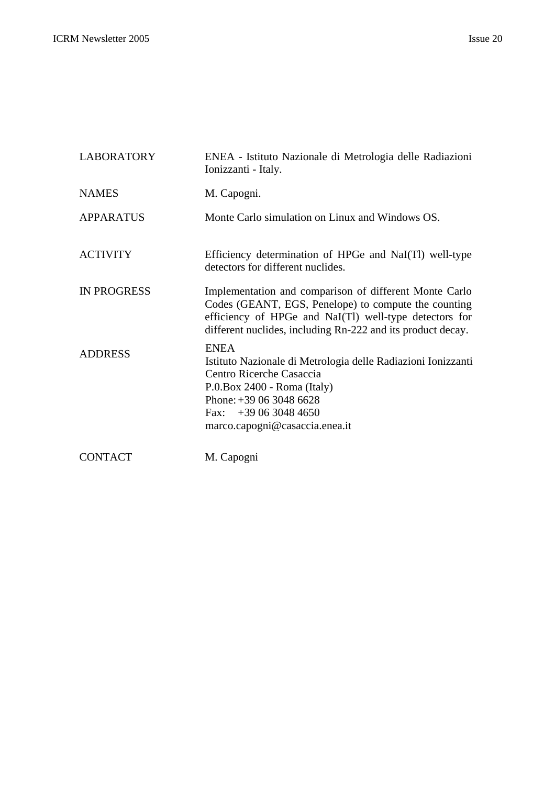| <b>LABORATORY</b>  | ENEA - Istituto Nazionale di Metrologia delle Radiazioni<br>Ionizzanti - Italy.                                                                                                                                                         |
|--------------------|-----------------------------------------------------------------------------------------------------------------------------------------------------------------------------------------------------------------------------------------|
| <b>NAMES</b>       | M. Capogni.                                                                                                                                                                                                                             |
| <b>APPARATUS</b>   | Monte Carlo simulation on Linux and Windows OS.                                                                                                                                                                                         |
| <b>ACTIVITY</b>    | Efficiency determination of HPGe and NaI(TI) well-type<br>detectors for different nuclides.                                                                                                                                             |
| <b>IN PROGRESS</b> | Implementation and comparison of different Monte Carlo<br>Codes (GEANT, EGS, Penelope) to compute the counting<br>efficiency of HPGe and NaI(Tl) well-type detectors for<br>different nuclides, including Rn-222 and its product decay. |
| <b>ADDRESS</b>     | <b>ENEA</b><br>Istituto Nazionale di Metrologia delle Radiazioni Ionizzanti<br>Centro Ricerche Casaccia<br>$P.0$ . Box 2400 - Roma (Italy)<br>Phone: $+390630486628$<br>Fax: $+390630484650$<br>marco.capogni@casaccia.enea.it          |
| <b>CONTACT</b>     | M. Capogni                                                                                                                                                                                                                              |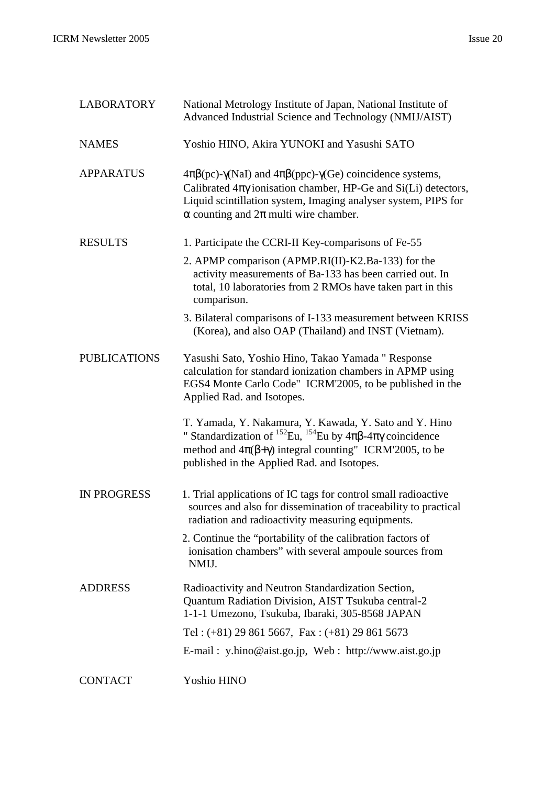| <b>LABORATORY</b>   | National Metrology Institute of Japan, National Institute of<br>Advanced Industrial Science and Technology (NMIJ/AIST)                                                                                                                                                                      |
|---------------------|---------------------------------------------------------------------------------------------------------------------------------------------------------------------------------------------------------------------------------------------------------------------------------------------|
| <b>NAMES</b>        | Yoshio HINO, Akira YUNOKI and Yasushi SATO                                                                                                                                                                                                                                                  |
| <b>APPARATUS</b>    | $4\pi\beta$ (pc)- $\gamma$ (NaI) and $4\pi\beta$ (ppc)- $\gamma$ (Ge) coincidence systems,<br>Calibrated $4\pi\gamma$ ionisation chamber, HP-Ge and Si(Li) detectors,<br>Liquid scintillation system, Imaging analyser system, PIPS for<br>$\alpha$ counting and $2\pi$ multi wire chamber. |
| <b>RESULTS</b>      | 1. Participate the CCRI-II Key-comparisons of Fe-55                                                                                                                                                                                                                                         |
|                     | 2. APMP comparison (APMP.RI(II)-K2.Ba-133) for the<br>activity measurements of Ba-133 has been carried out. In<br>total, 10 laboratories from 2 RMOs have taken part in this<br>comparison.                                                                                                 |
|                     | 3. Bilateral comparisons of I-133 measurement between KRISS<br>(Korea), and also OAP (Thailand) and INST (Vietnam).                                                                                                                                                                         |
| <b>PUBLICATIONS</b> | Yasushi Sato, Yoshio Hino, Takao Yamada " Response<br>calculation for standard ionization chambers in APMP using<br>EGS4 Monte Carlo Code" ICRM'2005, to be published in the<br>Applied Rad. and Isotopes.                                                                                  |
|                     | T. Yamada, Y. Nakamura, Y. Kawada, Y. Sato and Y. Hino<br>" Standardization of <sup>152</sup> Eu, <sup>154</sup> Eu by $4\pi\beta$ - $4\pi\gamma$ coincidence<br>method and $4\pi(\beta+\gamma)$ integral counting" ICRM'2005, to be<br>published in the Applied Rad. and Isotopes.         |
| <b>IN PROGRESS</b>  | 1. Trial applications of IC tags for control small radioactive<br>sources and also for dissemination of traceability to practical<br>radiation and radioactivity measuring equipments.                                                                                                      |
|                     | 2. Continue the "portability of the calibration factors of<br>ionisation chambers" with several ampoule sources from<br>NMIJ.                                                                                                                                                               |
| <b>ADDRESS</b>      | Radioactivity and Neutron Standardization Section,<br>Quantum Radiation Division, AIST Tsukuba central-2<br>1-1-1 Umezono, Tsukuba, Ibaraki, 305-8568 JAPAN                                                                                                                                 |
|                     | Tel: $(+81)$ 29 861 5667, Fax: $(+81)$ 29 861 5673                                                                                                                                                                                                                                          |
|                     | E-mail: y.hino@aist.go.jp, Web: http://www.aist.go.jp                                                                                                                                                                                                                                       |
| <b>CONTACT</b>      | Yoshio HINO                                                                                                                                                                                                                                                                                 |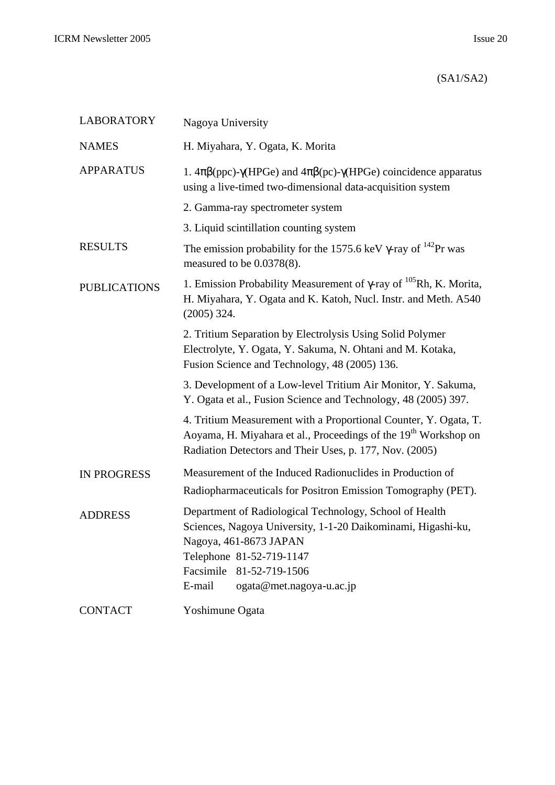## (SA1/SA2)

| <b>LABORATORY</b>   | Nagoya University                                                                                                                                                                                                                               |  |
|---------------------|-------------------------------------------------------------------------------------------------------------------------------------------------------------------------------------------------------------------------------------------------|--|
| <b>NAMES</b>        | H. Miyahara, Y. Ogata, K. Morita                                                                                                                                                                                                                |  |
| <b>APPARATUS</b>    | 1. $4\pi\beta$ (ppc)- $\gamma$ (HPGe) and $4\pi\beta$ (pc)- $\gamma$ (HPGe) coincidence apparatus<br>using a live-timed two-dimensional data-acquisition system                                                                                 |  |
|                     | 2. Gamma-ray spectrometer system                                                                                                                                                                                                                |  |
|                     | 3. Liquid scintillation counting system                                                                                                                                                                                                         |  |
| <b>RESULTS</b>      | The emission probability for the 1575.6 keV $\gamma$ -ray of <sup>142</sup> Pr was<br>measured to be 0.0378(8).                                                                                                                                 |  |
| <b>PUBLICATIONS</b> | 1. Emission Probability Measurement of $\gamma$ -ray of $^{105}$ Rh, K. Morita,<br>H. Miyahara, Y. Ogata and K. Katoh, Nucl. Instr. and Meth. A540<br>$(2005)$ 324.                                                                             |  |
|                     | 2. Tritium Separation by Electrolysis Using Solid Polymer<br>Electrolyte, Y. Ogata, Y. Sakuma, N. Ohtani and M. Kotaka,<br>Fusion Science and Technology, 48 (2005) 136.                                                                        |  |
|                     | 3. Development of a Low-level Tritium Air Monitor, Y. Sakuma,<br>Y. Ogata et al., Fusion Science and Technology, 48 (2005) 397.                                                                                                                 |  |
|                     | 4. Tritium Measurement with a Proportional Counter, Y. Ogata, T.<br>Aoyama, H. Miyahara et al., Proceedings of the 19 <sup>th</sup> Workshop on<br>Radiation Detectors and Their Uses, p. 177, Nov. (2005)                                      |  |
| <b>IN PROGRESS</b>  | Measurement of the Induced Radionuclides in Production of<br>Radiopharmaceuticals for Positron Emission Tomography (PET).                                                                                                                       |  |
| <b>ADDRESS</b>      | Department of Radiological Technology, School of Health<br>Sciences, Nagoya University, 1-1-20 Daikominami, Higashi-ku,<br>Nagoya, 461-8673 JAPAN<br>Telephone 81-52-719-1147<br>Facsimile 81-52-719-1506<br>E-mail<br>ogata@met.nagoya-u.ac.jp |  |
| <b>CONTACT</b>      | Yoshimune Ogata                                                                                                                                                                                                                                 |  |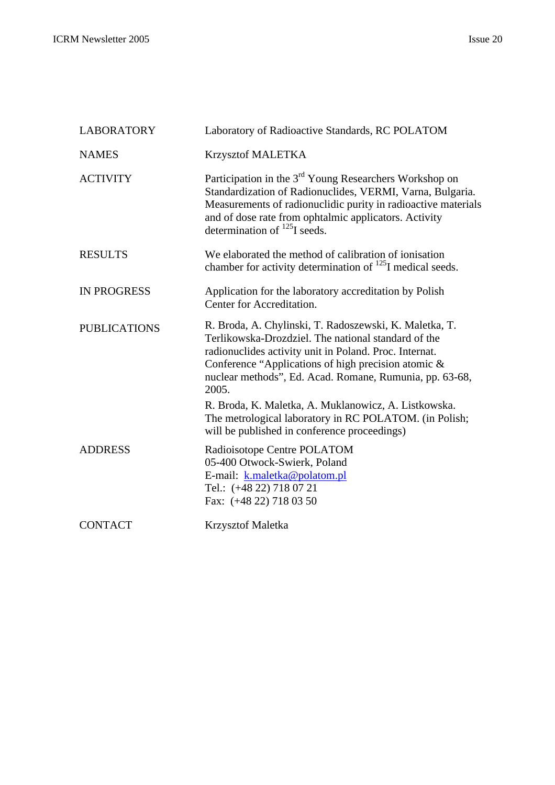| <b>LABORATORY</b>   | Laboratory of Radioactive Standards, RC POLATOM                                                                                                                                                                                                                                                                                                            |
|---------------------|------------------------------------------------------------------------------------------------------------------------------------------------------------------------------------------------------------------------------------------------------------------------------------------------------------------------------------------------------------|
| <b>NAMES</b>        | Krzysztof MALETKA                                                                                                                                                                                                                                                                                                                                          |
| <b>ACTIVITY</b>     | Participation in the 3 <sup>rd</sup> Young Researchers Workshop on<br>Standardization of Radionuclides, VERMI, Varna, Bulgaria.<br>Measurements of radionuclidic purity in radioactive materials<br>and of dose rate from ophtalmic applicators. Activity<br>determination of $^{125}$ I seeds.                                                            |
| <b>RESULTS</b>      | We elaborated the method of calibration of ionisation<br>chamber for activity determination of <sup>125</sup> I medical seeds.                                                                                                                                                                                                                             |
| <b>IN PROGRESS</b>  | Application for the laboratory accreditation by Polish<br>Center for Accreditation.                                                                                                                                                                                                                                                                        |
| <b>PUBLICATIONS</b> | R. Broda, A. Chylinski, T. Radoszewski, K. Maletka, T.<br>Terlikowska-Drozdziel. The national standard of the<br>radionuclides activity unit in Poland. Proc. Internat.<br>Conference "Applications of high precision atomic &<br>nuclear methods", Ed. Acad. Romane, Rumunia, pp. 63-68,<br>2005.<br>R. Broda, K. Maletka, A. Muklanowicz, A. Listkowska. |
|                     | The metrological laboratory in RC POLATOM. (in Polish;<br>will be published in conference proceedings)                                                                                                                                                                                                                                                     |
| <b>ADDRESS</b>      | Radioisotope Centre POLATOM<br>05-400 Otwock-Swierk, Poland<br>E-mail: k.maletka@polatom.pl<br>Tel.: (+48 22) 718 07 21<br>Fax: (+48 22) 718 03 50                                                                                                                                                                                                         |
| <b>CONTACT</b>      | <b>Krzysztof Maletka</b>                                                                                                                                                                                                                                                                                                                                   |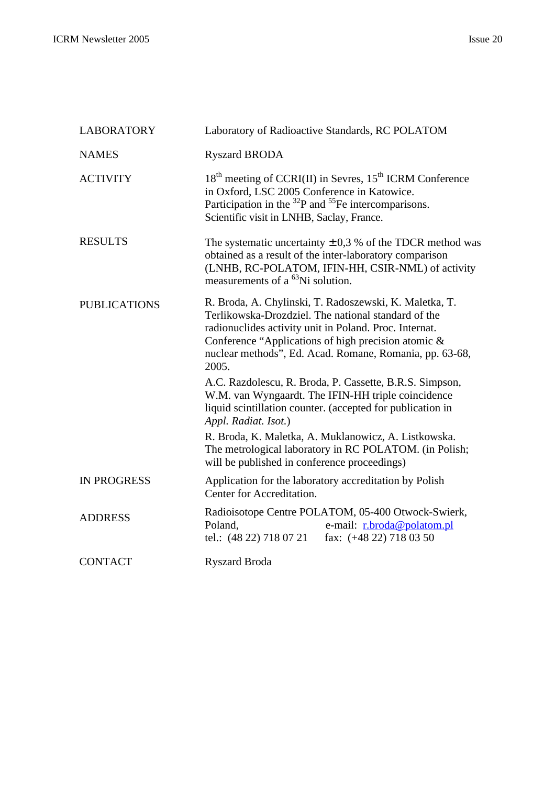| <b>LABORATORY</b>   | Laboratory of Radioactive Standards, RC POLATOM                                                                                                                                                                                                                                                    |  |
|---------------------|----------------------------------------------------------------------------------------------------------------------------------------------------------------------------------------------------------------------------------------------------------------------------------------------------|--|
| <b>NAMES</b>        | <b>Ryszard BRODA</b>                                                                                                                                                                                                                                                                               |  |
| <b>ACTIVITY</b>     | 18 <sup>th</sup> meeting of CCRI(II) in Sevres, 15 <sup>th</sup> ICRM Conference<br>in Oxford, LSC 2005 Conference in Katowice.<br>Participation in the $^{32}P$ and $^{55}Fe$ intercomparisons.<br>Scientific visit in LNHB, Saclay, France.                                                      |  |
| <b>RESULTS</b>      | The systematic uncertainty $\pm$ 0,3 % of the TDCR method was<br>obtained as a result of the inter-laboratory comparison<br>(LNHB, RC-POLATOM, IFIN-HH, CSIR-NML) of activity<br>measurements of a <sup>63</sup> Ni solution.                                                                      |  |
| <b>PUBLICATIONS</b> | R. Broda, A. Chylinski, T. Radoszewski, K. Maletka, T.<br>Terlikowska-Drozdziel. The national standard of the<br>radionuclides activity unit in Poland. Proc. Internat.<br>Conference "Applications of high precision atomic &<br>nuclear methods", Ed. Acad. Romane, Romania, pp. 63-68,<br>2005. |  |
|                     | A.C. Razdolescu, R. Broda, P. Cassette, B.R.S. Simpson,<br>W.M. van Wyngaardt. The IFIN-HH triple coincidence<br>liquid scintillation counter. (accepted for publication in<br>Appl. Radiat. Isot.)                                                                                                |  |
|                     | R. Broda, K. Maletka, A. Muklanowicz, A. Listkowska.<br>The metrological laboratory in RC POLATOM. (in Polish;<br>will be published in conference proceedings)                                                                                                                                     |  |
| <b>IN PROGRESS</b>  | Application for the laboratory accreditation by Polish<br>Center for Accreditation.                                                                                                                                                                                                                |  |
| <b>ADDRESS</b>      | Radioisotope Centre POLATOM, 05-400 Otwock-Swierk,<br>e-mail: r.broda@polatom.pl<br>Poland,<br>tel.: (48 22) 718 07 21<br>fax: $(+48 22)$ 718 03 50                                                                                                                                                |  |
| <b>CONTACT</b>      | <b>Ryszard Broda</b>                                                                                                                                                                                                                                                                               |  |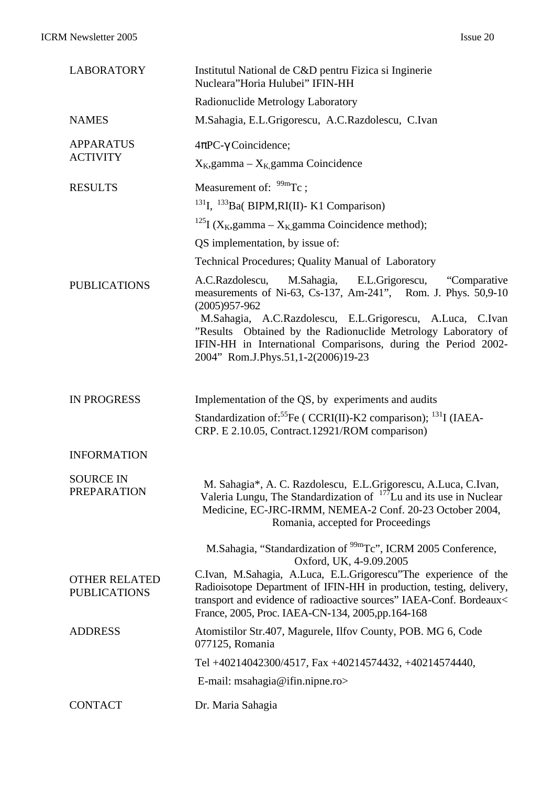| <b>LABORATORY</b>                           | Institutul National de C&D pentru Fizica si Inginerie<br>Nucleara"Horia Hulubei" IFIN-HH                                                                                                                                                                                                                                                                                                |
|---------------------------------------------|-----------------------------------------------------------------------------------------------------------------------------------------------------------------------------------------------------------------------------------------------------------------------------------------------------------------------------------------------------------------------------------------|
|                                             | Radionuclide Metrology Laboratory                                                                                                                                                                                                                                                                                                                                                       |
| <b>NAMES</b>                                | M.Sahagia, E.L.Grigorescu, A.C.Razdolescu, C.Ivan                                                                                                                                                                                                                                                                                                                                       |
| <b>APPARATUS</b>                            | $4\pi$ PC- $\gamma$ Coincidence;                                                                                                                                                                                                                                                                                                                                                        |
| <b>ACTIVITY</b>                             | $X_K$ , gamma – $X_K$ gamma Coincidence                                                                                                                                                                                                                                                                                                                                                 |
| <b>RESULTS</b>                              | Measurement of: $\frac{99m}{\text{TC}}$ ;                                                                                                                                                                                                                                                                                                                                               |
|                                             | <sup>131</sup> I, <sup>133</sup> Ba( BIPM, RI(II)- K1 Comparison)                                                                                                                                                                                                                                                                                                                       |
|                                             | <sup>125</sup> I (X <sub>K</sub> ,gamma – X <sub>K</sub> ,gamma Coincidence method);                                                                                                                                                                                                                                                                                                    |
|                                             | QS implementation, by issue of:                                                                                                                                                                                                                                                                                                                                                         |
|                                             | Technical Procedures; Quality Manual of Laboratory                                                                                                                                                                                                                                                                                                                                      |
| <b>PUBLICATIONS</b>                         | A.C.Razdolescu,<br>M.Sahagia, E.L.Grigorescu,<br>"Comparative"<br>measurements of Ni-63, Cs-137, Am-241", Rom. J. Phys. 50,9-10<br>$(2005)957-962$<br>M.Sahagia, A.C.Razdolescu, E.L.Grigorescu, A.Luca, C.Ivan<br>"Results Obtained by the Radionuclide Metrology Laboratory of<br>IFIN-HH in International Comparisons, during the Period 2002-<br>2004" Rom.J.Phys.51,1-2(2006)19-23 |
| <b>IN PROGRESS</b>                          | Implementation of the QS, by experiments and audits                                                                                                                                                                                                                                                                                                                                     |
|                                             | Standardization of: <sup>55</sup> Fe ( CCRI(II)-K2 comparison); <sup>131</sup> I (IAEA-<br>CRP. E 2.10.05, Contract.12921/ROM comparison)                                                                                                                                                                                                                                               |
| <b>INFORMATION</b>                          |                                                                                                                                                                                                                                                                                                                                                                                         |
| <b>SOURCE IN</b><br><b>PREPARATION</b>      | M. Sahagia*, A. C. Razdolescu, E.L.Grigorescu, A.Luca, C.Ivan,<br>Valeria Lungu, The Standardization of $177$ Lu and its use in Nuclear<br>Medicine, EC-JRC-IRMM, NEMEA-2 Conf. 20-23 October 2004,<br>Romania, accepted for Proceedings                                                                                                                                                |
|                                             | M.Sahagia, "Standardization of <sup>99m</sup> Tc", ICRM 2005 Conference,<br>Oxford, UK, 4-9.09.2005                                                                                                                                                                                                                                                                                     |
| <b>OTHER RELATED</b><br><b>PUBLICATIONS</b> | C.Ivan, M.Sahagia, A.Luca, E.L.Grigorescu"The experience of the<br>Radioisotope Department of IFIN-HH in production, testing, delivery,<br>transport and evidence of radioactive sources" IAEA-Conf. Bordeaux<<br>France, 2005, Proc. IAEA-CN-134, 2005, pp.164-168                                                                                                                     |
| <b>ADDRESS</b>                              | Atomistilor Str.407, Magurele, Ilfov County, POB. MG 6, Code<br>077125, Romania                                                                                                                                                                                                                                                                                                         |
|                                             | Tel +40214042300/4517, Fax +40214574432, +40214574440,                                                                                                                                                                                                                                                                                                                                  |
|                                             | E-mail: msahagia@ifin.nipne.ro>                                                                                                                                                                                                                                                                                                                                                         |
| <b>CONTACT</b>                              | Dr. Maria Sahagia                                                                                                                                                                                                                                                                                                                                                                       |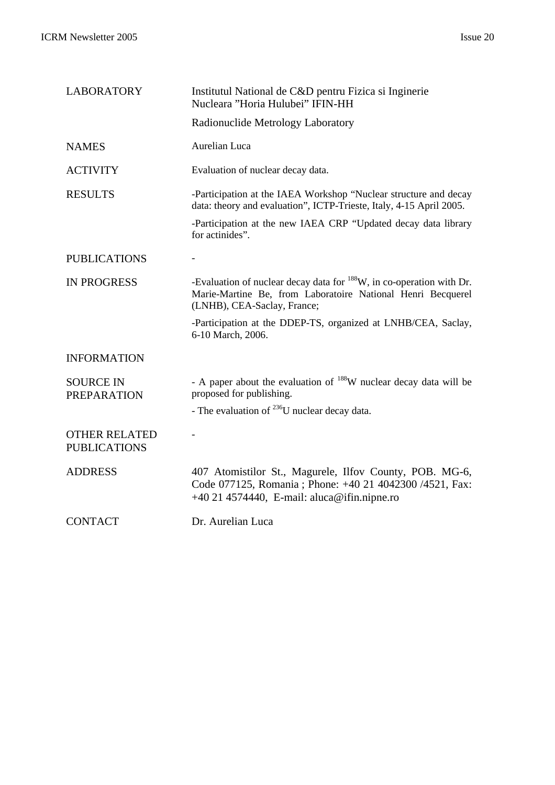| <b>LABORATORY</b>                           | Institutul National de C&D pentru Fizica si Inginerie<br>Nucleara "Horia Hulubei" IFIN-HH                                                                                      |
|---------------------------------------------|--------------------------------------------------------------------------------------------------------------------------------------------------------------------------------|
|                                             | Radionuclide Metrology Laboratory                                                                                                                                              |
| <b>NAMES</b>                                | Aurelian Luca                                                                                                                                                                  |
| <b>ACTIVITY</b>                             | Evaluation of nuclear decay data.                                                                                                                                              |
| <b>RESULTS</b>                              | -Participation at the IAEA Workshop "Nuclear structure and decay<br>data: theory and evaluation", ICTP-Trieste, Italy, 4-15 April 2005.                                        |
|                                             | -Participation at the new IAEA CRP "Updated decay data library<br>for actinides".                                                                                              |
| <b>PUBLICATIONS</b>                         |                                                                                                                                                                                |
| <b>IN PROGRESS</b>                          | -Evaluation of nuclear decay data for <sup>188</sup> W, in co-operation with Dr.<br>Marie-Martine Be, from Laboratoire National Henri Becquerel<br>(LNHB), CEA-Saclay, France; |
|                                             | -Participation at the DDEP-TS, organized at LNHB/CEA, Saclay,<br>6-10 March, 2006.                                                                                             |
| <b>INFORMATION</b>                          |                                                                                                                                                                                |
| <b>SOURCE IN</b><br><b>PREPARATION</b>      | - A paper about the evaluation of <sup>188</sup> W nuclear decay data will be<br>proposed for publishing.                                                                      |
|                                             | - The evaluation of $^{236}$ U nuclear decay data.                                                                                                                             |
| <b>OTHER RELATED</b><br><b>PUBLICATIONS</b> |                                                                                                                                                                                |
| <b>ADDRESS</b>                              | 407 Atomistilor St., Magurele, Ilfov County, POB. MG-6,<br>Code 077125, Romania ; Phone: +40 21 4042300 /4521, Fax:<br>+40 21 4574440, E-mail: aluca@ifin.nipne.ro             |
| <b>CONTACT</b>                              | Dr. Aurelian Luca                                                                                                                                                              |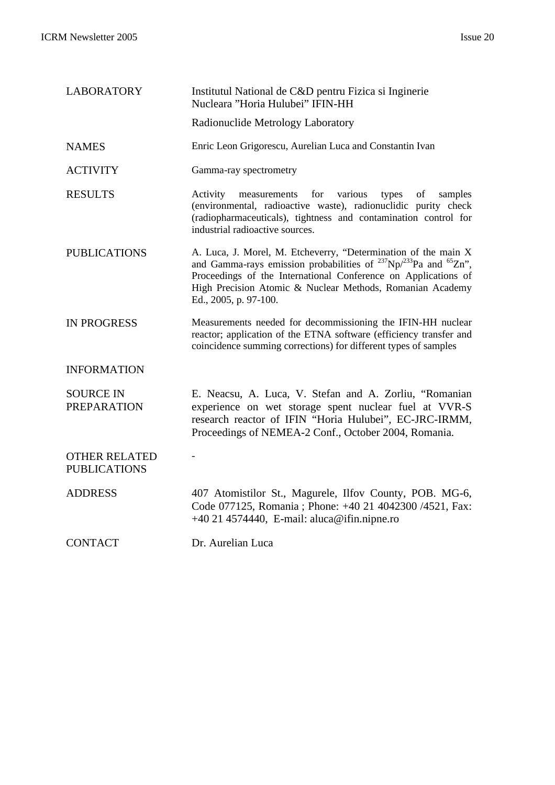| <b>LABORATORY</b>                           | Institutul National de C&D pentru Fizica si Inginerie<br>Nucleara "Horia Hulubei" IFIN-HH                                                                                                                                                                                                              |
|---------------------------------------------|--------------------------------------------------------------------------------------------------------------------------------------------------------------------------------------------------------------------------------------------------------------------------------------------------------|
|                                             | Radionuclide Metrology Laboratory                                                                                                                                                                                                                                                                      |
| <b>NAMES</b>                                | Enric Leon Grigorescu, Aurelian Luca and Constantin Ivan                                                                                                                                                                                                                                               |
| <b>ACTIVITY</b>                             | Gamma-ray spectrometry                                                                                                                                                                                                                                                                                 |
| <b>RESULTS</b>                              | Activity<br>for<br>various<br>types<br>of<br>samples<br>measurements<br>(environmental, radioactive waste), radionuclidic purity check<br>(radiopharmaceuticals), tightness and contamination control for<br>industrial radioactive sources.                                                           |
| <b>PUBLICATIONS</b>                         | A. Luca, J. Morel, M. Etcheverry, "Determination of the main X<br>and Gamma-rays emission probabilities of $^{237}Np^{233}Pa$ and $^{65}Zn$ ",<br>Proceedings of the International Conference on Applications of<br>High Precision Atomic & Nuclear Methods, Romanian Academy<br>Ed., 2005, p. 97-100. |
| <b>IN PROGRESS</b>                          | Measurements needed for decommissioning the IFIN-HH nuclear<br>reactor; application of the ETNA software (efficiency transfer and<br>coincidence summing corrections) for different types of samples                                                                                                   |
| <b>INFORMATION</b>                          |                                                                                                                                                                                                                                                                                                        |
| <b>SOURCE IN</b><br><b>PREPARATION</b>      | E. Neacsu, A. Luca, V. Stefan and A. Zorliu, "Romanian<br>experience on wet storage spent nuclear fuel at VVR-S<br>research reactor of IFIN "Horia Hulubei", EC-JRC-IRMM,<br>Proceedings of NEMEA-2 Conf., October 2004, Romania.                                                                      |
| <b>OTHER RELATED</b><br><b>PUBLICATIONS</b> |                                                                                                                                                                                                                                                                                                        |
| <b>ADDRESS</b>                              | 407 Atomistilor St., Magurele, Ilfov County, POB. MG-6,<br>Code 077125, Romania ; Phone: +40 21 4042300 /4521, Fax:<br>+40 21 4574440, E-mail: aluca@ifin.nipne.ro                                                                                                                                     |
| <b>CONTACT</b>                              | Dr. Aurelian Luca                                                                                                                                                                                                                                                                                      |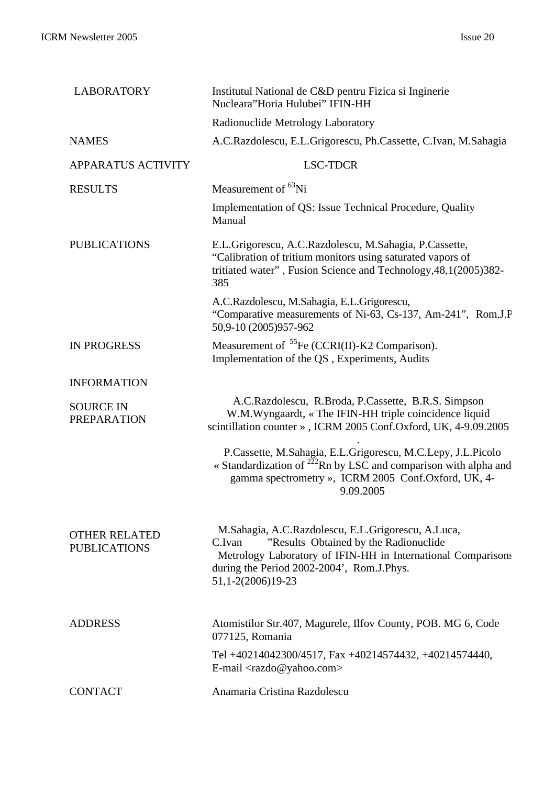| <b>LABORATORY</b>                           | Institutul National de C&D pentru Fizica si Inginerie<br>Nucleara"Horia Hulubei" IFIN-HH                                                                                                                                                |
|---------------------------------------------|-----------------------------------------------------------------------------------------------------------------------------------------------------------------------------------------------------------------------------------------|
|                                             | Radionuclide Metrology Laboratory                                                                                                                                                                                                       |
| <b>NAMES</b>                                | A.C.Razdolescu, E.L.Grigorescu, Ph.Cassette, C.Ivan, M.Sahagia                                                                                                                                                                          |
| <b>APPARATUS ACTIVITY</b>                   | <b>LSC-TDCR</b>                                                                                                                                                                                                                         |
| <b>RESULTS</b>                              | Measurement of <sup>63</sup> Ni                                                                                                                                                                                                         |
|                                             | Implementation of QS: Issue Technical Procedure, Quality<br>Manual                                                                                                                                                                      |
| <b>PUBLICATIONS</b>                         | E.L.Grigorescu, A.C.Razdolescu, M.Sahagia, P.Cassette,<br>"Calibration of tritium monitors using saturated vapors of<br>tritiated water", Fusion Science and Technology, 48, 1(2005) 382-<br>385                                        |
|                                             | A.C.Razdolescu, M.Sahagia, E.L.Grigorescu,<br>"Comparative measurements of Ni-63, Cs-137, Am-241", Rom.J.F<br>50,9-10 (2005)957-962                                                                                                     |
| <b>IN PROGRESS</b>                          | Measurement of ${}^{55}Fe$ (CCRI(II)-K2 Comparison).<br>Implementation of the QS, Experiments, Audits                                                                                                                                   |
| <b>INFORMATION</b>                          |                                                                                                                                                                                                                                         |
| <b>SOURCE IN</b><br><b>PREPARATION</b>      | A.C.Razdolescu, R.Broda, P.Cassette, B.R.S. Simpson<br>W.M.Wyngaardt, « The IFIN-HH triple coincidence liquid<br>scintillation counter », ICRM 2005 Conf.Oxford, UK, 4-9.09.2005                                                        |
|                                             | P.Cassette, M.Sahagia, E.L.Grigorescu, M.C.Lepy, J.L.Picolo<br>« Standardization of $^{222}$ Rn by LSC and comparison with alpha and<br>gamma spectrometry », ICRM 2005 Conf.Oxford, UK, 4-<br>9.09.2005                                |
| <b>OTHER RELATED</b><br><b>PUBLICATIONS</b> | M.Sahagia, A.C.Razdolescu, E.L.Grigorescu, A.Luca,<br>"Results Obtained by the Radionuclide<br>C.Ivan<br>Metrology Laboratory of IFIN-HH in International Comparisons<br>during the Period 2002-2004', Rom.J.Phys.<br>51,1-2(2006)19-23 |
| <b>ADDRESS</b>                              | Atomistilor Str.407, Magurele, Ilfov County, POB. MG 6, Code<br>077125, Romania                                                                                                                                                         |
|                                             | Tel +40214042300/4517, Fax +40214574432, +40214574440,<br>E-mail $\langle$ razdo@yahoo.com>                                                                                                                                             |
| <b>CONTACT</b>                              | Anamaria Cristina Razdolescu                                                                                                                                                                                                            |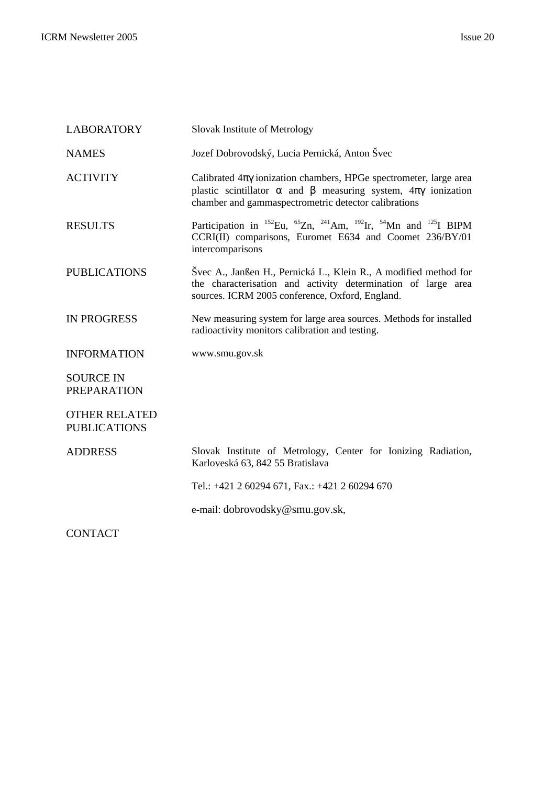| <b>LABORATORY</b>                           | Slovak Institute of Metrology                                                                                                                                                                                             |
|---------------------------------------------|---------------------------------------------------------------------------------------------------------------------------------------------------------------------------------------------------------------------------|
| <b>NAMES</b>                                | Jozef Dobrovodský, Lucia Pernická, Anton Švec                                                                                                                                                                             |
| <b>ACTIVITY</b>                             | Calibrated $4\pi\gamma$ ionization chambers, HPGe spectrometer, large area<br>plastic scintillator $\alpha$ and $\beta$ measuring system, $4\pi\gamma$ ionization<br>chamber and gammaspectrometric detector calibrations |
| <b>RESULTS</b>                              | Participation in <sup>152</sup> Eu, <sup>65</sup> Zn, <sup>241</sup> Am, <sup>192</sup> Ir, <sup>54</sup> Mn and <sup>125</sup> I BIPM<br>CCRI(II) comparisons, Euromet E634 and Coomet 236/BY/01<br>intercomparisons     |
| <b>PUBLICATIONS</b>                         | Švec A., Janßen H., Pernická L., Klein R., A modified method for<br>the characterisation and activity determination of large area<br>sources. ICRM 2005 conference, Oxford, England.                                      |
| <b>IN PROGRESS</b>                          | New measuring system for large area sources. Methods for installed<br>radioactivity monitors calibration and testing.                                                                                                     |
| <b>INFORMATION</b>                          | www.smu.gov.sk                                                                                                                                                                                                            |
| <b>SOURCE IN</b><br><b>PREPARATION</b>      |                                                                                                                                                                                                                           |
| <b>OTHER RELATED</b><br><b>PUBLICATIONS</b> |                                                                                                                                                                                                                           |
| <b>ADDRESS</b>                              | Slovak Institute of Metrology, Center for Ionizing Radiation,<br>Karloveská 63, 842 55 Bratislava                                                                                                                         |
|                                             | Tel.: +421 2 60294 671, Fax.: +421 2 60294 670                                                                                                                                                                            |
|                                             | e-mail: dobrovodsky@smu.gov.sk,                                                                                                                                                                                           |
| <b>CONTACT</b>                              |                                                                                                                                                                                                                           |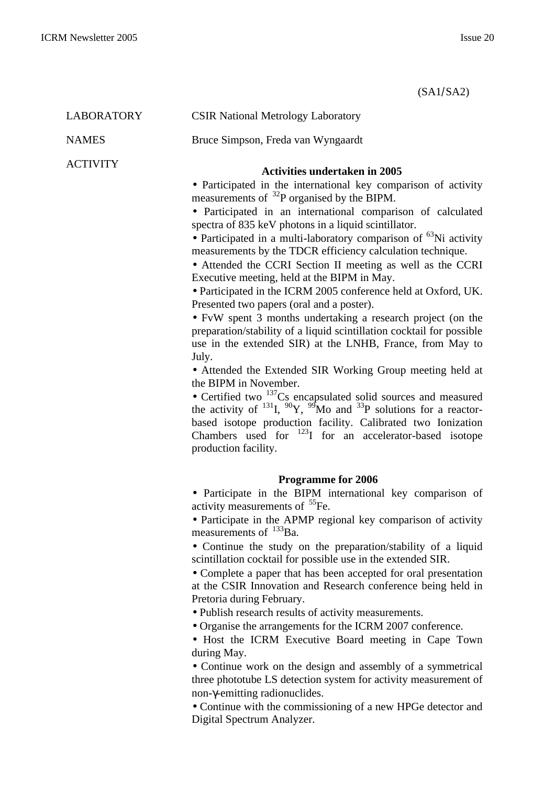(SA1/SA2)

| <b>LABORATORY</b> | <b>CSIR National Metrology Laboratory</b>                                                                                                                                                                                                                                                                                                                                                                                                                                                                                                                                                                                                                                                                                                                                                                                                                                                                                                                                                                                                                                                                                                                                                                                                                                                |
|-------------------|------------------------------------------------------------------------------------------------------------------------------------------------------------------------------------------------------------------------------------------------------------------------------------------------------------------------------------------------------------------------------------------------------------------------------------------------------------------------------------------------------------------------------------------------------------------------------------------------------------------------------------------------------------------------------------------------------------------------------------------------------------------------------------------------------------------------------------------------------------------------------------------------------------------------------------------------------------------------------------------------------------------------------------------------------------------------------------------------------------------------------------------------------------------------------------------------------------------------------------------------------------------------------------------|
| <b>NAMES</b>      | Bruce Simpson, Freda van Wyngaardt                                                                                                                                                                                                                                                                                                                                                                                                                                                                                                                                                                                                                                                                                                                                                                                                                                                                                                                                                                                                                                                                                                                                                                                                                                                       |
| <b>ACTIVITY</b>   | <b>Activities undertaken in 2005</b><br>• Participated in the international key comparison of activity<br>measurements of ${}^{32}P$ organised by the BIPM.<br>• Participated in an international comparison of calculated<br>spectra of 835 keV photons in a liquid scintillator.<br>• Participated in a multi-laboratory comparison of <sup>63</sup> Ni activity<br>measurements by the TDCR efficiency calculation technique.<br>• Attended the CCRI Section II meeting as well as the CCRI<br>Executive meeting, held at the BIPM in May.<br>• Participated in the ICRM 2005 conference held at Oxford, UK.<br>Presented two papers (oral and a poster).<br>• FvW spent 3 months undertaking a research project (on the<br>preparation/stability of a liquid scintillation cocktail for possible<br>use in the extended SIR) at the LNHB, France, from May to<br>July.<br>• Attended the Extended SIR Working Group meeting held at<br>the BIPM in November.<br>• Certified two $137$ Cs encapsulated solid sources and measured<br>the activity of $^{131}$ I, $^{90}$ Y, $^{99}$ Mo and $^{33}$ P solutions for a reactor-<br>based isotope production facility. Calibrated two Ionization<br>Chambers used for $^{123}I$ for an accelerator-based isotope<br>production facility. |
|                   | <b>Programme for 2006</b><br>• Participate in the BIPM international key comparison of<br>activity measurements of <sup>55</sup> Fe.<br>• Participate in the APMP regional key comparison of activity<br>measurements of $^{133}$ Ba.<br>• Continue the study on the preparation/stability of a liquid<br>scintillation cocktail for possible use in the extended SIR.<br>• Complete a paper that has been accepted for oral presentation<br>at the CSIR Innovation and Research conference being held in<br>Pretoria during February.<br>• Publish research results of activity measurements.<br>• Organise the arrangements for the ICRM 2007 conference.<br>• Host the ICRM Executive Board meeting in Cape Town<br>during May.<br>• Continue work on the design and assembly of a symmetrical<br>three phototube LS detection system for activity measurement of<br>non-γ-emitting radionuclides.<br>• Continue with the commissioning of a new HPGe detector and<br>Digital Spectrum Analyzer.                                                                                                                                                                                                                                                                                      |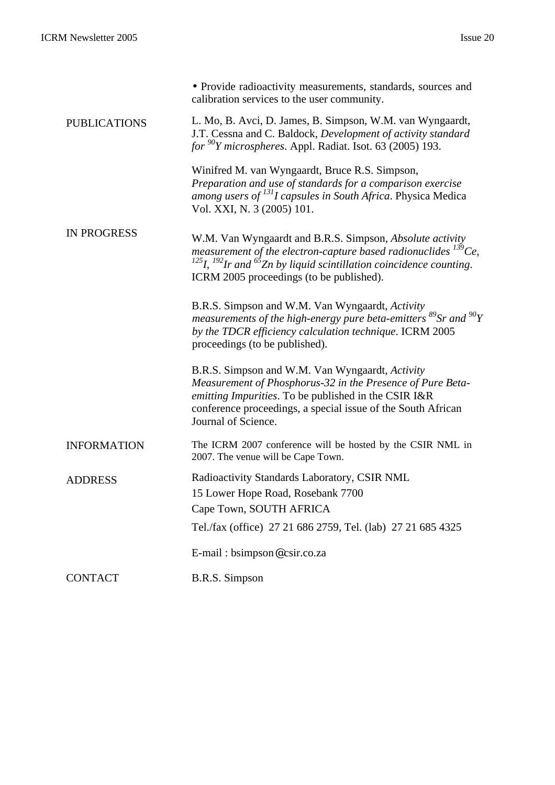|                     | • Provide radioactivity measurements, standards, sources and<br>calibration services to the user community.                                                                                                                                                        |
|---------------------|--------------------------------------------------------------------------------------------------------------------------------------------------------------------------------------------------------------------------------------------------------------------|
| <b>PUBLICATIONS</b> | L. Mo, B. Avci, D. James, B. Simpson, W.M. van Wyngaardt,<br>J.T. Cessna and C. Baldock, Development of activity standard<br>for $^{90}Y$ microspheres. Appl. Radiat. Isot. 63 (2005) 193.                                                                         |
|                     | Winifred M. van Wyngaardt, Bruce R.S. Simpson,<br>Preparation and use of standards for a comparison exercise<br>among users of <sup>131</sup> I capsules in South Africa. Physica Medica<br>Vol. XXI, N. 3 (2005) 101.                                             |
| <b>IN PROGRESS</b>  | W.M. Van Wyngaardt and B.R.S. Simpson, Absolute activity<br>measurement of the electron-capture based radionuclides $^{139}Ce$ ,<br>$^{125}I$ , $^{192}Ir$ and $^{65}Zn$ by liquid scintillation coincidence counting.<br>ICRM 2005 proceedings (to be published). |
|                     | B.R.S. Simpson and W.M. Van Wyngaardt, Activity<br>measurements of the high-energy pure beta-emitters ${}^{89}Sr$ and ${}^{90}Y$<br>by the TDCR efficiency calculation technique. ICRM 2005<br>proceedings (to be published).                                      |
|                     | B.R.S. Simpson and W.M. Van Wyngaardt, Activity<br>Measurement of Phosphorus-32 in the Presence of Pure Beta-<br>emitting Impurities. To be published in the CSIR I&R<br>conference proceedings, a special issue of the South African<br>Journal of Science.       |
| <b>INFORMATION</b>  | The ICRM 2007 conference will be hosted by the CSIR NML in<br>2007. The venue will be Cape Town.                                                                                                                                                                   |
| <b>ADDRESS</b>      | Radioactivity Standards Laboratory, CSIR NML<br>15 Lower Hope Road, Rosebank 7700<br>Cape Town, SOUTH AFRICA<br>Tel./fax (office) 27 21 686 2759, Tel. (lab) 27 21 685 4325                                                                                        |
|                     | E-mail: bsimpson@csir.co.za                                                                                                                                                                                                                                        |
| <b>CONTACT</b>      | B.R.S. Simpson                                                                                                                                                                                                                                                     |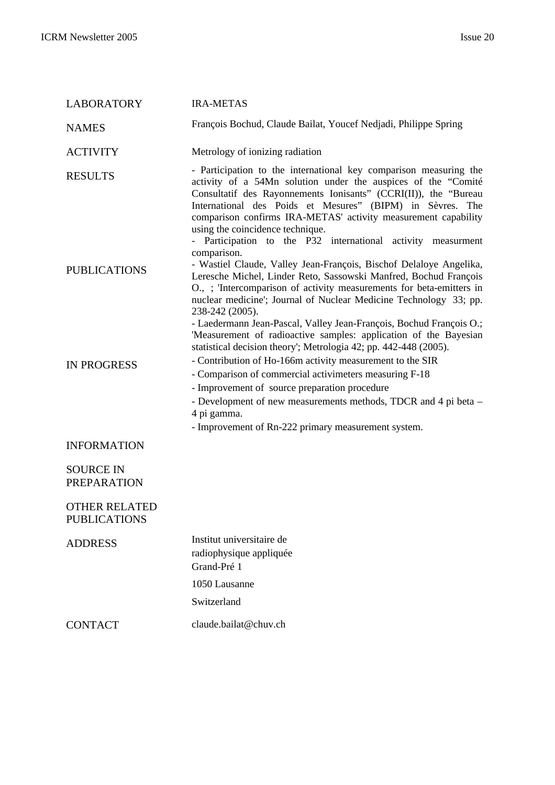| <b>LABORATORY</b>                           | <b>IRA-METAS</b>                                                                                                                                                                                                                                                                                                                                                                                                                                                                                                      |
|---------------------------------------------|-----------------------------------------------------------------------------------------------------------------------------------------------------------------------------------------------------------------------------------------------------------------------------------------------------------------------------------------------------------------------------------------------------------------------------------------------------------------------------------------------------------------------|
| <b>NAMES</b>                                | François Bochud, Claude Bailat, Youcef Nedjadi, Philippe Spring                                                                                                                                                                                                                                                                                                                                                                                                                                                       |
| <b>ACTIVITY</b>                             | Metrology of ionizing radiation                                                                                                                                                                                                                                                                                                                                                                                                                                                                                       |
| <b>RESULTS</b>                              | - Participation to the international key comparison measuring the<br>activity of a 54Mn solution under the auspices of the "Comité<br>Consultatif des Rayonnements Ionisants" (CCRI(II)), the "Bureau<br>International des Poids et Mesures" (BIPM) in Sèvres. The<br>comparison confirms IRA-METAS' activity measurement capability<br>using the coincidence technique.<br>- Participation to the P32 international activity measurment<br>comparison.                                                               |
| <b>PUBLICATIONS</b>                         | - Wastiel Claude, Valley Jean-François, Bischof Delaloye Angelika,<br>Leresche Michel, Linder Reto, Sassowski Manfred, Bochud François<br>O., ; 'Intercomparison of activity measurements for beta-emitters in<br>nuclear medicine'; Journal of Nuclear Medicine Technology 33; pp.<br>238-242 (2005).<br>- Laedermann Jean-Pascal, Valley Jean-François, Bochud François O.;<br>'Measurement of radioactive samples: application of the Bayesian<br>statistical decision theory'; Metrologia 42; pp. 442-448 (2005). |
| <b>IN PROGRESS</b>                          | - Contribution of Ho-166m activity measurement to the SIR<br>- Comparison of commercial activimeters measuring F-18<br>- Improvement of source preparation procedure<br>- Development of new measurements methods, TDCR and 4 pi beta -<br>4 pi gamma.<br>- Improvement of Rn-222 primary measurement system.                                                                                                                                                                                                         |
| <b>INFORMATION</b>                          |                                                                                                                                                                                                                                                                                                                                                                                                                                                                                                                       |
| <b>SOURCE IN</b><br><b>PREPARATION</b>      |                                                                                                                                                                                                                                                                                                                                                                                                                                                                                                                       |
| <b>OTHER RELATED</b><br><b>PUBLICATIONS</b> |                                                                                                                                                                                                                                                                                                                                                                                                                                                                                                                       |
| <b>ADDRESS</b>                              | Institut universitaire de<br>radiophysique appliquée<br>Grand-Pré 1<br>1050 Lausanne<br>Switzerland                                                                                                                                                                                                                                                                                                                                                                                                                   |
| <b>CONTACT</b>                              | claude.bailat@chuv.ch                                                                                                                                                                                                                                                                                                                                                                                                                                                                                                 |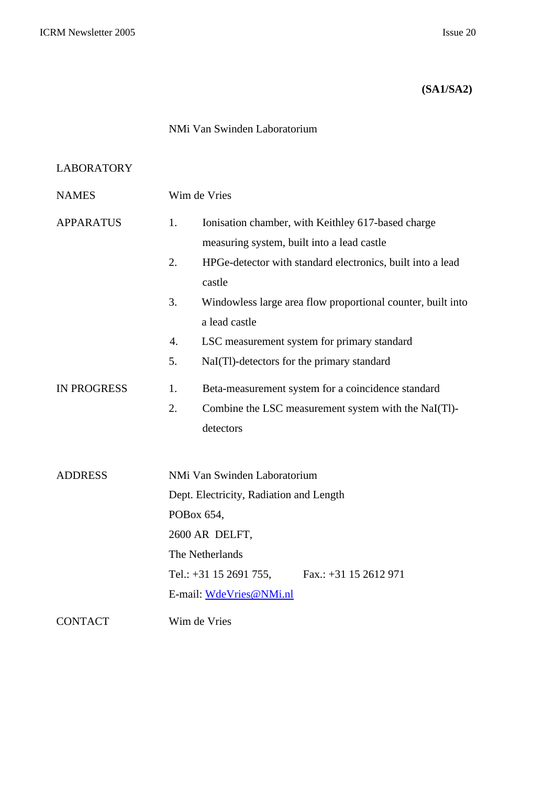## **(SA1/SA2)**

## NMi Van Swinden Laboratorium

## LABORATORY

| <b>NAMES</b>       | Wim de Vries                                                      |  |  |
|--------------------|-------------------------------------------------------------------|--|--|
| <b>APPARATUS</b>   | 1.<br>Ionisation chamber, with Keithley 617-based charge          |  |  |
|                    | measuring system, built into a lead castle                        |  |  |
|                    | 2.<br>HPGe-detector with standard electronics, built into a lead  |  |  |
|                    | castle                                                            |  |  |
|                    | 3.<br>Windowless large area flow proportional counter, built into |  |  |
|                    | a lead castle                                                     |  |  |
|                    | 4.<br>LSC measurement system for primary standard                 |  |  |
|                    | 5.<br>NaI(Tl)-detectors for the primary standard                  |  |  |
| <b>IN PROGRESS</b> | 1.<br>Beta-measurement system for a coincidence standard          |  |  |
|                    | Combine the LSC measurement system with the NaI(Tl)-<br>2.        |  |  |
|                    | detectors                                                         |  |  |
|                    |                                                                   |  |  |
| <b>ADDRESS</b>     | NMi Van Swinden Laboratorium                                      |  |  |
|                    | Dept. Electricity, Radiation and Length                           |  |  |
|                    | POBox 654,                                                        |  |  |
|                    | 2600 AR DELFT,                                                    |  |  |
|                    | The Netherlands                                                   |  |  |
|                    | Fax.: $+31$ 15 2612 971<br>Tel.: $+31$ 15 2691 755,               |  |  |
|                    | E-mail: WdeVries@NMi.nl                                           |  |  |
| <b>CONTACT</b>     | Wim de Vries                                                      |  |  |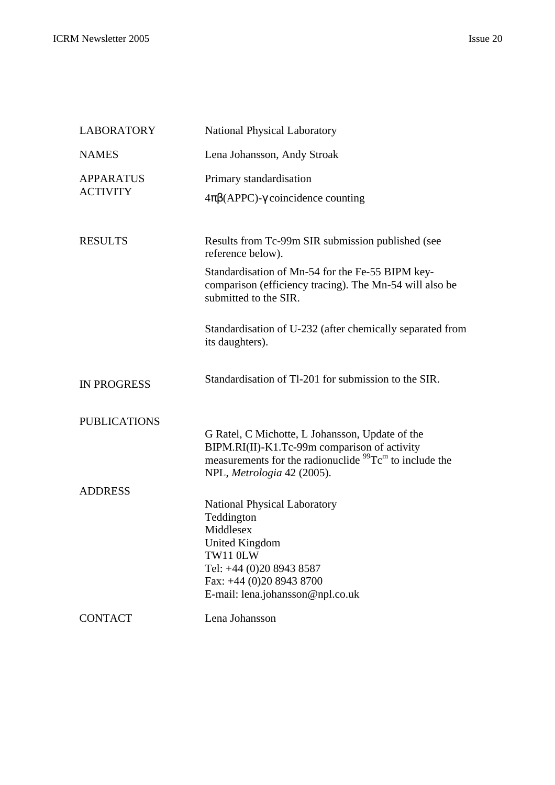| <b>LABORATORY</b>                   | <b>National Physical Laboratory</b>                                                                                                                                                                       |  |
|-------------------------------------|-----------------------------------------------------------------------------------------------------------------------------------------------------------------------------------------------------------|--|
| <b>NAMES</b>                        | Lena Johansson, Andy Stroak                                                                                                                                                                               |  |
| <b>APPARATUS</b><br><b>ACTIVITY</b> | Primary standardisation<br>$4\pi\beta$ (APPC)- $\gamma$ coincidence counting                                                                                                                              |  |
| <b>RESULTS</b>                      | Results from Tc-99m SIR submission published (see<br>reference below).                                                                                                                                    |  |
|                                     | Standardisation of Mn-54 for the Fe-55 BIPM key-<br>comparison (efficiency tracing). The Mn-54 will also be<br>submitted to the SIR.                                                                      |  |
|                                     | Standardisation of U-232 (after chemically separated from<br>its daughters).                                                                                                                              |  |
| <b>IN PROGRESS</b>                  | Standardisation of Tl-201 for submission to the SIR.                                                                                                                                                      |  |
| <b>PUBLICATIONS</b>                 | G Ratel, C Michotte, L Johansson, Update of the<br>BIPM.RI(II)-K1.Tc-99m comparison of activity<br>measurements for the radionuclide $^{99}$ Tc <sup>m</sup> to include the<br>NPL, Metrologia 42 (2005). |  |
| <b>ADDRESS</b>                      | <b>National Physical Laboratory</b><br>Teddington<br>Middlesex<br><b>United Kingdom</b><br>TW11 0LW<br>Tel: +44 (0)20 8943 8587<br>Fax: +44 (0)20 8943 8700<br>E-mail: lena.johansson@npl.co.uk           |  |
| <b>CONTACT</b>                      | Lena Johansson                                                                                                                                                                                            |  |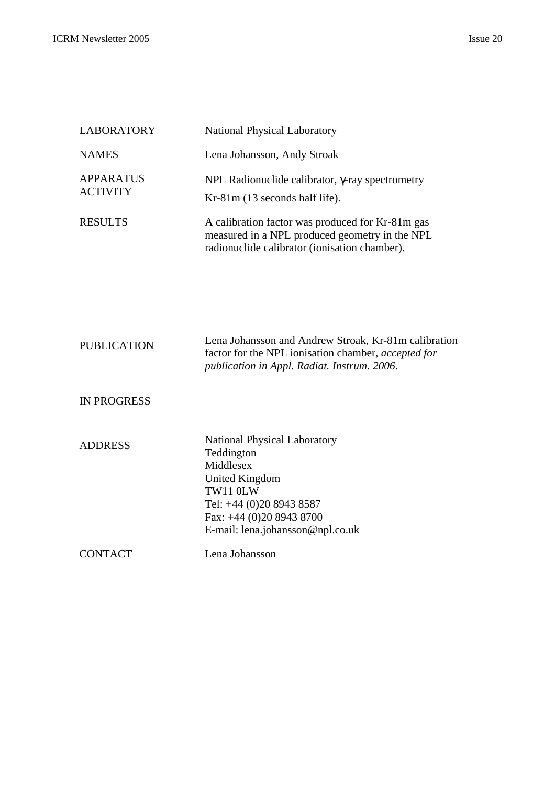| <b>LABORATORY</b>                   | <b>National Physical Laboratory</b>                                                                                                                 |  |
|-------------------------------------|-----------------------------------------------------------------------------------------------------------------------------------------------------|--|
| <b>NAMES</b>                        | Lena Johansson, Andy Stroak                                                                                                                         |  |
| <b>APPARATUS</b><br><b>ACTIVITY</b> | NPL Radionuclide calibrator, $\gamma$ -ray spectrometry<br>$Kr-81m$ (13 seconds half life).                                                         |  |
| <b>RESULTS</b>                      | A calibration factor was produced for Kr-81m gas<br>measured in a NPL produced geometry in the NPL<br>radionuclide calibrator (ionisation chamber). |  |

| <b>PUBLICATION</b> | Lena Johansson and Andrew Stroak, Kr-81m calibration<br>factor for the NPL ionisation chamber, <i>accepted for</i><br><i>publication in Appl. Radiat. Instrum. 2006.</i> |
|--------------------|--------------------------------------------------------------------------------------------------------------------------------------------------------------------------|
| <b>IN PROGRESS</b> |                                                                                                                                                                          |

| <b>ADDRESS</b> | <b>National Physical Laboratory</b> |
|----------------|-------------------------------------|
|                | Teddington                          |
|                | Middlesex                           |
|                | United Kingdom                      |
|                | TW11 0LW                            |
|                | Tel: +44 (0)20 8943 8587            |
|                | Fax: $+44$ (0)20 8943 8700          |
|                | E-mail: lena.johansson@npl.co.uk    |
| <b>CONTACT</b> | Lena Johansson                      |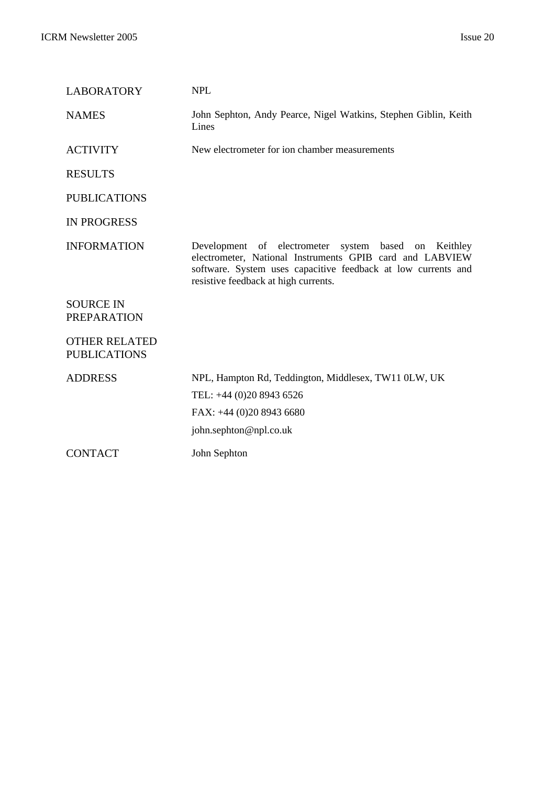| <b>LABORATORY</b>                           | <b>NPL</b>                                                                                                                                                                                                                   |
|---------------------------------------------|------------------------------------------------------------------------------------------------------------------------------------------------------------------------------------------------------------------------------|
| <b>NAMES</b>                                | John Sephton, Andy Pearce, Nigel Watkins, Stephen Giblin, Keith<br>Lines                                                                                                                                                     |
| <b>ACTIVITY</b>                             | New electrometer for ion chamber measurements                                                                                                                                                                                |
| <b>RESULTS</b>                              |                                                                                                                                                                                                                              |
| <b>PUBLICATIONS</b>                         |                                                                                                                                                                                                                              |
| <b>IN PROGRESS</b>                          |                                                                                                                                                                                                                              |
| <b>INFORMATION</b>                          | Development of electrometer system based<br>on Keithley<br>electrometer, National Instruments GPIB card and LABVIEW<br>software. System uses capacitive feedback at low currents and<br>resistive feedback at high currents. |
| <b>SOURCE IN</b><br><b>PREPARATION</b>      |                                                                                                                                                                                                                              |
| <b>OTHER RELATED</b><br><b>PUBLICATIONS</b> |                                                                                                                                                                                                                              |
| <b>ADDRESS</b>                              | NPL, Hampton Rd, Teddington, Middlesex, TW11 0LW, UK                                                                                                                                                                         |
|                                             | TEL: +44 (0)20 8943 6526                                                                                                                                                                                                     |
|                                             | FAX: +44 (0)20 8943 6680                                                                                                                                                                                                     |
|                                             | john.sephton@npl.co.uk                                                                                                                                                                                                       |
| <b>CONTACT</b>                              | John Sephton                                                                                                                                                                                                                 |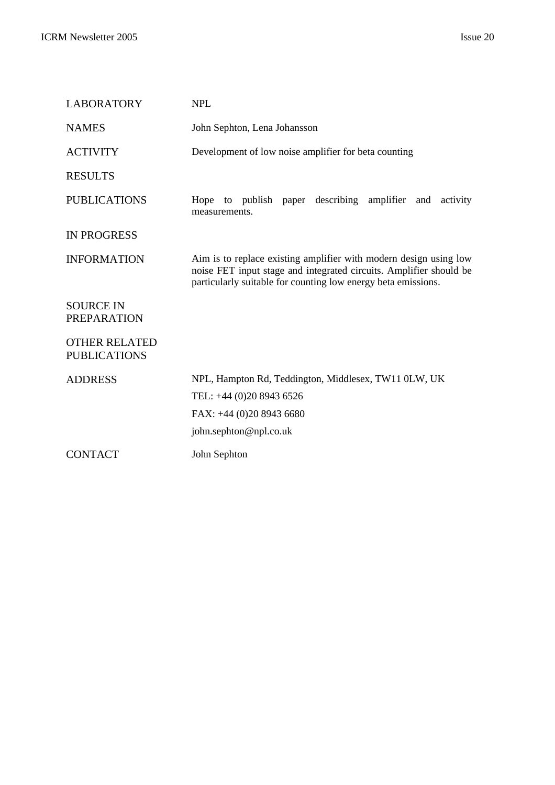| <b>LABORATORY</b>                           | <b>NPL</b>                                                                                                                                                                                               |  |
|---------------------------------------------|----------------------------------------------------------------------------------------------------------------------------------------------------------------------------------------------------------|--|
| <b>NAMES</b>                                | John Sephton, Lena Johansson                                                                                                                                                                             |  |
| <b>ACTIVITY</b>                             | Development of low noise amplifier for beta counting                                                                                                                                                     |  |
| <b>RESULTS</b>                              |                                                                                                                                                                                                          |  |
| <b>PUBLICATIONS</b>                         | Hope to publish paper describing amplifier and activity<br>measurements.                                                                                                                                 |  |
| <b>IN PROGRESS</b>                          |                                                                                                                                                                                                          |  |
| <b>INFORMATION</b>                          | Aim is to replace existing amplifier with modern design using low<br>noise FET input stage and integrated circuits. Amplifier should be<br>particularly suitable for counting low energy beta emissions. |  |
| <b>SOURCE IN</b><br><b>PREPARATION</b>      |                                                                                                                                                                                                          |  |
| <b>OTHER RELATED</b><br><b>PUBLICATIONS</b> |                                                                                                                                                                                                          |  |
| <b>ADDRESS</b>                              | NPL, Hampton Rd, Teddington, Middlesex, TW11 0LW, UK                                                                                                                                                     |  |
|                                             | TEL: +44 (0)20 8943 6526                                                                                                                                                                                 |  |
|                                             | FAX: +44 (0)20 8943 6680                                                                                                                                                                                 |  |
|                                             | john.sephton@npl.co.uk                                                                                                                                                                                   |  |
| <b>CONTACT</b>                              | John Sephton                                                                                                                                                                                             |  |